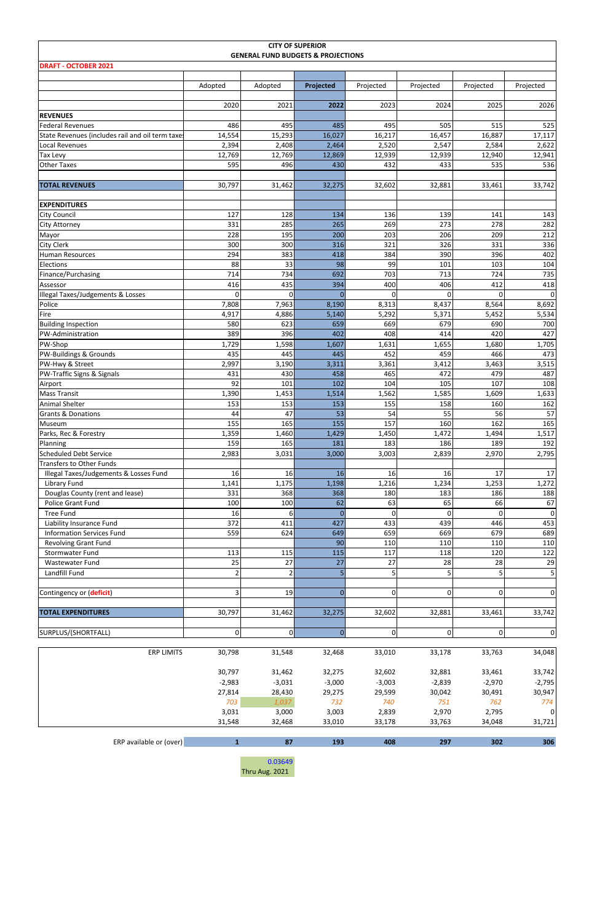| <b>CITY OF SUPERIOR</b><br><b>GENERAL FUND BUDGETS &amp; PROJECTIONS</b> |                 |                           |                 |                 |                 |                    |                          |  |  |  |  |  |  |
|--------------------------------------------------------------------------|-----------------|---------------------------|-----------------|-----------------|-----------------|--------------------|--------------------------|--|--|--|--|--|--|
| <b>DRAFT - OCTOBER 2021</b>                                              |                 |                           |                 |                 |                 |                    |                          |  |  |  |  |  |  |
|                                                                          | Adopted         | Adopted                   | Projected       | Projected       | Projected       | Projected          | Projected                |  |  |  |  |  |  |
|                                                                          |                 |                           |                 |                 |                 |                    |                          |  |  |  |  |  |  |
|                                                                          | 2020            | 2021                      | 2022            | 2023            | 2024            | 2025               | 2026                     |  |  |  |  |  |  |
| <b>REVENUES</b><br>Federal Revenues                                      | 486             | 495                       | 485             | 495             | 505             | 515                | 525                      |  |  |  |  |  |  |
| State Revenues (includes rail and oil term taxes                         | 14,554          | 15,293                    | 16,027          | 16,217          | 16,457          | 16,887             | 17,117                   |  |  |  |  |  |  |
| Local Revenues                                                           | 2,394           | 2,408                     | 2,464           | 2,520           | 2,547           | 2,584              | 2,622                    |  |  |  |  |  |  |
| <b>Tax Levy</b><br><b>Other Taxes</b>                                    | 12,769<br>595   | 12,769<br>496             | 12,869<br>430   | 12,939<br>432   | 12,939<br>433   | 12,940<br>535      | 12,941<br>536            |  |  |  |  |  |  |
|                                                                          |                 |                           |                 |                 |                 |                    |                          |  |  |  |  |  |  |
| <b>TOTAL REVENUES</b>                                                    | 30,797          | 31,462                    | 32,275          | 32,602          | 32,881          | 33,461             | 33,742                   |  |  |  |  |  |  |
| <b>EXPENDITURES</b>                                                      |                 |                           |                 |                 |                 |                    |                          |  |  |  |  |  |  |
| <b>City Council</b>                                                      | 127             | 128                       | 134             | 136             | 139             | 141                | 143                      |  |  |  |  |  |  |
| City Attorney                                                            | 331             | 285                       | 265             | 269             | 273             | 278                | 282                      |  |  |  |  |  |  |
| Mayor<br><b>City Clerk</b>                                               | 228<br>300      | 195<br>300                | 200<br>316      | 203<br>321      | 206<br>326      | 209<br>331         | 212<br>336               |  |  |  |  |  |  |
| <b>Human Resources</b>                                                   | 294             | 383                       | 418             | 384             | 390             | 396                | 402                      |  |  |  |  |  |  |
| Elections                                                                | 88              | 33                        | 98              | 99              | 101             | 103                | 104                      |  |  |  |  |  |  |
| Finance/Purchasing                                                       | 714             | 734                       | 692             | 703             | 713             | 724                | 735                      |  |  |  |  |  |  |
| Assessor                                                                 | 416<br>0        | 435<br>0                  | 394<br>$\Omega$ | 400<br>$\Omega$ | 406<br>$\Omega$ | 412<br>$\mathbf 0$ | 418<br>$\mathbf 0$       |  |  |  |  |  |  |
| Illegal Taxes/Judgements & Losses<br>Police                              | 7,808           | 7,963                     | 8,190           | 8,313           | 8,437           | 8,564              | 8,692                    |  |  |  |  |  |  |
| Fire                                                                     | 4,917           | 4,886                     | 5,140           | 5,292           | 5,371           | 5,452              | 5,534                    |  |  |  |  |  |  |
| <b>Building Inspection</b>                                               | 580             | 623                       | 659             | 669             | 679             | 690                | 700                      |  |  |  |  |  |  |
| PW-Administration                                                        | 389             | 396                       | 402             | 408             | 414             | 420                | 427                      |  |  |  |  |  |  |
| PW-Shop<br>PW-Buildings & Grounds                                        | 1,729<br>435    | 1,598<br>445              | 1,607<br>445    | 1,631<br>452    | 1,655<br>459    | 1,680<br>466       | 1,705<br>473             |  |  |  |  |  |  |
| PW-Hwy & Street                                                          | 2,997           | 3,190                     | 3,311           | 3,361           | 3,412           | 3,463              | 3,515                    |  |  |  |  |  |  |
| PW-Traffic Signs & Signals                                               | 431             | 430                       | 458             | 465             | 472             | 479                | 487                      |  |  |  |  |  |  |
| Airport                                                                  | 92              | 101                       | 102             | 104             | 105             | 107                | 108                      |  |  |  |  |  |  |
| <b>Mass Transit</b><br><b>Animal Shelter</b>                             | 1,390<br>153    | 1,453<br>153              | 1,514<br>153    | 1,562<br>155    | 1,585<br>158    | 1,609<br>160       | 1,633<br>162             |  |  |  |  |  |  |
| <b>Grants &amp; Donations</b>                                            | 44              | 47                        | 53              | 54              | 55              | 56                 | 57                       |  |  |  |  |  |  |
| Museum                                                                   | 155             | 165                       | 155             | 157             | 160             | 162                | 165                      |  |  |  |  |  |  |
| Parks, Rec & Forestry                                                    | 1,359           | 1,460                     | 1,429           | 1,450           | 1,472           | 1,494              | 1,517                    |  |  |  |  |  |  |
| Planning<br><b>Scheduled Debt Service</b>                                | 159<br>2,983    | 165<br>3,031              | 181<br>3,000    | 183<br>3,003    | 186<br>2,839    | 189<br>2,970       | 192<br>2,795             |  |  |  |  |  |  |
| <b>Transfers to Other Funds</b>                                          |                 |                           |                 |                 |                 |                    |                          |  |  |  |  |  |  |
| Illegal Taxes/Judgements & Losses Fund                                   | 16              | 16                        | 16              | 16              | 16              | 17                 | 17                       |  |  |  |  |  |  |
| Library Fund                                                             | 1,141           | 1,175                     | 1,198           | 1,216           | 1,234           | 1,253              | 1,272                    |  |  |  |  |  |  |
| Douglas County (rent and lease)<br>Police Grant Fund                     | 331<br>100      | 368<br>100                | 368<br>62       | 180<br>63       | 183<br>65       | 186<br>66          | 188<br>67                |  |  |  |  |  |  |
| <b>Tree Fund</b>                                                         | 16              | 6                         | $\Omega$        | $\Omega$        | $\Omega$        | $\mathbf 0$        | 0                        |  |  |  |  |  |  |
| Liability Insurance Fund                                                 | 372             | 411                       | 427             | 433             | 439             | 446                | 453                      |  |  |  |  |  |  |
| <b>Information Services Fund</b>                                         | 559             | 624                       | 649             | 659             | 669             | 679                | 689                      |  |  |  |  |  |  |
| Revolving Grant Fund<br>Stormwater Fund                                  | 113             | 115                       | 90<br>115       | 110<br>117      | 110<br>118      | 110<br>120         | 110<br>122               |  |  |  |  |  |  |
| Wastewater Fund                                                          | 25              | 27                        | 27              | 27              | 28              | 28                 | 29                       |  |  |  |  |  |  |
| Landfill Fund                                                            | $\overline{2}$  | $\overline{2}$            | 5               | 5               | 5               | 5                  | 5                        |  |  |  |  |  |  |
|                                                                          |                 |                           |                 |                 |                 |                    |                          |  |  |  |  |  |  |
| Contingency or (deficit)                                                 | 3               | 19                        | $\Omega$        | $\overline{0}$  | $\overline{0}$  | $\mathbf 0$        | 0                        |  |  |  |  |  |  |
| <b>TOTAL EXPENDITURES</b>                                                | 30,797          | 31,462                    | 32,275          | 32,602          | 32,881          | 33,461             | 33,742                   |  |  |  |  |  |  |
| SURPLUS/(SHORTFALL)                                                      | $\mathbf 0$     | 0                         | $\mathbf 0$     | $\mathbf 0$     | $\mathbf 0$     | $\mathbf 0$        | 0                        |  |  |  |  |  |  |
| <b>ERP LIMITS</b>                                                        | 30,798          | 31,548                    | 32,468          | 33,010          | 33,178          | 33,763             | 34,048                   |  |  |  |  |  |  |
|                                                                          | 30,797          | 31,462                    | 32,275          | 32,602          | 32,881          | 33,461             | 33,742                   |  |  |  |  |  |  |
|                                                                          | $-2,983$        | $-3,031$                  | $-3,000$        | $-3,003$        | $-2,839$        | $-2,970$           | $-2,795$                 |  |  |  |  |  |  |
|                                                                          | 27,814          | 28,430                    | 29,275          | 29,599          | 30,042          | 30,491             | 30,947                   |  |  |  |  |  |  |
|                                                                          | 703             | 1,037                     | 732             | 740             | 751             | 762                | 774                      |  |  |  |  |  |  |
|                                                                          | 3,031<br>31,548 | 3,000<br>32,468           | 3,003<br>33,010 | 2,839<br>33,178 | 2,970<br>33,763 | 2,795<br>34,048    | $\overline{0}$<br>31,721 |  |  |  |  |  |  |
|                                                                          |                 |                           |                 |                 |                 |                    |                          |  |  |  |  |  |  |
| ERP available or (over)                                                  | $\mathbf 1$     | 87                        | 193             | 408             | 297             | 302                | 306                      |  |  |  |  |  |  |
|                                                                          |                 | 0.03649<br>Thru Aug. 2021 |                 |                 |                 |                    |                          |  |  |  |  |  |  |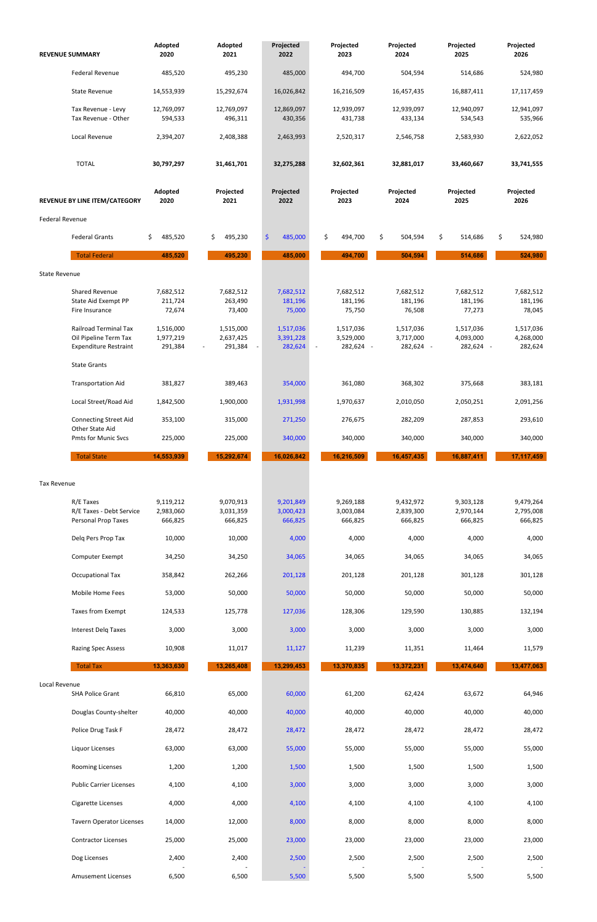| <b>REVENUE SUMMARY</b>                                                                | Adopted<br>2020                   | Adopted<br>2021                                               | Projected<br>2022                 | Projected<br>2023                                     | Projected<br>2024                   | Projected<br>2025                   | Projected<br>2026                 |
|---------------------------------------------------------------------------------------|-----------------------------------|---------------------------------------------------------------|-----------------------------------|-------------------------------------------------------|-------------------------------------|-------------------------------------|-----------------------------------|
| <b>Federal Revenue</b>                                                                | 485,520                           | 495,230                                                       | 485,000                           | 494,700                                               | 504,594                             | 514,686                             | 524,980                           |
| <b>State Revenue</b>                                                                  | 14,553,939                        | 15,292,674                                                    | 16,026,842                        | 16,216,509                                            | 16,457,435                          | 16,887,411                          | 17,117,459                        |
| Tax Revenue - Levy<br>Tax Revenue - Other                                             | 12,769,097<br>594,533             | 12,769,097<br>496,311                                         | 12,869,097<br>430,356             | 12,939,097<br>431,738                                 | 12,939,097<br>433,134               | 12,940,097<br>534,543               | 12,941,097<br>535,966             |
| Local Revenue                                                                         | 2,394,207                         | 2,408,388                                                     | 2,463,993                         | 2,520,317                                             | 2,546,758                           | 2,583,930                           | 2,622,052                         |
| <b>TOTAL</b>                                                                          | 30,797,297                        | 31,461,701                                                    | 32,275,288                        | 32,602,361                                            | 32,881,017                          | 33,460,667                          | 33,741,555                        |
| REVENUE BY LINE ITEM/CATEGORY                                                         | Adopted<br>2020                   | Projected<br>2021                                             | Projected<br>2022                 | Projected<br>2023                                     | Projected<br>2024                   | Projected<br>2025                   | Projected<br>2026                 |
| <b>Federal Revenue</b>                                                                |                                   |                                                               |                                   |                                                       |                                     |                                     |                                   |
| <b>Federal Grants</b>                                                                 | \$<br>485,520                     | \$<br>495,230                                                 | \$<br>485,000                     | \$<br>494,700                                         | \$<br>504,594                       | \$<br>514,686                       | \$<br>524,980                     |
| <b>Total Federal</b>                                                                  | 485,520                           | 495,230                                                       | 485,000                           | 494,700                                               | 504,594                             | 514,686                             | 524,980                           |
| <b>State Revenue</b>                                                                  |                                   |                                                               |                                   |                                                       |                                     |                                     |                                   |
| Shared Revenue<br>State Aid Exempt PP<br>Fire Insurance                               | 7,682,512<br>211,724<br>72,674    | 7,682,512<br>263,490<br>73,400                                | 7,682,512<br>181,196<br>75,000    | 7,682,512<br>181,196<br>75,750                        | 7,682,512<br>181,196<br>76,508      | 7,682,512<br>181,196<br>77,273      | 7,682,512<br>181,196<br>78,045    |
| <b>Railroad Terminal Tax</b><br>Oil Pipeline Term Tax<br><b>Expenditure Restraint</b> | 1,516,000<br>1,977,219<br>291,384 | 1,515,000<br>2,637,425<br>291,384<br>$\sim$<br>$\blacksquare$ | 1,517,036<br>3,391,228<br>282,624 | 1,517,036<br>3,529,000<br>282,624 -<br>$\blacksquare$ | 1,517,036<br>3,717,000<br>282,624 - | 1,517,036<br>4,093,000<br>282,624 - | 1,517,036<br>4,268,000<br>282,624 |
| <b>State Grants</b>                                                                   |                                   |                                                               |                                   |                                                       |                                     |                                     |                                   |
| <b>Transportation Aid</b>                                                             | 381,827                           | 389,463                                                       | 354,000                           | 361,080                                               | 368,302                             | 375,668                             | 383,181                           |
| Local Street/Road Aid                                                                 | 1,842,500                         | 1,900,000                                                     | 1,931,998                         | 1,970,637                                             | 2,010,050                           | 2,050,251                           | 2,091,256                         |
| <b>Connecting Street Aid</b>                                                          | 353,100                           | 315,000                                                       | 271,250                           | 276,675                                               | 282,209                             | 287,853                             | 293,610                           |
| Other State Aid<br><b>Pmts for Munic Svcs</b>                                         | 225,000                           | 225,000                                                       | 340,000                           | 340,000                                               | 340,000                             | 340,000                             | 340,000                           |
| <b>Total State</b>                                                                    | 14,553,939                        | 15,292,674                                                    | 16,026,842                        | 16,216,509                                            | 16,457,435                          | 16,887,411                          | 17,117,459                        |
| <b>Tax Revenue</b>                                                                    |                                   |                                                               |                                   |                                                       |                                     |                                     |                                   |
| R/E Taxes<br>R/E Taxes - Debt Service<br>Personal Prop Taxes                          | 9,119,212<br>2,983,060<br>666,825 | 9,070,913<br>3,031,359<br>666,825                             | 9,201,849<br>3,000,423<br>666,825 | 9,269,188<br>3,003,084<br>666,825                     | 9,432,972<br>2,839,300<br>666,825   | 9,303,128<br>2,970,144<br>666,825   | 9,479,264<br>2,795,008<br>666,825 |
| Delq Pers Prop Tax                                                                    | 10,000                            | 10,000                                                        | 4,000                             | 4,000                                                 | 4,000                               | 4,000                               | 4,000                             |
| Computer Exempt                                                                       | 34,250                            | 34,250                                                        | 34,065                            | 34,065                                                | 34,065                              | 34,065                              | 34,065                            |
| <b>Occupational Tax</b>                                                               | 358,842                           | 262,266                                                       | 201,128                           | 201,128                                               | 201,128                             | 301,128                             | 301,128                           |
| Mobile Home Fees                                                                      | 53,000                            | 50,000                                                        | 50,000                            | 50,000                                                | 50,000                              | 50,000                              | 50,000                            |
| <b>Taxes from Exempt</b>                                                              | 124,533                           | 125,778                                                       | 127,036                           | 128,306                                               | 129,590                             | 130,885                             | 132,194                           |
| Interest Delq Taxes                                                                   | 3,000                             | 3,000                                                         | 3,000                             | 3,000                                                 | 3,000                               | 3,000                               | 3,000                             |
| <b>Razing Spec Assess</b>                                                             | 10,908                            | 11,017                                                        | 11,127                            | 11,239                                                | 11,351                              | 11,464                              | 11,579                            |
| <b>Total Tax</b>                                                                      | 13,363,630                        | 13,265,408                                                    | 13,299,453                        | 13,370,835                                            | 13,372,231                          | 13,474,640                          | 13,477,063                        |

| Local Revenue |                                 |        |        |        |        |        |        |        |
|---------------|---------------------------------|--------|--------|--------|--------|--------|--------|--------|
|               | <b>SHA Police Grant</b>         | 66,810 | 65,000 | 60,000 | 61,200 | 62,424 | 63,672 | 64,946 |
|               | Douglas County-shelter          | 40,000 | 40,000 | 40,000 | 40,000 | 40,000 | 40,000 | 40,000 |
|               | Police Drug Task F              | 28,472 | 28,472 | 28,472 | 28,472 | 28,472 | 28,472 | 28,472 |
|               | Liquor Licenses                 | 63,000 | 63,000 | 55,000 | 55,000 | 55,000 | 55,000 | 55,000 |
|               | <b>Rooming Licenses</b>         | 1,200  | 1,200  | 1,500  | 1,500  | 1,500  | 1,500  | 1,500  |
|               | <b>Public Carrier Licenses</b>  | 4,100  | 4,100  | 3,000  | 3,000  | 3,000  | 3,000  | 3,000  |
|               | Cigarette Licenses              | 4,000  | 4,000  | 4,100  | 4,100  | 4,100  | 4,100  | 4,100  |
|               | <b>Tavern Operator Licenses</b> | 14,000 | 12,000 | 8,000  | 8,000  | 8,000  | 8,000  | 8,000  |
|               | <b>Contractor Licenses</b>      | 25,000 | 25,000 | 23,000 | 23,000 | 23,000 | 23,000 | 23,000 |
|               | Dog Licenses                    | 2,400  | 2,400  | 2,500  | 2,500  | 2,500  | 2,500  | 2,500  |
|               | <b>Amusement Licenses</b>       | 6,500  | 6,500  | 5,500  | 5,500  | 5,500  | 5,500  | 5,500  |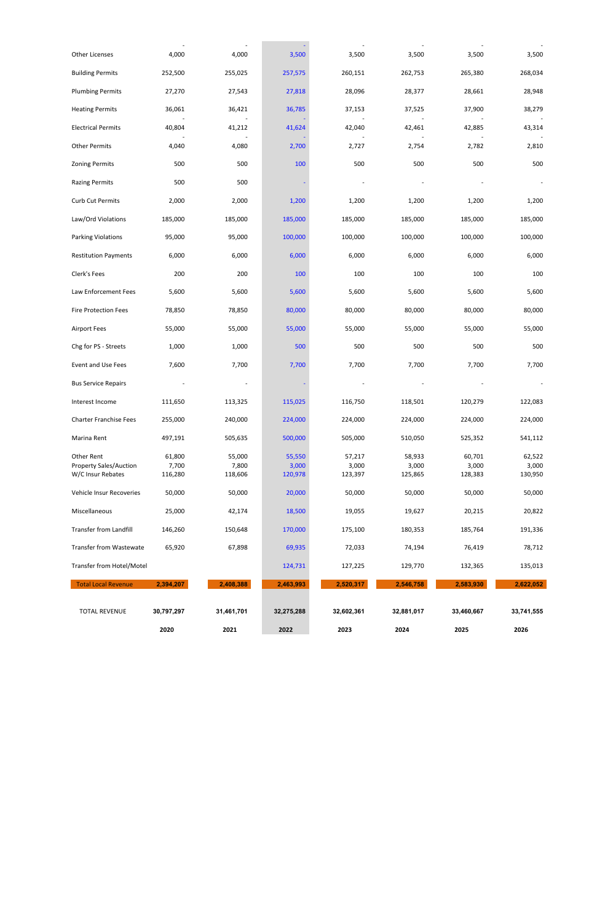| <b>Other Licenses</b>         | 4,000      | 4,000      | 3,500      | 3,500      | 3,500      | 3,500      | 3,500      |
|-------------------------------|------------|------------|------------|------------|------------|------------|------------|
| <b>Building Permits</b>       | 252,500    | 255,025    | 257,575    | 260,151    | 262,753    | 265,380    | 268,034    |
| <b>Plumbing Permits</b>       | 27,270     | 27,543     | 27,818     | 28,096     | 28,377     | 28,661     | 28,948     |
| <b>Heating Permits</b>        | 36,061     | 36,421     | 36,785     | 37,153     | 37,525     | 37,900     | 38,279     |
| <b>Electrical Permits</b>     | 40,804     | 41,212     | 41,624     | 42,040     | 42,461     | 42,885     | 43,314     |
| <b>Other Permits</b>          | 4,040      | 4,080      | 2,700      | 2,727      | 2,754      | 2,782      | 2,810      |
| <b>Zoning Permits</b>         | 500        | 500        | 100        | 500        | 500        | 500        | 500        |
| <b>Razing Permits</b>         | 500        | 500        |            |            |            |            |            |
| <b>Curb Cut Permits</b>       | 2,000      | 2,000      | 1,200      | 1,200      | 1,200      | 1,200      | 1,200      |
| Law/Ord Violations            | 185,000    | 185,000    | 185,000    | 185,000    | 185,000    | 185,000    | 185,000    |
| Parking Violations            | 95,000     | 95,000     | 100,000    | 100,000    | 100,000    | 100,000    | 100,000    |
| <b>Restitution Payments</b>   | 6,000      | 6,000      | 6,000      | 6,000      | 6,000      | 6,000      | 6,000      |
| Clerk's Fees                  | 200        | 200        | 100        | 100        | 100        | 100        | 100        |
| Law Enforcement Fees          | 5,600      | 5,600      | 5,600      | 5,600      | 5,600      | 5,600      | 5,600      |
| <b>Fire Protection Fees</b>   | 78,850     | 78,850     | 80,000     | 80,000     | 80,000     | 80,000     | 80,000     |
| <b>Airport Fees</b>           | 55,000     | 55,000     | 55,000     | 55,000     | 55,000     | 55,000     | 55,000     |
| Chg for PS - Streets          | 1,000      | 1,000      | 500        | 500        | 500        | 500        | 500        |
| Event and Use Fees            | 7,600      | 7,700      | 7,700      | 7,700      | 7,700      | 7,700      | 7,700      |
| <b>Bus Service Repairs</b>    |            |            |            |            |            |            |            |
| Interest Income               | 111,650    | 113,325    | 115,025    | 116,750    | 118,501    | 120,279    | 122,083    |
| <b>Charter Franchise Fees</b> | 255,000    | 240,000    | 224,000    | 224,000    | 224,000    | 224,000    | 224,000    |
| Marina Rent                   | 497,191    | 505,635    | 500,000    | 505,000    | 510,050    | 525,352    | 541,112    |
| Other Rent                    | 61,800     | 55,000     | 55,550     | 57,217     | 58,933     | 60,701     | 62,522     |
| Property Sales/Auction        | 7,700      | 7,800      | 3,000      | 3,000      | 3,000      | 3,000      | 3,000      |
| W/C Insur Rebates             | 116,280    | 118,606    | 120,978    | 123,397    | 125,865    | 128,383    | 130,950    |
| Vehicle Insur Recoveries      | 50,000     | 50,000     | 20,000     | 50,000     | 50,000     | 50,000     | 50,000     |
| Miscellaneous                 | 25,000     | 42,174     | 18,500     | 19,055     | 19,627     | 20,215     | 20,822     |
| Transfer from Landfill        | 146,260    | 150,648    | 170,000    | 175,100    | 180,353    | 185,764    | 191,336    |
| Transfer from Wastewate       | 65,920     | 67,898     | 69,935     | 72,033     | 74,194     | 76,419     | 78,712     |
| Transfer from Hotel/Motel     |            |            | 124,731    | 127,225    | 129,770    | 132,365    | 135,013    |
| <b>Total Local Revenue</b>    | 2,394,207  | 2,408,388  | 2,463,993  | 2,520,317  | 2,546,758  | 2,583,930  | 2,622,052  |
| <b>TOTAL REVENUE</b>          | 30,797,297 | 31,461,701 | 32,275,288 | 32,602,361 | 32,881,017 | 33,460,667 | 33,741,555 |
|                               | 2020       | 2021       | 2022       | 2023       | 2024       | 2025       | 2026       |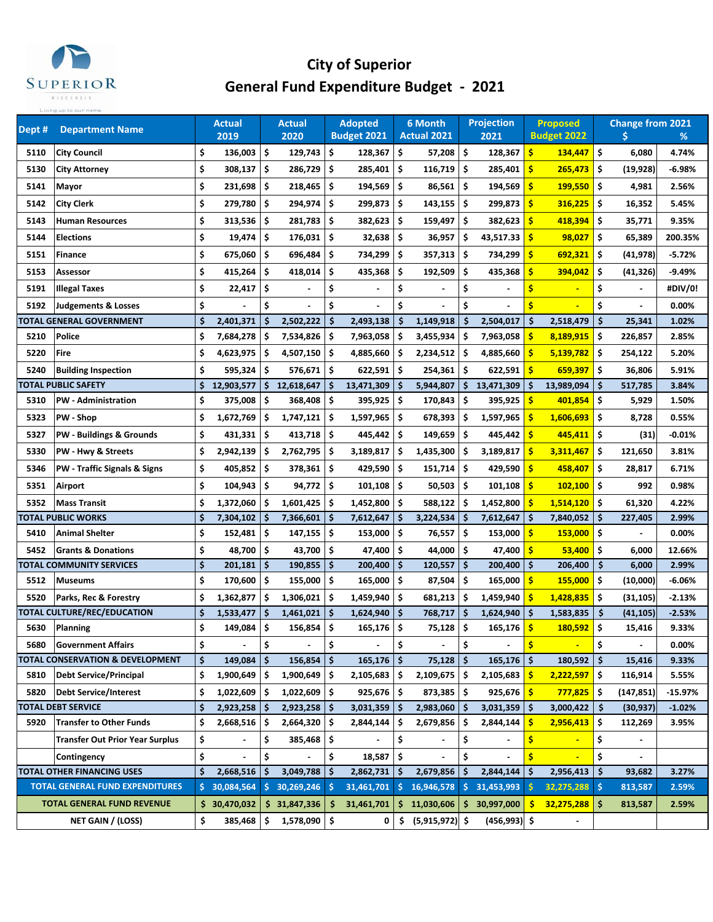

## **City of Superior General Fund Expenditure Budget ‐ 2021**

| Dept # | <b>Department Name</b>                     |     | Actual<br>2019 |     | <b>Actual</b><br>2020 |      | <b>Adopted</b><br><b>Budget 2021</b> |     | 6 Month<br><b>Actual 2021</b> |     | <b>Projection</b><br>2021 |                    | <b>Proposed</b><br><b>Budget 2022</b> |     | <b>Change from 2021</b><br>Ś | %         |
|--------|--------------------------------------------|-----|----------------|-----|-----------------------|------|--------------------------------------|-----|-------------------------------|-----|---------------------------|--------------------|---------------------------------------|-----|------------------------------|-----------|
| 5110   | <b>City Council</b>                        | \$  | 136,003        | \$  | 129,743               | \$   | $128,367$ \$                         |     | 57,208                        | \$  | 128,367                   | \$                 | 134,447                               | \$  | 6,080                        | 4.74%     |
| 5130   | City Attorney                              | \$  | 308,137        | \$  | 286,729               | \$   | 285,401 \$                           |     | 116,719                       | \$  | 285,401                   | \$                 | 265,473                               | \$. | (19,928)                     | -6.98%    |
| 5141   | Mayor                                      | \$  | 231,698        | \$  | 218,465               | \$   | 194,569                              | -\$ | 86,561                        | \$  | 194,569                   | \$                 | 199,550                               | \$  | 4,981                        | 2.56%     |
| 5142   | <b>City Clerk</b>                          | \$  | 279,780        | \$  | 294,974               | \$   | 299,873                              | -\$ | 143,155                       | \$  | 299,873                   | \$                 | 316,225                               | \$  | 16,352                       | 5.45%     |
| 5143   | <b>Human Resources</b>                     | \$  | 313,536        | \$  | 281,783               | \$   | 382,623                              | -\$ | 159,497                       | \$  | 382,623                   | $\mathsf{s}$       | 418,394                               | \$. | 35,771                       | 9.35%     |
| 5144   | <b>Elections</b>                           | \$  | 19,474         | \$  | 176,031               | \$.  | $32,638$ \$                          |     | 36,957                        | \$  | 43,517.33                 | Ŝ                  | 98,027                                | \$. | 65,389                       | 200.35%   |
| 5151   | Finance                                    | \$  | 675,060        | \$  | 696,484               | \$   | 734,299                              | -\$ | 357,313                       | \$  | 734,299                   | \$                 | 692,321                               | \$. | (41,978)                     | $-5.72%$  |
| 5153   | Assessor                                   | \$  | 415,264        | \$  | 418,014               | \$   | 435,368                              | ۱\$ | 192,509                       | \$  | 435,368                   | \$                 | 394,042                               | \$  | (41, 326)                    | $-9.49%$  |
| 5191   | <b>Illegal Taxes</b>                       | \$  | 22,417         | \$  |                       | \$   |                                      | \$  |                               | \$  |                           | \$                 |                                       | \$  |                              | #DIV/0!   |
| 5192   | Judgements & Losses                        | \$  |                | \$  |                       | \$   |                                      | \$  |                               | Ś   |                           | \$                 |                                       | \$  |                              | 0.00%     |
|        | TOTAL GENERAL GOVERNMENT                   | \$  | 2,401,371      | \$  | 2,502,222             | \$   | 2,493,138                            | \$  | 1,149,918                     | \$  | 2,504,017                 | \$                 | 2,518,479                             | -\$ | 25,341                       | 1.02%     |
| 5210   | <b>Police</b>                              | \$  | 7,684,278      | \$  | 7,534,826             | \$   | 7,963,058                            | \$  | 3,455,934                     | \$  | 7,963,058                 | \$                 | 8,189,915                             | \$  | 226,857                      | 2.85%     |
| 5220   | Fire                                       | \$  | 4,623,975      | \$  | 4,507,150             | \$.  | 4,885,660                            | \$. | 2,234,512                     | \$  | 4,885,660                 | \$                 | 5,139,782                             | \$. | 254,122                      | 5.20%     |
| 5240   | <b>Building Inspection</b>                 | \$  | 595,324        | -\$ | $576,671$ \$          |      | $622,591$ \$                         |     | $254,361$ \$                  |     | 622,591                   | \$                 | 659,397                               | \$  | 36,806                       | 5.91%     |
|        | TOTAL PUBLIC SAFETY                        | \$  | 12,903,577     |     | \$12,618,647          | \$   | $13,471,309$ \$                      |     | 5,944,807                     | \$  | 13,471,309                | \$.                | 13,989,094                            | -\$ | 517,785                      | 3.84%     |
| 5310   | <b>PW</b> - Administration                 | \$  | 375,008        | \$  | 368,408               | \$   | 395,925 \$                           |     | 170,843                       | \$  | 395,925                   | \$                 | 401,854                               | \$  | 5,929                        | 1.50%     |
| 5323   | PW - Shop                                  | \$  | 1,672,769      | \$  | 1,747,121             | \$.  | 1,597,965                            | -\$ | 678,393                       | \$  | 1,597,965                 | Ŝ                  | 1,606,693                             | \$. | 8,728                        | 0.55%     |
| 5327   | PW - Buildings & Grounds                   | \$  | 431,331        | \$  | 413,718               | \$   | 445,442                              | \$  | 149,659                       | \$  | 445,442                   | \$                 | 445,411                               | \$  | (31)                         | $-0.01%$  |
| 5330   | PW - Hwy & Streets                         | \$  | 2,942,139      | \$  | 2,762,795             | \$   | 3,189,817                            | \$. | 1,435,300                     | \$  | 3,189,817                 | Ś                  | 3,311,467                             | \$  | 121,650                      | 3.81%     |
| 5346   | <b>PW - Traffic Signals &amp; Signs</b>    | \$  | 405,852        | \$  | 378,361               | \$   | 429,590                              | \$  | 151,714                       | \$. | 429,590                   | $\mathsf{s}$       | 458,407                               | \$  | 28,817                       | 6.71%     |
| 5351   | Airport                                    | \$  | 104,943        | \$. | 94,772                | \$.  | $101,108$ \$                         |     | 50,503                        | \$. | 101,108                   | <b>S</b>           | 102,100                               | \$. | 992                          | 0.98%     |
| 5352   | <b>Mass Transit</b>                        | \$  | 1,372,060      | \$  | 1,601,425             | \$.  | 1,452,800 \$                         |     | 588,122                       | \$  | 1,452,800                 | <b>S</b>           | 1,514,120                             | \$. | 61,320                       | 4.22%     |
|        | TOTAL PUBLIC WORKS                         | \$  | 7,304,102      | \$  | 7,366,601             | \$   | 7,612,647                            | -\$ | 3,224,534                     | \$  | 7,612,647                 | \$.                | 7,840,052                             | -\$ | 227,405                      | 2.99%     |
| 5410   | Animal Shelter                             | \$  | 152,481        | \$  | 147,155               | \$   | 153,000 \$                           |     | 76,557                        | \$  | 153,000                   | <b>S</b>           | 153,000                               | \$  |                              | 0.00%     |
| 5452   | <b>Grants &amp; Donations</b>              | \$  | 48,700         | \$  | 43,700                | \$   | 47,400 \$                            |     | 44,000                        | \$  | 47,400                    | \$                 | 53,400                                | \$. | 6,000                        | 12.66%    |
|        | <b>TOTAL COMMUNITY SERVICES</b>            | \$  | 201,181        | '\$ | 190,855               | \$   | 200,400 \$                           |     | $120,557$   \$                |     | 200,400                   | $\mathsf{\hat{S}}$ | 206,400                               | -\$ | 6,000                        | 2.99%     |
| 5512   | <b>Museums</b>                             | \$  | 170,600        | \$  | 155,000               | \$   | 165,000                              | \$  | 87,504                        | \$  | 165,000                   | \$                 | 155,000                               | \$  | (10,000)                     | $-6.06%$  |
| 5520   | Parks, Rec & Forestry                      | \$  | 1,362,877      | \$  | 1,306,021             | \$.  | $1,459,940$ \$                       |     | 681,213                       | \$  | 1,459,940                 | <b>S</b>           | 1,428,835                             | \$. | (31, 105)                    | $-2.13%$  |
|        | TOTAL CULTURE/REC/EDUCATION                | \$  | 1,533,477      | \$  | 1,461,021             | \$   | $1,624,940$ \$                       |     | 768,717                       | -\$ | 1,624,940                 | Ŝ.                 | 1,583,835                             | -\$ | (41, 105)                    | $-2.53%$  |
| 5630   | Planning                                   | \$  | 149,084 \$     |     | $156,854$ \$          |      | 165,176 \$                           |     | $75,128$ \$                   |     | 165,176                   | \$                 | 180,592                               | \$  | 15,416                       | 9.33%     |
| 5680   | <b>Government Affairs</b>                  | \$  |                | \$  |                       | \$   |                                      | \$  |                               | \$  |                           | \$                 |                                       | \$  |                              | 0.00%     |
|        | <b>OTAL CONSERVATION &amp; DEVELOPMENT</b> | \$. | 149,084        | \$  | 156,854               | \$   | $165, 176$ \$                        |     | 75,128                        | \$  | $165, 176$ \$             |                    | 180,592                               | -\$ | 15,416                       | 9.33%     |
| 5810   | <b>Debt Service/Principal</b>              | \$  | 1,900,649      | \$. | 1,900,649             | -\$  | $2,105,683$ \$                       |     | 2,109,675                     | \$  | 2,105,683                 | s                  | 2,222,597                             | \$  | 116,914                      | 5.55%     |
| 5820   | <b>Debt Service/Interest</b>               | \$  | 1,022,609      | \$  | 1,022,609             | -\$  | $925,676$   \$                       |     | 873,385                       | \$  | 925,676                   | \$                 | 777,825                               | \$  | (147, 851)                   | $-15.97%$ |
|        | <b>TOTAL DEBT SERVICE</b>                  | \$  | 2,923,258      | -S  | 2,923,258             | l \$ | $3,031,359$ \$                       |     | $2,983,060$ \$                |     | $3,031,359$ \$            |                    | $3,000,422$   \$                      |     | (30, 937)                    | $-1.02%$  |
| 5920   | <b>Transfer to Other Funds</b>             | \$  | 2,668,516      | \$  | 2,664,320             | -\$  | 2,844,144                            | -\$ | 2,679,856                     | \$  | 2,844,144                 | s                  | 2,956,413                             | \$  | 112,269                      | 3.95%     |
|        | <b>Transfer Out Prior Year Surplus</b>     | \$  |                | \$  | 385,468               | \$ ا | $\overline{\phantom{0}}$             | \$  | $\overline{\phantom{a}}$      | \$  |                           | \$                 |                                       | \$  |                              |           |
|        | Contingency                                | \$  |                | \$  |                       | \$   | $18,587$ \$                          |     |                               | \$  |                           | \$                 |                                       | \$  |                              |           |
|        | <b>TOTAL OTHER FINANCING USES</b>          | \$  | 2,668,516      | \$  | 3,049,788             | \$   | $2,862,731$ \$                       |     | 2,679,856                     | \$  | 2,844,144                 | \$                 | 2,956,413                             | -\$ | 93,682                       | 3.27%     |
|        | <b>TOTAL GENERAL FUND EXPENDITURES</b>     | \$. | 30,084,564     | \$. | 30,269,246            | \$   | 31,461,701                           | -\$ | 16,946,578                    | \$  | 31,453,993                |                    | 32,275,288                            | -\$ | 813,587                      | 2.59%     |
|        | TOTAL GENERAL FUND REVENUE                 |     | \$30,470,032   |     | \$31,847,336          | \$.  | 31,461,701                           | S   | 11,030,606                    | \$  | 30,997,000                | \$                 | 32,275,288                            | -\$ | 813,587                      | 2.59%     |
|        | NET GAIN / (LOSS)                          | \$  | 385,468        | \$  | 1,578,090             | \$   | 0                                    | \$  | $(5,915,972)$ \$              |     | $(456,993)$ \$            |                    | $\blacksquare$                        |     |                              |           |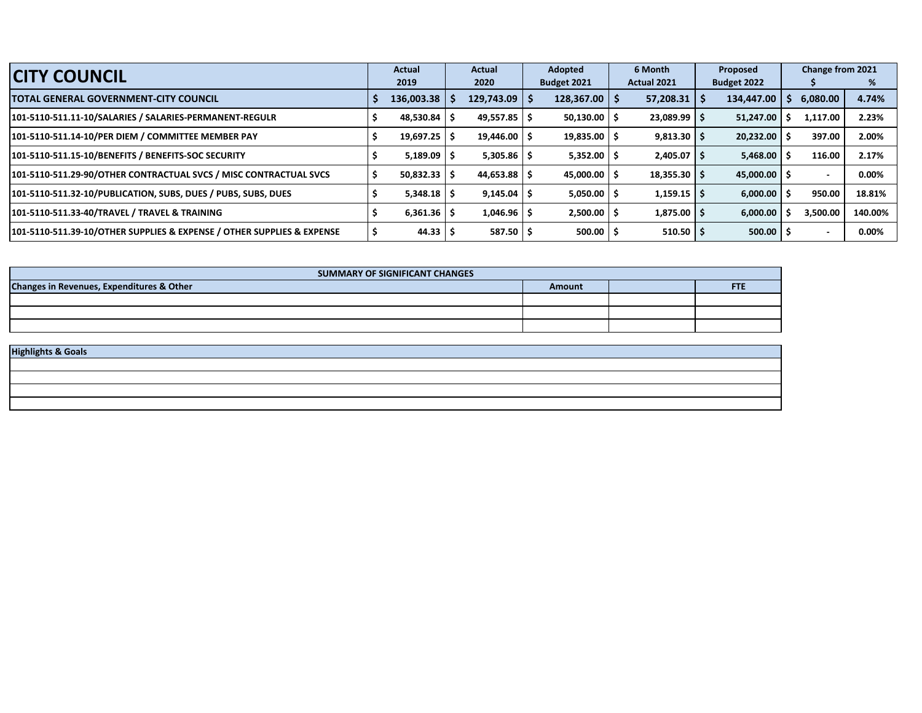| <b>CITY COUNCIL</b>                                                    |  | <b>Actual</b>   | <b>Actual</b> |                           | Adopted |             | 6 Month |                    | Proposed |                    | Change from 2021 |          |         |
|------------------------------------------------------------------------|--|-----------------|---------------|---------------------------|---------|-------------|---------|--------------------|----------|--------------------|------------------|----------|---------|
|                                                                        |  | 2019            |               | 2020                      |         | Budget 2021 |         | <b>Actual 2021</b> |          | <b>Budget 2022</b> |                  |          | %       |
| <b>TOTAL GENERAL GOVERNMENT-CITY COUNCIL</b>                           |  | 136,003.38      |               | $129,743.09$   \$         |         | 128,367.00  |         | 57,208.31          |          | 134,447.00         |                  | 6,080.00 | 4.74%   |
| 101-5110-511.11-10/SALARIES / SALARIES-PERMANENT-REGULR                |  | 48,530.84       |               | $49,557.85$ $\frac{1}{5}$ |         | 50,130.00   |         | 23,089.99          |          | 51,247.00          |                  | 1,117.00 | 2.23%   |
| 101-5110-511.14-10/PER DIEM / COMMITTEE MEMBER PAY                     |  | 19,697.25       |               | $19,446.00$   \$          |         | 19,835.00   |         | 9,813.30           |          | $20,232.00$   \$   |                  | 397.00   | 2.00%   |
| 101-5110-511.15-10/BENEFITS / BENEFITS-SOC SECURITY                    |  | 5,189.09        |               | $5,305.86$ $\vert$ \$     |         | 5,352.00    |         | 2,405.07           |          | 5,468.00           |                  | 116.00   | 2.17%   |
| 101-5110-511.29-90/OTHER CONTRACTUAL SVCS / MISC CONTRACTUAL SVCS      |  | 50,832.33       |               | $44,653.88$   \$          |         | 45,000.00   |         | 18,355.30          |          | $45,000.00$ S      |                  |          | 0.00%   |
| 101-5110-511.32-10/PUBLICATION, SUBS, DUES / PUBS, SUBS, DUES          |  | $5,348.18$   \$ |               | $9,145.04$ \$             |         | 5,050.00    |         | 1,159.15           |          | $6,000.00$   \$    |                  | 950.00   | 18.81%  |
| 101-5110-511.33-40/TRAVEL / TRAVEL & TRAINING                          |  | $6,361.36$   \$ |               | $1,046.96$   \$           |         | 2,500.00    |         | 1,875.00           |          | 6,000.00           |                  | 3.500.00 | 140.00% |
| 101-5110-511.39-10/OTHER SUPPLIES & EXPENSE / OTHER SUPPLIES & EXPENSE |  | 44.33           | -5            | $587.50$ $\sqrt{5}$       |         | 500.00      |         | 510.50             |          | $500.00$   \$      |                  |          | 0.00%   |

| SUMMARY OF SIGNIFICANT CHANGES            |        |  |            |  |  |  |  |  |  |  |  |  |
|-------------------------------------------|--------|--|------------|--|--|--|--|--|--|--|--|--|
| Changes in Revenues, Expenditures & Other | Amount |  | <b>FTE</b> |  |  |  |  |  |  |  |  |  |
|                                           |        |  |            |  |  |  |  |  |  |  |  |  |
|                                           |        |  |            |  |  |  |  |  |  |  |  |  |
|                                           |        |  |            |  |  |  |  |  |  |  |  |  |
|                                           |        |  |            |  |  |  |  |  |  |  |  |  |
| <b>Highlights &amp; Goals</b>             |        |  |            |  |  |  |  |  |  |  |  |  |
|                                           |        |  |            |  |  |  |  |  |  |  |  |  |
|                                           |        |  |            |  |  |  |  |  |  |  |  |  |
|                                           |        |  |            |  |  |  |  |  |  |  |  |  |
|                                           |        |  |            |  |  |  |  |  |  |  |  |  |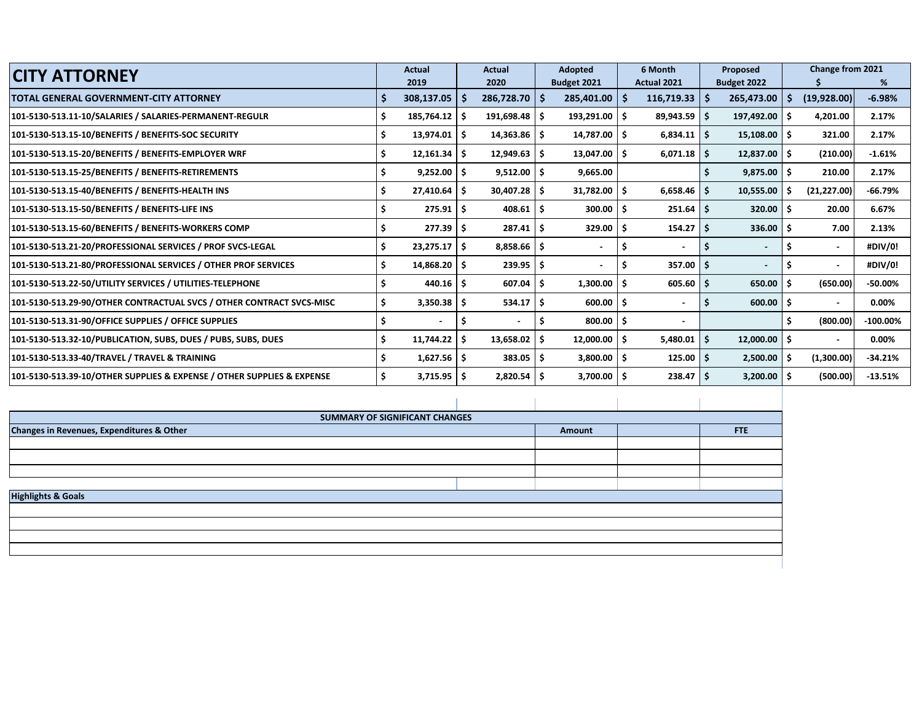| <b>CITY ATTORNEY</b>                                                   |   | <b>Actual</b>         |    | Actual                   |    | Adopted                  |          | 6 Month           |     | Proposed    |    | Change from 2021 |             |
|------------------------------------------------------------------------|---|-----------------------|----|--------------------------|----|--------------------------|----------|-------------------|-----|-------------|----|------------------|-------------|
|                                                                        |   | 2019                  |    | 2020                     |    | Budget 2021              |          | Actual 2021       |     | Budget 2022 |    |                  | %           |
| TOTAL GENERAL GOVERNMENT-CITY ATTORNEY                                 |   | $308,137.05$   \$     |    | 286,728.70               | ۱s | 285,401.00               | <b>S</b> | $116,719.33$   \$ |     | 265,473.00  | -S | (19,928.00)      | $-6.98%$    |
| 101-5130-513.11-10/SALARIES / SALARIES-PERMANENT-REGULR                |   | $185,764.12$ \$       |    | $191,698.48$ \$          |    | 193,291.00               | - Ś      | $89,943.59$ \$    |     | 197,492.00  | .S | 4,201.00         | 2.17%       |
| 101-5130-513.15-10/BENEFITS / BENEFITS-SOC SECURITY                    |   | $13,974.01$ \$        |    | $14,363.86$ \$           |    | 14,787.00                | - Ś      | $6,834.11$ \$     |     | 15,108.00   | Ŝ. | 321.00           | 2.17%       |
| 101-5130-513.15-20/BENEFITS / BENEFITS-EMPLOYER WRF                    |   | $12,161.34$ \$        |    | 12,949.63                | -Ś | 13,047.00                | Ŝ.       | $6,071.18$ \$     |     | 12,837.00   | .s | (210.00)         | $-1.61%$    |
| 101-5130-513.15-25/BENEFITS / BENEFITS-RETIREMENTS                     |   | $9,252.00$ \$         |    | $9,512.00$ $\frac{1}{5}$ |    | 9,665.00                 |          |                   |     | 9.875.00    | .s | 210.00           | 2.17%       |
| 101-5130-513.15-40/BENEFITS / BENEFITS-HEALTH INS                      |   | $27,410.64$ \$        |    | $30,407.28$ \$           |    | $31,782.00$ \$           |          | $6,658.46$ \$     |     | 10,555.00   |    | (21, 227.00)     | $-66.79%$   |
| 101-5130-513.15-50/BENEFITS / BENEFITS-LIFE INS                        |   | $275.91$ \$           |    | 408.61                   | -S | 300.00                   | -S       | $251.64$ \$       |     | 320.00      | Ŝ  | 20.00            | 6.67%       |
| 101-5130-513.15-60/BENEFITS / BENEFITS-WORKERS COMP                    |   | $277.39$ \$           |    | 287.41                   | -S | 329.00                   | -S       | 154.27            | ۱s  | 336.00      | .S | 7.00             | 2.13%       |
| 101-5130-513.21-20/PROFESSIONAL SERVICES / PROF SVCS-LEGAL             |   | $23,275.17$ \$        |    | 8,858.66                 | -S | $\blacksquare$           |          | $\blacksquare$    |     |             |    |                  | #DIV/0!     |
| 101-5130-513.21-80/PROFESSIONAL SERVICES / OTHER PROF SERVICES         |   | $14,868.20$ \$        |    | $239.95$ \$              |    |                          |          | 357.00            | ∣S. |             |    |                  | #DIV/0!     |
| 101-5130-513.22-50/UTILITY SERVICES / UTILITIES-TELEPHONE              |   | 440.16                | -S | 607.04                   | .S | 1,300.00                 |          | 605.60            |     | 650.00      |    | (650.00)         | -50.00%     |
| 101-5130-513.29-90/OTHER CONTRACTUAL SVCS / OTHER CONTRACT SVCS-MISC   |   | $3,350.38$ $\sqrt{5}$ |    | 534.17                   | S  | 600.00                   | -S       |                   | S   | 600.00      |    |                  | 0.00%       |
| 101-5130-513.31-90/OFFICE SUPPLIES / OFFICE SUPPLIES                   |   |                       | S  | $\blacksquare$           | .s | 800.00                   | -S       | Ξ.                |     |             |    | (800.00)         | $-100.00\%$ |
| 101-5130-513.32-10/PUBLICATION, SUBS, DUES / PUBS, SUBS, DUES          | S | $11,744.22$   \$      |    | $13,658.02$ \$           |    | 12,000.00                | - Ś      | 5,480.01          | S   | 12,000.00   | .S |                  | 0.00%       |
| 101-5130-513.33-40/TRAVEL / TRAVEL & TRAINING                          |   | $1,627.56$ \$         |    | 383.05                   | -S | $3,800.00$ $\frac{1}{5}$ |          | $125.00$   \$     |     | 2,500.00    | -S | (1,300.00)       | $-34.21%$   |
| 101-5130-513.39-10/OTHER SUPPLIES & EXPENSE / OTHER SUPPLIES & EXPENSE |   | $3,715.95$ \$         |    | 2,820.54                 |    | 3,700.00                 |          | 238.47            | ۱s  | 3,200.00    | -S | (500.00)         | $-13.51%$   |

|                                           | SUMMARY OF SIGNIFICANT CHANGES |        |     |
|-------------------------------------------|--------------------------------|--------|-----|
| Changes in Revenues, Expenditures & Other |                                | Amount | FTE |
|                                           |                                |        |     |
|                                           |                                |        |     |
|                                           |                                |        |     |
|                                           |                                |        |     |
| <b>Highlights &amp; Goals</b>             |                                |        |     |
|                                           |                                |        |     |
|                                           |                                |        |     |
|                                           |                                |        |     |
|                                           |                                |        |     |
|                                           |                                |        |     |
|                                           |                                |        |     |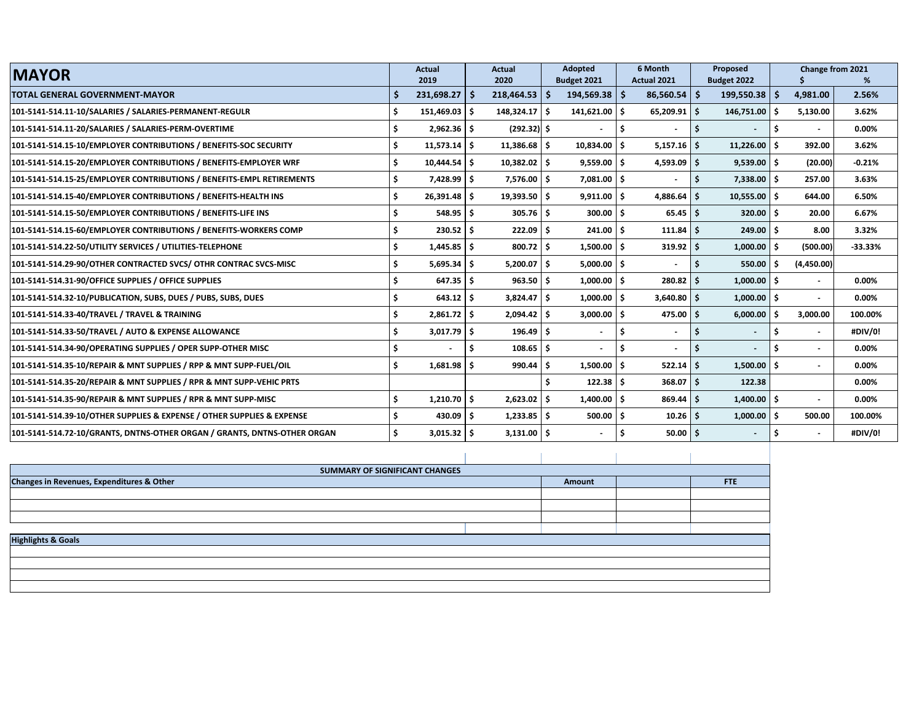| <b>MAYOR</b>                                                             | <b>Actual</b>          |                | <b>Actual</b>        | <b>Adopted</b>  | 6 Month                       |              | Proposed          |     | Change from 2021         |           |
|--------------------------------------------------------------------------|------------------------|----------------|----------------------|-----------------|-------------------------------|--------------|-------------------|-----|--------------------------|-----------|
|                                                                          | 2019                   |                | 2020                 | Budget 2021     | Actual 2021                   |              | Budget 2022       |     |                          | %         |
| <b>TOTAL GENERAL GOVERNMENT-MAYOR</b>                                    | -\$<br>$231,698.27$ \$ |                | $218,464.53$ \$      | $194,569.38$ \$ | $86,560.54$   \$              |              | $199,550.38$   \$ |     | 4,981.00                 | 2.56%     |
| 101-5141-514.11-10/SALARIES / SALARIES-PERMANENT-REGULR                  | 151,469.03 \$          |                | $148,324.17$ \$      | $141,621.00$ \$ | $65,209.91$ \$                |              | $146,751.00$ \$   |     | 5,130.00                 | 3.62%     |
| 101-5141-514.11-20/SALARIES / SALARIES-PERM-OVERTIME                     |                        | $2,962.36$ \$  | $(292.32)$ \$        |                 | Ŝ<br>$\blacksquare$           | l \$         |                   |     | $\overline{\phantom{a}}$ | 0.00%     |
| 101-5141-514.15-10/EMPLOYER CONTRIBUTIONS / BENEFITS-SOC SECURITY        |                        | $11,573.14$ \$ | $11,386.68$ \$       | 10,834.00 \$    | $5,157.16$ \$                 |              | 11,226.00         | Ś.  | 392.00                   | 3.62%     |
| 101-5141-514.15-20/EMPLOYER CONTRIBUTIONS / BENEFITS-EMPLOYER WRF        | Ś                      | $10,444.54$ \$ | $10,382.02$ \$       | $9,559.00$ \$   | $4,593.09$ \$                 |              | $9,539.00$ \$     |     | (20.00)                  | $-0.21%$  |
| 101-5141-514.15-25/EMPLOYER CONTRIBUTIONS / BENEFITS-EMPL RETIREMENTS    | Ś                      | 7,428.99 \$    | $7,576.00$ $\mid$ \$ | $7,081.00$ \$   | $\sim$                        | l S          | 7,338.00          | \$. | 257.00                   | 3.63%     |
| 101-5141-514.15-40/EMPLOYER CONTRIBUTIONS / BENEFITS-HEALTH INS          |                        | $26,391.48$ \$ | $19,393.50$ \$       | $9,911.00$ \$   | $4,886.64$ \$                 |              | 10,555.00         | Ś.  | 644.00                   | 6.50%     |
| 101-5141-514.15-50/EMPLOYER CONTRIBUTIONS / BENEFITS-LIFE INS            |                        | $548.95$ \$    | $305.76$ \$          | $300.00$ \$     |                               | $65.45$ \$   | 320.00            | Ś.  | 20.00                    | 6.67%     |
| 101-5141-514.15-60/EMPLOYER CONTRIBUTIONS / BENEFITS-WORKERS COMP        |                        | $230.52$ \$    | $222.09$ \$          | $241.00$ \$     | $111.84$ \$                   |              | 249.00            | Ŝ.  | 8.00                     | 3.32%     |
| 101-5141-514.22-50/UTILITY SERVICES / UTILITIES-TELEPHONE                |                        | $1,445.85$ \$  | $800.72$ \$          | 1,500.00        | Ŝ.<br>$319.92$ \$             |              | 1,000.00          | Ś   | (500.00)                 | $-33.33%$ |
| 101-5141-514.29-90/OTHER CONTRACTED SVCS/OTHR CONTRAC SVCS-MISC          | Ś                      | $5,695.34$ \$  | $5,200.07$ \$        | $5,000.00$ \$   | $\overline{\phantom{a}}$      | ۱s           | 550.00            | Š.  | (4,450.00)               |           |
| 101-5141-514.31-90/OFFICE SUPPLIES / OFFICE SUPPLIES                     |                        | $647.35$ \$    | $963.50$ \$          | $1,000.00$ \$   | $280.82$ \ \$                 |              | 1,000.00          | Ś.  | $\overline{\phantom{a}}$ | 0.00%     |
| 101-5141-514.32-10/PUBLICATION, SUBS, DUES / PUBS, SUBS, DUES            |                        | 643.12         | $3,824.47$ \$<br>- S | 1,000.00        | Ś.<br>$3,640.80$ \$           |              | 1,000.00          | Ś.  | $\overline{\phantom{a}}$ | 0.00%     |
| 101-5141-514.33-40/TRAVEL / TRAVEL & TRAINING                            |                        | $2,861.72$ \$  | $2,094.42$ \$        | $3,000.00$ \$   | $475.00$ \$                   |              | 6,000.00          | Ŝ.  | 3,000.00                 | 100.00%   |
| 101-5141-514.33-50/TRAVEL / AUTO & EXPENSE ALLOWANCE                     |                        | $3,017.79$ \$  | $196.49$ \$          |                 | Ŝ<br>$\blacksquare$           |              |                   | Ś.  | $\overline{\phantom{a}}$ | #DIV/0!   |
| 101-5141-514.34-90/OPERATING SUPPLIES / OPER SUPP-OTHER MISC             |                        |                | -\$<br>$108.65$ \$   |                 | S<br>$\overline{\phantom{a}}$ | ۱S           |                   | Ś.  | $\sim$                   | 0.00%     |
| 101-5141-514.35-10/REPAIR & MNT SUPPLIES / RPP & MNT SUPP-FUEL/OIL       | \$                     | $1,681.98$ \$  | $990.44$ \$          | $1,500.00$ \$   | $522.14$ \$                   |              | 1,500.00          | Ś.  | $\blacksquare$           | 0.00%     |
| 101-5141-514.35-20/REPAIR & MNT SUPPLIES / RPR & MNT SUPP-VEHIC PRTS     |                        |                |                      | $122.38$ \$     | $368.07$ S                    |              | 122.38            |     |                          | 0.00%     |
| 101-5141-514.35-90/REPAIR & MNT SUPPLIES / RPR & MNT SUPP-MISC           | Ś                      | $1,210.70$ \$  | $2,623.02$ \$        | 1,400.00        | Ŝ.<br>$869.44$ \$             |              | 1,400.00          | \$  | $\blacksquare$           | 0.00%     |
| 101-5141-514.39-10/OTHER SUPPLIES & EXPENSE / OTHER SUPPLIES & EXPENSE   |                        | $430.09$ \$    | $1,233.85$ \$        | $500.00$ \$     |                               | $10.26$   \$ | 1,000.00          | Ŝ.  | 500.00                   | 100.00%   |
| 101-5141-514.72-10/GRANTS, DNTNS-OTHER ORGAN / GRANTS, DNTNS-OTHER ORGAN |                        | $3,015.32$ \$  | $3,131.00$ \$        |                 | \$.                           | $50.00$ \$   |                   |     | $\blacksquare$           | #DIV/0!   |

| SUMMARY OF SIGNIFICANT CHANGES            |        |            |
|-------------------------------------------|--------|------------|
| Changes in Revenues, Expenditures & Other | Amount | <b>FTE</b> |
|                                           |        |            |
|                                           |        |            |
|                                           |        |            |
|                                           |        |            |
| <b>Highlights &amp; Goals</b>             |        |            |
|                                           |        |            |
|                                           |        |            |
|                                           |        |            |
|                                           |        |            |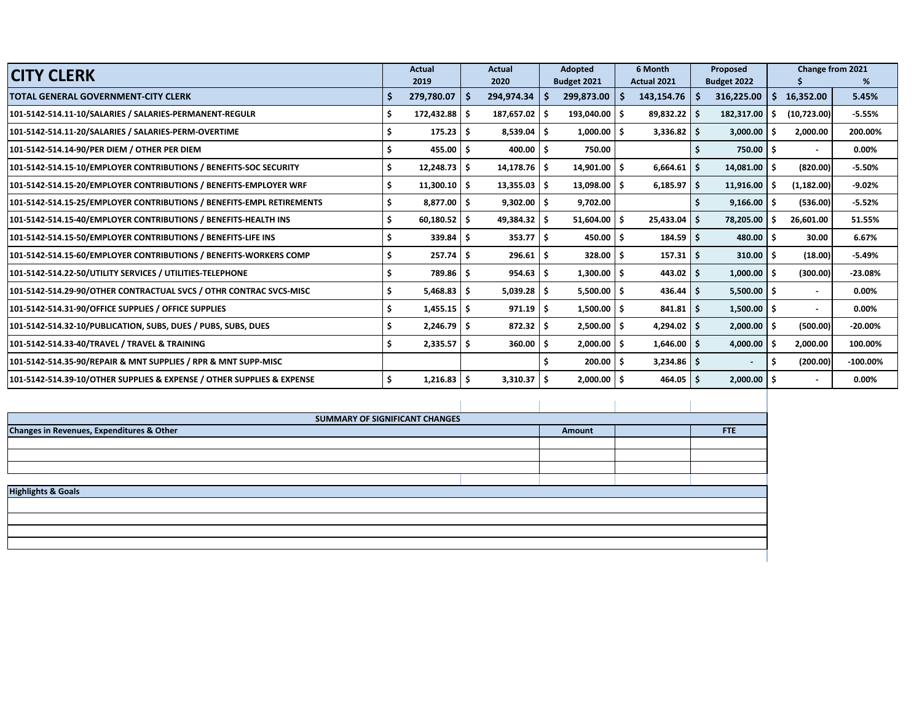| <b>CITY CLERK</b>                                                      | <b>Actual</b>             |   | <b>Actual</b> |     | Adopted          |             | 6 Month             | Proposed                 |     | <b>Change from 2021</b> |             |
|------------------------------------------------------------------------|---------------------------|---|---------------|-----|------------------|-------------|---------------------|--------------------------|-----|-------------------------|-------------|
|                                                                        | 2019                      |   | 2020          |     | Budget 2021      | Actual 2021 |                     | Budget 2022              |     |                         | ℅           |
| <b>TOTAL GENERAL GOVERNMENT-CITY CLERK</b>                             | $279,780.07$ \$           |   | 294,974.34    | -S  | 299,873.00       |             | $143,154.76$   \$   | 316,225.00               | S.  | 16,352.00               | 5.45%       |
| 101-5142-514.11-10/SALARIES / SALARIES-PERMANENT-REGULR                | 172,432.88 \$             |   | 187,657.02    | S   | $193,040.00$ \$  |             | $89,832.22$ \$      | 182,317.00               | -S  | (10,723.00)             | $-5.55%$    |
| 101-5142-514.11-20/SALARIES / SALARIES-PERM-OVERTIME                   | $175.23$ S                |   | 8,539.04      | Ŝ.  | $1,000.00$   \$  |             | $3,336.82$ \$       | 3,000.00                 | ۱s  | 2,000.00                | 200.00%     |
| 101-5142-514.14-90/PER DIEM / OTHER PER DIEM                           | $455.00$ S                |   | 400.00        | Ŝ   | 750.00           |             |                     | $750.00$   \$            |     |                         | 0.00%       |
| 101-5142-514.15-10/EMPLOYER CONTRIBUTIONS / BENEFITS-SOC SECURITY      | $12,248.73$ $\frac{1}{5}$ |   | 14,178.76     | Ŝ.  | $14,901.00$   \$ |             | $6,664.61$ \$       | 14,081.00                | l S | (820.00)                | $-5.50%$    |
| 101-5142-514.15-20/EMPLOYER CONTRIBUTIONS / BENEFITS-EMPLOYER WRF      | $11,300.10$   \$          |   | 13,355.03     | \$. | $13,098.00$   \$ |             | $6,185.97$ \$       | 11,916.00                | - S | (1, 182.00)             | $-9.02%$    |
| 101-5142-514.15-25/EMPLOYER CONTRIBUTIONS / BENEFITS-EMPL RETIREMENTS  | $8,877.00$   \$           |   | 9,302.00      | -S  | 9,702.00         |             |                     | 9,166.00                 | ۱S  | (536.00)                | $-5.52%$    |
| 101-5142-514.15-40/EMPLOYER CONTRIBUTIONS / BENEFITS-HEALTH INS        | $60,180.52$ $\sqrt{5}$    |   | 49,384.32     | \$. | $51,604.00$ \$   |             | $25,433.04$ \$      | 78,205.00                |     | 26,601.00               | 51.55%      |
| 101-5142-514.15-50/EMPLOYER CONTRIBUTIONS / BENEFITS-LIFE INS          | 339.84                    |   | 353.77        | \$. | $450.00$   \$    |             | $184.59$ $\pm$      | 480.00                   | -\$ | 30.00                   | 6.67%       |
| 101-5142-514.15-60/EMPLOYER CONTRIBUTIONS / BENEFITS-WORKERS COMP      | 257.74                    | S | 296.61        | Ŝ   | 328.00           |             | $157.31 \mid \zeta$ | 310.00                   | ۱s  | (18.00)                 | $-5.49%$    |
| 101-5142-514.22-50/UTILITY SERVICES / UTILITIES-TELEPHONE              | 789.86                    |   | 954.63        | -S  | $1,300.00$   \$  |             | $443.02$   \$       | 1,000.00                 |     | (300.00)                | $-23.08%$   |
| 101-5142-514.29-90/OTHER CONTRACTUAL SVCS / OTHR CONTRAC SVCS-MISC     | 5,468.83                  | S | 5,039.28      | -S  | $5,500.00$   \$  |             | $436.44$ \$         | $5,500.00$ $\uparrow$ \$ |     |                         | 0.00%       |
| 101-5142-514.31-90/OFFICE SUPPLIES / OFFICE SUPPLIES                   | $1,455.15$ $\sqrt{5}$     |   | 971.19        | Ŝ   | $1,500.00$   \$  |             | $841.81$ \$         | 1,500.00                 | ۱s  |                         | 0.00%       |
| 101-5142-514.32-10/PUBLICATION, SUBS, DUES / PUBS, SUBS, DUES          | $2,246.79$ $\mid$ \$      |   | 872.32        | Ŝ   | $2,500.00$   \$  |             | $4,294.02$ \$       | 2,000.00                 | -\$ | (500.00)                | $-20.00\%$  |
| 101-5142-514.33-40/TRAVEL / TRAVEL & TRAINING                          | $2,335.57$ $\mid$ \$      |   | 360.00        | Ŝ   | $2,000.00$   \$  |             | $1,646.00$   \$     | 4,000.00                 | -S  | 2,000.00                | 100.00%     |
| 101-5142-514.35-90/REPAIR & MNT SUPPLIES / RPR & MNT SUPP-MISC         |                           |   |               |     | 200.00           | l S         | $3,234.86$ \$       | $\sim$                   |     | (200.00)                | $-100.00\%$ |
| 101-5142-514.39-10/OTHER SUPPLIES & EXPENSE / OTHER SUPPLIES & EXPENSE | 1,216.83                  | Ŝ | 3,310.37      | Ŝ.  | $2,000.00$   \$  |             | $464.05$   \$       | $2,000.00$   \$          |     | $\blacksquare$          | 0.00%       |

|                                           | SUMMARY OF SIGNIFICANT CHANGES |        |     |
|-------------------------------------------|--------------------------------|--------|-----|
| Changes in Revenues, Expenditures & Other |                                | Amount | FTE |
|                                           |                                |        |     |
|                                           |                                |        |     |
|                                           |                                |        |     |
|                                           |                                |        |     |
| <b>Highlights &amp; Goals</b>             |                                |        |     |
|                                           |                                |        |     |
|                                           |                                |        |     |
|                                           |                                |        |     |
|                                           |                                |        |     |
|                                           |                                |        |     |
|                                           |                                |        |     |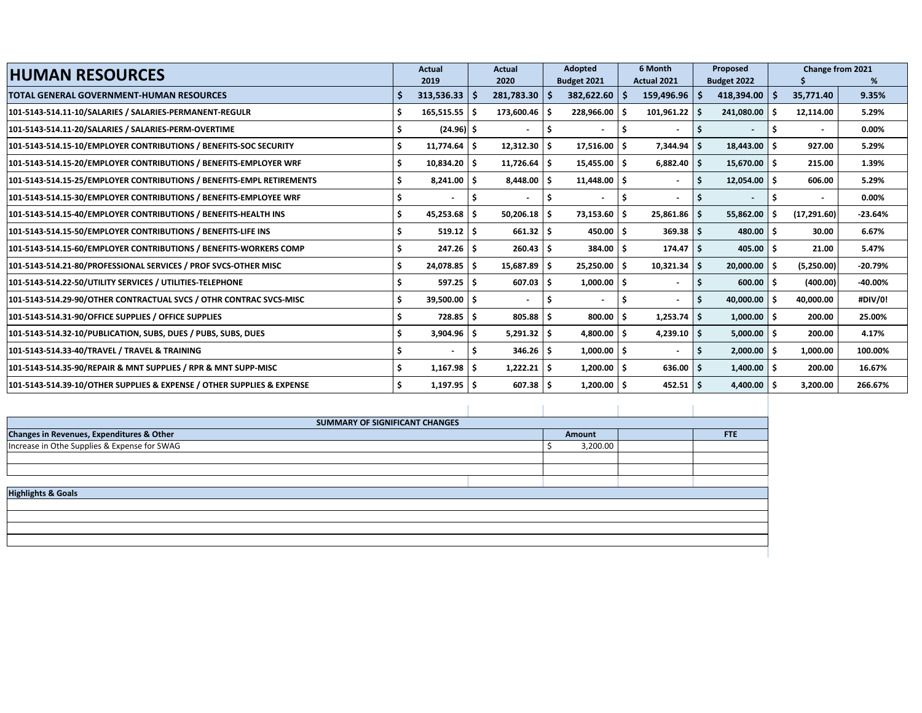| <b>HUMAN RESOURCES</b>                                                 |     | <b>Actual</b>            |     | <b>Actual</b>    |    | <b>Adopted</b>           |     | 6 Month                  |     | Proposed         |     | Change from 2021         |           |
|------------------------------------------------------------------------|-----|--------------------------|-----|------------------|----|--------------------------|-----|--------------------------|-----|------------------|-----|--------------------------|-----------|
|                                                                        |     | 2019                     |     | 2020             |    | Budget 2021              |     | Actual 2021              |     | Budget 2022      |     |                          | %         |
| <b>TOTAL GENERAL GOVERNMENT-HUMAN RESOURCES</b>                        |     | $313,536.33$   \$        |     | 281,783.30       |    | 382,622.60               |     | 159,496.96               |     | 418,394.00       | -S  | 35,771.40                | 9.35%     |
| 101-5143-514.11-10/SALARIES / SALARIES-PERMANENT-REGULR                |     | $165,515.55$ \$          |     | 173,600.46       |    | 228,966.00               |     | 101,961.22               |     | 241,080.00       |     | 12,114.00                | 5.29%     |
| 101-5143-514.11-20/SALARIES / SALARIES-PERM-OVERTIME                   |     | $(24.96)$ \$             |     |                  |    | $\blacksquare$           |     |                          |     |                  |     |                          | 0.00%     |
| 101-5143-514.15-10/EMPLOYER CONTRIBUTIONS / BENEFITS-SOC SECURITY      |     | $11,774.64$ \$           |     | $12,312.30$   \$ |    | 17,516.00                |     | 7,344.94                 |     | 18,443.00        | -S  | 927.00                   | 5.29%     |
| 101-5143-514.15-20/EMPLOYER CONTRIBUTIONS / BENEFITS-EMPLOYER WRF      | Ś   | 10,834.20 \$             |     | $11,726.64$   \$ |    | $15,455.00$ $\vert$ \$   |     | $6,882.40$ \$            |     | $15,670.00$ \$   |     | 215.00                   | 1.39%     |
| 101-5143-514.15-25/EMPLOYER CONTRIBUTIONS / BENEFITS-EMPL RETIREMENTS  | \$. | $8.241.00$ S             |     | $8.448.00$ S     |    | $11,448.00$ \$           |     | $\overline{\phantom{a}}$ |     | $12,054.00$   \$ |     | 606.00                   | 5.29%     |
| 101-5143-514.15-30/EMPLOYER CONTRIBUTIONS / BENEFITS-EMPLOYEE WRF      |     | $\overline{\phantom{0}}$ | -S  | $\blacksquare$   |    | $\overline{\phantom{a}}$ |     | $\overline{\phantom{a}}$ |     | $\blacksquare$   |     | $\overline{\phantom{a}}$ | 0.00%     |
| 101-5143-514.15-40/EMPLOYER CONTRIBUTIONS / BENEFITS-HEALTH INS        | Ś   | 45,253.68                |     | $50,206.18$ \$   |    | 73,153.60                | ۱\$ | 25,861.86                |     | 55,862.00        | .S  | (17, 291.60)             | $-23.64%$ |
| 101-5143-514.15-50/EMPLOYER CONTRIBUTIONS / BENEFITS-LIFE INS          |     | 519.12                   |     | $661.32$ \$      |    | 450.00                   | ۱s  | $369.38$ \$              |     | 480.00           | -Ś  | 30.00                    | 6.67%     |
| 101-5143-514.15-60/EMPLOYER CONTRIBUTIONS / BENEFITS-WORKERS COMP      |     | 247.26                   |     | 260.43           |    | 384.00                   |     | 174.47                   |     | 405.00           |     | 21.00                    | 5.47%     |
| 101-5143-514.21-80/PROFESSIONAL SERVICES / PROF SVCS-OTHER MISC        |     | 24,078.85                |     | 15,687.89        |    | 25,250.00                | ۱Ś  | $10,321.34$ \$           |     | 20,000.00        |     | (5,250.00)               | $-20.79%$ |
| 101-5143-514.22-50/UTILITY SERVICES / UTILITIES-TELEPHONE              |     | $597.25$ S               |     | $607.03$   \$    |    | $1,000.00$   \$          |     | $\overline{\phantom{a}}$ |     | $600.00$ \$      |     | (400.00)                 | -40.00%   |
| 101-5143-514.29-90/OTHER CONTRACTUAL SVCS / OTHR CONTRAC SVCS-MISC     | Ś   | $39,500.00$   \$         |     | $\blacksquare$   |    | $\overline{\phantom{a}}$ |     | $\overline{\phantom{a}}$ |     | $40,000.00$ \$   |     | 40,000.00                | #DIV/0!   |
| 101-5143-514.31-90/OFFICE SUPPLIES / OFFICE SUPPLIES                   |     | 728.85                   | ۱S  | $805.88$ \$      |    | 800.00                   | ۱\$ | 1,253.74                 |     | $1,000.00$ \$    |     | 200.00                   | 25.00%    |
| 101-5143-514.32-10/PUBLICATION, SUBS, DUES / PUBS, SUBS, DUES          |     | 3,904.96                 | - S | 5,291.32         | Ŝ. | 4,800.00                 | ۱Ś  | 4,239.10                 | -Ś. | 5,000.00         | Ŝ.  | 200.00                   | 4.17%     |
| 101-5143-514.33-40/TRAVEL / TRAVEL & TRAINING                          |     |                          |     | $346.26$ \$      |    | 1,000.00                 |     |                          |     | 2,000.00         | -Ś  | 1,000.00                 | 100.00%   |
| 101-5143-514.35-90/REPAIR & MNT SUPPLIES / RPR & MNT SUPP-MISC         | \$. | 1,167.98                 |     | 1,222.21         |    | 1,200.00                 | -S  | 636.00                   |     | 1,400.00         | ۱\$ | 200.00                   | 16.67%    |
| 101-5143-514.39-10/OTHER SUPPLIES & EXPENSE / OTHER SUPPLIES & EXPENSE |     | $1,197.95$ \$            |     | $607.38$ \$      |    | $1,200.00$ \$            |     | $452.51$   \$            |     | 4,400.00         |     | 3,200.00                 | 266.67%   |

| SUMMARY OF SIGNIFICANT CHANGES                       |          |      |
|------------------------------------------------------|----------|------|
| <b>Changes in Revenues, Expenditures &amp; Other</b> | Amount   | FTE: |
| Increase in Othe Supplies & Expense for SWAG         | 3,200.00 |      |
|                                                      |          |      |
|                                                      |          |      |
|                                                      |          |      |
| <b>Highlights &amp; Goals</b>                        |          |      |
|                                                      |          |      |
|                                                      |          |      |
|                                                      |          |      |
|                                                      |          |      |
|                                                      |          |      |
|                                                      |          |      |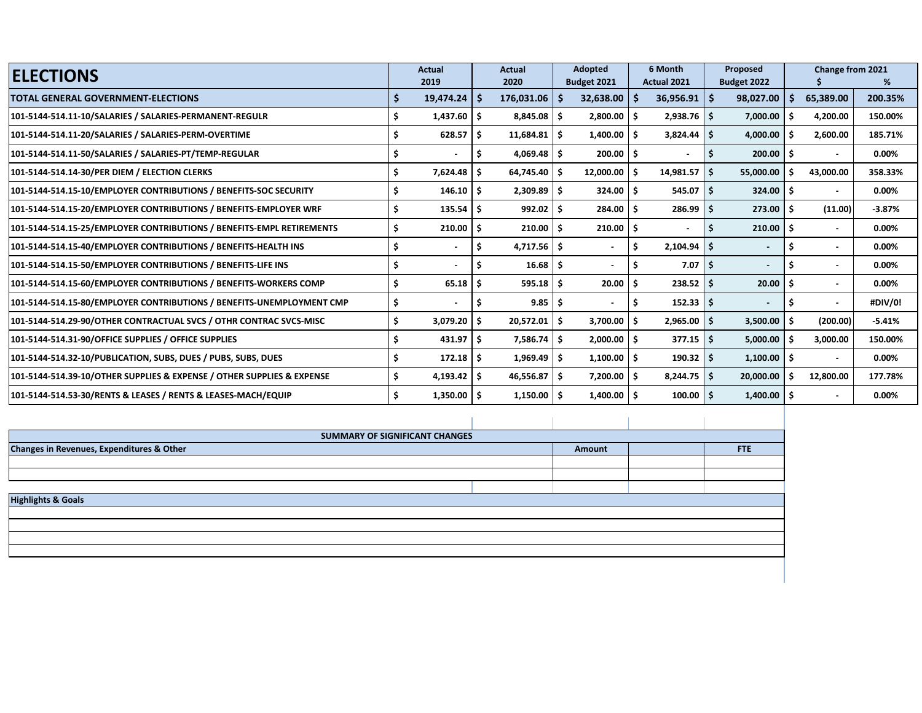| <b>ELECTIONS</b>                                                       |   | <b>Actual</b> |     | Actual            |    | <b>Adopted</b>  |     | 6 Month            |    | Proposed                 |    | Change from 2021         |          |
|------------------------------------------------------------------------|---|---------------|-----|-------------------|----|-----------------|-----|--------------------|----|--------------------------|----|--------------------------|----------|
|                                                                        |   | 2019          |     | 2020              |    | Budget 2021     |     | <b>Actual 2021</b> |    | Budget 2022              |    |                          | ℅        |
| <b>TOTAL GENERAL GOVERNMENT-ELECTIONS</b>                              |   | 19,474.24     | -S  | $176,031.06$   \$ |    | 32,638.00       | -S  | 36,956.91          | .S | 98,027.00                |    | 65,389.00                | 200.35%  |
| 101-5144-514.11-10/SALARIES / SALARIES-PERMANENT-REGULR                |   | 1,437.60      | ۱\$ | $8,845.08$ \$     |    | $2,800.00$   \$ |     | $2,938.76$ \$      |    | 7,000.00                 |    | 4,200.00                 | 150.00%  |
| 101-5144-514.11-20/SALARIES / SALARIES-PERM-OVERTIME                   |   | 628.57        | Ŝ.  | $11,684.81$ \$    |    | 1,400.00        | S   | $3,824.44$ \$      |    | 4,000.00                 |    | 2,600.00                 | 185.71%  |
| 101-5144-514.11-50/SALARIES / SALARIES-PT/TEMP-REGULAR                 |   |               | .S  | $4,069.48$ \$     |    | $200.00$ \$     |     |                    |    | 200.00                   |    | $\overline{\phantom{a}}$ | 0.00%    |
| 101-5144-514.14-30/PER DIEM / ELECTION CLERKS                          | S | 7,624.48      | -S  | $64,745.40$ \ \$  |    | 12,000.00       | .S  | $14,981.57$ \$     |    | 55,000.00                |    | 43,000.00                | 358.33%  |
| 101-5144-514.15-10/EMPLOYER CONTRIBUTIONS / BENEFITS-SOC SECURITY      | Ś | 146.10        | Ŝ.  | $2,309.89$ \$     |    | $324.00$ \$     |     | $545.07$ \$        |    | 324.00                   | Ŝ  | $\overline{\phantom{a}}$ | 0.00%    |
| 101-5144-514.15-20/EMPLOYER CONTRIBUTIONS / BENEFITS-EMPLOYER WRF      | Ś | 135.54        | -S  | 992.02            | .S | 284.00          | Ŝ.  | $286.99$ \$        |    | 273.00                   |    | (11.00)                  | $-3.87%$ |
| 101-5144-514.15-25/EMPLOYER CONTRIBUTIONS / BENEFITS-EMPL RETIREMENTS  | Ś | 210.00        | Ŝ.  | 210.00            |    | 210.00          | \$. |                    | .s | 210.00                   |    | $\overline{\phantom{a}}$ | 0.00%    |
| 101-5144-514.15-40/EMPLOYER CONTRIBUTIONS / BENEFITS-HEALTH INS        | S |               | -S  | $4,717.56$   \$   |    |                 | S   | $2,104.94$ \$      |    | $\overline{\phantom{a}}$ |    | $\blacksquare$           | 0.00%    |
| 101-5144-514.15-50/EMPLOYER CONTRIBUTIONS / BENEFITS-LIFE INS          |   |               |     | 16.68             |    |                 |     | $7.07$ S           |    | $\blacksquare$           |    | $\blacksquare$           | 0.00%    |
| 101-5144-514.15-60/EMPLOYER CONTRIBUTIONS / BENEFITS-WORKERS COMP      |   | 65.18         | -S  | 595.18            |    | 20.00           | S   | 238.52             | S  | 20.00                    |    | $\blacksquare$           | 0.00%    |
| 101-5144-514.15-80/EMPLOYER CONTRIBUTIONS / BENEFITS-UNEMPLOYMENT CMP  |   |               |     | 9.85              |    |                 |     | $152.33$ \$        |    | $\overline{\phantom{a}}$ |    | $\overline{a}$           | #DIV/0!  |
| 101-5144-514.29-90/OTHER CONTRACTUAL SVCS / OTHR CONTRAC SVCS-MISC     |   | 3,079.20      | -S  | 20,572.01         | -S | 3,700.00        | S   | $2,965.00$ \$      |    | 3,500.00                 |    | (200.00)                 | $-5.41%$ |
| 101-5144-514.31-90/OFFICE SUPPLIES / OFFICE SUPPLIES                   | S | 431.97        | Ŝ.  | 7,586.74          | -S | $2,000.00$   \$ |     | $377.15$ \$        |    | 5,000.00                 |    | 3,000.00                 | 150.00%  |
| 101-5144-514.32-10/PUBLICATION, SUBS, DUES / PUBS, SUBS, DUES          |   | 172.18        | -S  | $1,969.49$ \$     |    | $1,100.00$   \$ |     | $190.32$ \$        |    | 1,100.00                 | -S | $\overline{\phantom{a}}$ | $0.00\%$ |
| 101-5144-514.39-10/OTHER SUPPLIES & EXPENSE / OTHER SUPPLIES & EXPENSE | S | 4,193.42      | \$  | $46,556.87$ \$    |    | 7,200.00        | Ŝ.  | $8,244.75$ \$      |    | 20,000.00                | .s | 12,800.00                | 177.78%  |
| 101-5144-514.53-30/RENTS & LEASES / RENTS & LEASES-MACH/EQUIP          | S | 1,350.00      | -\$ | $1,150.00$   \$   |    | $1,400.00$   \$ |     | $100.00$ \$        |    | $1,400.00$ \$            |    | $\blacksquare$           | 0.00%    |

| SUMMARY OF SIGNIFICANT CHANGES            |        |     |
|-------------------------------------------|--------|-----|
| Changes in Revenues, Expenditures & Other | Amount | FTE |
|                                           |        |     |
|                                           |        |     |
|                                           |        |     |
| <b>Highlights &amp; Goals</b>             |        |     |
|                                           |        |     |
|                                           |        |     |
|                                           |        |     |
|                                           |        |     |
|                                           |        |     |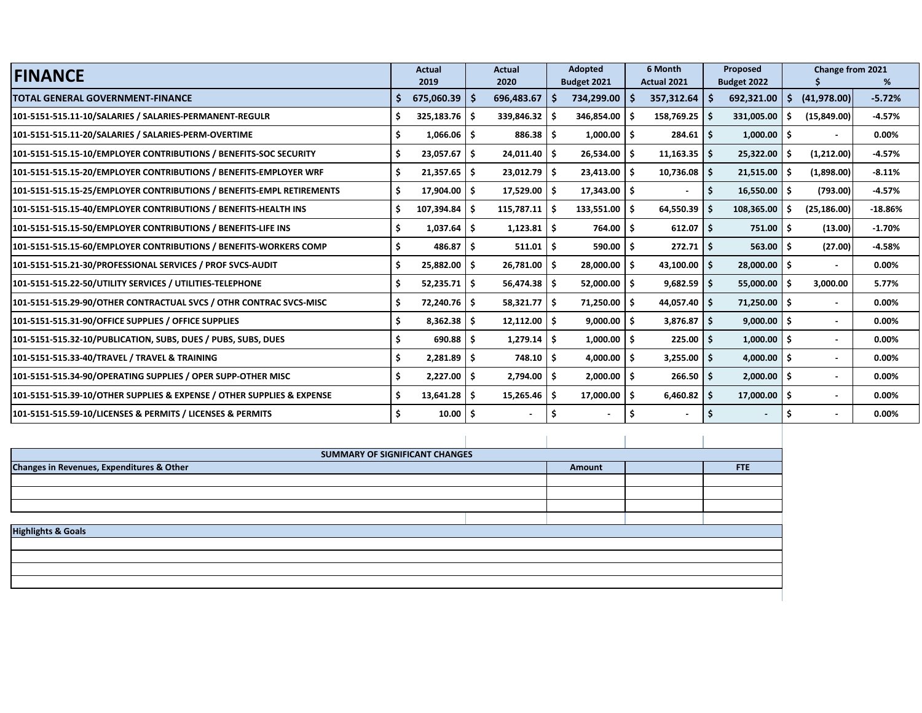| <b>FINANCE</b>                                                         | <b>Actual</b>          |     | <b>Actual</b>  |      | <b>Adopted</b>           |      | 6 Month        |     | Proposed       |     | Change from 2021 |           |
|------------------------------------------------------------------------|------------------------|-----|----------------|------|--------------------------|------|----------------|-----|----------------|-----|------------------|-----------|
|                                                                        | 2019                   |     | 2020           |      | Budget 2021              |      | Actual 2021    |     | Budget 2022    |     |                  | %         |
| <b>TOTAL GENERAL GOVERNMENT-FINANCE</b>                                | $675,060.39$   \$      |     | 696,483.67     |      | 734,299.00               | -S   | 357,312.64     | -S  | 692,321.00     | S.  | (41,978.00)      | $-5.72%$  |
| 101-5151-515.11-10/SALARIES / SALARIES-PERMANENT-REGULR                | $325,183.76$ \$        |     | 339,846.32     | - S  | 346,854.00               | -S   | 158,769.25     | -S  | 331,005.00     |     | (15,849.00)      | $-4.57%$  |
| 101-5151-515.11-20/SALARIES / SALARIES-PERM-OVERTIME                   | $1,066.06$ \$          |     | $886.38$ \$    |      | 1,000.00                 | -\$  | 284.61         | \$. | 1,000.00       | \$. | $\blacksquare$   | 0.00%     |
| 101-5151-515.15-10/EMPLOYER CONTRIBUTIONS / BENEFITS-SOC SECURITY      | $23,057.67$ $\vert$ \$ |     | $24,011.40$ \$ |      | $26,534.00$ \$           |      | $11,163.35$ \$ |     | 25,322.00      | s.  | (1,212.00)       | $-4.57%$  |
| 101-5151-515.15-20/EMPLOYER CONTRIBUTIONS / BENEFITS-EMPLOYER WRF      | $21,357.65$ $\mid$ \$  |     | $23,012.79$ \$ |      | $23,413.00$   \$         |      | 10,736.08      | -Ś  | 21,515.00      | .s  | (1,898.00)       | $-8.11%$  |
| 101-5151-515.15-25/EMPLOYER CONTRIBUTIONS / BENEFITS-EMPL RETIREMENTS  | 17,904.00 \$           |     | 17,529.00      | l \$ | 17,343.00                | -\$  |                | -\$ | 16,550.00      | \$. | (793.00)         | $-4.57%$  |
| 101-5151-515.15-40/EMPLOYER CONTRIBUTIONS / BENEFITS-HEALTH INS        | 107,394.84             | -Ś  | 115,787.11     | ۱s   | 133,551.00               | - Ś  | 64,550.39      | -Ś  | 108,365.00     | .s  | (25, 186.00)     | $-18.86%$ |
| 101-5151-515.15-50/EMPLOYER CONTRIBUTIONS / BENEFITS-LIFE INS          | 1,037.64               | Ŝ.  | 1,123.81       | -S   | 764.00                   | - S  | 612.07         | -Ś  | 751.00         | Ŝ   | (13.00)          | $-1.70%$  |
| 101-5151-515.15-60/EMPLOYER CONTRIBUTIONS / BENEFITS-WORKERS COMP      | 486.87                 | \$. | 511.01         | Ŝ    | 590.00                   | - Ś  | 272.71         | Ŝ.  | 563.00         | Ŝ   | (27.00)          | $-4.58%$  |
| 101-5151-515.21-30/PROFESSIONAL SERVICES / PROF SVCS-AUDIT             | 25,882.00              | \$. | $26,781.00$ \$ |      | $28,000.00$   \$         |      | 43,100.00      | -Ś  | 28,000.00      | \$. | $\blacksquare$   | 0.00%     |
| 101-5151-515.22-50/UTILITY SERVICES / UTILITIES-TELEPHONE              | 52,235.71              | -\$ | $56,474.38$ \$ |      | 52,000.00 \$             |      | $9,682.59$ \$  |     | 55,000.00      | .s  | 3,000.00         | 5.77%     |
| 101-5151-515.29-90/OTHER CONTRACTUAL SVCS / OTHR CONTRAC SVCS-MISC     | 72,240.76 \$           |     | $58,321.77$ \$ |      | 71,250.00                | -\$  | $44,057.40$ \$ |     | 71,250.00      | \$. | $\blacksquare$   | 0.00%     |
| 101-5151-515.31-90/OFFICE SUPPLIES / OFFICE SUPPLIES                   | 8,362.38               | \$. | $12,112.00$ \$ |      | 9,000.00                 | Ŝ.   | $3,876.87$ \$  |     | 9,000.00       | Ŝ.  | $\sim$           | 0.00%     |
| 101-5151-515.32-10/PUBLICATION, SUBS, DUES / PUBS, SUBS, DUES          | 690.88                 | Ŝ.  | 1,279.14       | ۱Ś   | 1,000.00                 | - Ś  | 225.00         | -Ś  | 1,000.00       | \$. | $\blacksquare$   | $0.00\%$  |
| 101-5151-515.33-40/TRAVEL / TRAVEL & TRAINING                          | 2,281.89               | Ŝ.  | $748.10$ \$    |      | 4,000.00                 | - Ś  | 3,255.00       | -Ś  | 4,000.00       | Ŝ.  | $\blacksquare$   | $0.00\%$  |
| 101-5151-515.34-90/OPERATING SUPPLIES / OPER SUPP-OTHER MISC           | $2,227.00$ \$          |     | $2,794.00$ \$  |      | $2,000.00$   \$          |      | 266.50         | Ŝ.  | 2,000.00       | Ŝ.  | $\blacksquare$   | $0.00\%$  |
| 101-5151-515.39-10/OTHER SUPPLIES & EXPENSE / OTHER SUPPLIES & EXPENSE | 13,641.28              | Ŝ.  | $15,265.46$ \$ |      | 17,000.00                | l \$ | 6,460.82       | -S  | 17,000.00      | -\$ | $\blacksquare$   | $0.00\%$  |
| 101-5151-515.59-10/LICENSES & PERMITS / LICENSES & PERMITS             | 10.00                  | \$. |                |      | $\overline{\phantom{a}}$ |      |                |     | $\blacksquare$ |     | $\blacksquare$   | 0.00%     |

| SUMMARY OF SIGNIFICANT CHANGES                       |        |     |
|------------------------------------------------------|--------|-----|
| <b>Changes in Revenues, Expenditures &amp; Other</b> | Amount | FTE |
|                                                      |        |     |
|                                                      |        |     |
|                                                      |        |     |
| <b>Highlights &amp; Goals</b>                        |        |     |
|                                                      |        |     |
|                                                      |        |     |
|                                                      |        |     |
|                                                      |        |     |
|                                                      |        |     |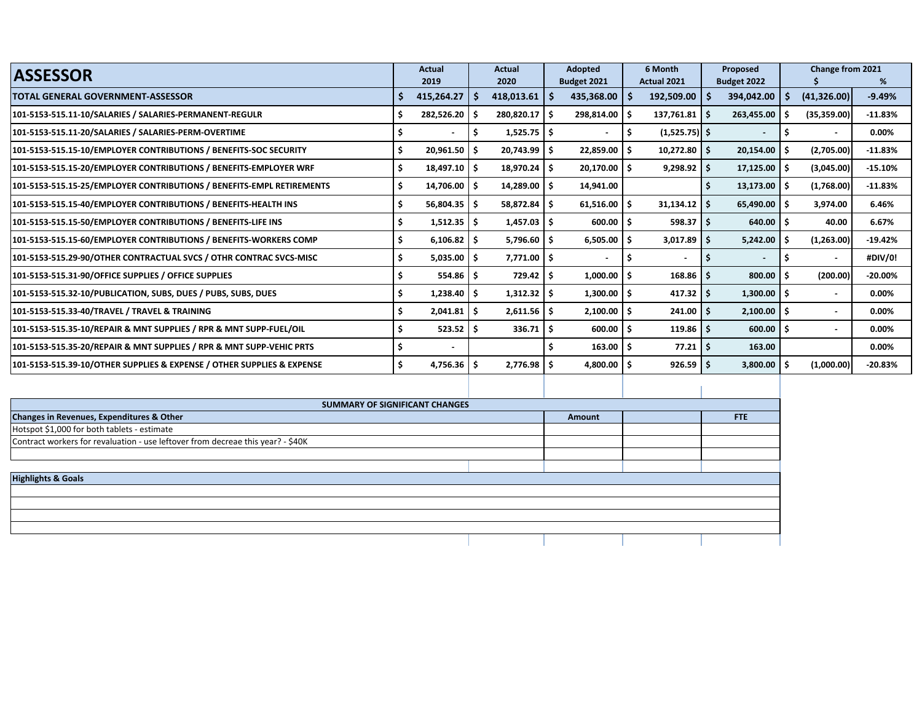| <b>ASSESSOR</b>                                                        | Actual              |     | <b>Actual</b>            |     | Adopted              |    | 6 Month           | Proposed                 | Change from 2021 |           |
|------------------------------------------------------------------------|---------------------|-----|--------------------------|-----|----------------------|----|-------------------|--------------------------|------------------|-----------|
|                                                                        | 2019                |     | 2020                     |     | Budget 2021          |    | Actual 2021       | Budget 2022              |                  | %         |
| TOTAL GENERAL GOVERNMENT-ASSESSOR                                      | 415,264.27          | -S  | 418,013.61               | ∣\$ | 435,368.00           |    | $192,509.00$   \$ | 394,042.00               | (41, 326.00)     | $-9.49%$  |
| 101-5153-515.11-10/SALARIES / SALARIES-PERMANENT-REGULR                | 282,526.20          | -S  | 280,820.17 \$            |     | 298,814.00           |    | $137,761.81$ \$   | 263,455.00               | (35, 359.00)     | $-11.83%$ |
| 101-5153-515.11-20/SALARIES / SALARIES-PERM-OVERTIME                   |                     |     | $1,525.75$ $\frac{1}{5}$ |     |                      | s  | $(1,525.75)$ \$   | $\blacksquare$           | $\sim$           | 0.00%     |
| 101-5153-515.15-10/EMPLOYER CONTRIBUTIONS / BENEFITS-SOC SECURITY      | 20,961.50           |     | 20,743.99 \$             |     | 22,859.00            | ۱s | $10,272.80$ \$    | $20,154.00$ \ \$         | (2,705.00)       | $-11.83%$ |
| 101-5153-515.15-20/EMPLOYER CONTRIBUTIONS / BENEFITS-EMPLOYER WRF      | 18,497.10           |     | $18,970.24$   \$         |     | $20,170.00$   \$     |    | $9,298.92$ \$     | $17,125.00$   \$         | (3,045.00)       | $-15.10%$ |
| 101-5153-515.15-25/EMPLOYER CONTRIBUTIONS / BENEFITS-EMPL RETIREMENTS  | 14,706.00           | -S  | $14,289.00$ \ \$         |     | 14,941.00            |    |                   | $13,173.00$ S            | (1,768.00)       | $-11.83%$ |
| 101-5153-515.15-40/EMPLOYER CONTRIBUTIONS / BENEFITS-HEALTH INS        | $56,804.35$ \$      |     | 58,872.84 \$             |     | 61,516.00            | -S | $31,134.12$ \$    | $65,490.00$ \$           | 3,974.00         | 6.46%     |
| 101-5153-515.15-50/EMPLOYER CONTRIBUTIONS / BENEFITS-LIFE INS          | $1,512.35$   \$     |     | $1,457.03$   \$          |     | $600.00$   \$        |    | $598.37$ \$       | $640.00$   \$            | 40.00            | 6.67%     |
| 101-5153-515.15-60/EMPLOYER CONTRIBUTIONS / BENEFITS-WORKERS COMP      | 6,106.82            | ۱s  | $5,796.60$   \$          |     | 6,505.00             | S  | $3,017.89$ \$     | $5,242.00$ \ \$          | (1,263.00)       | $-19.42%$ |
| 101-5153-515.29-90/OTHER CONTRACTUAL SVCS / OTHR CONTRAC SVCS-MISC     | $5,035.00$   \$     |     | $7,771.00$   \$          |     |                      | S  |                   | $\overline{\phantom{0}}$ | $\sim$           | #DIV/0!   |
| 101-5153-515.31-90/OFFICE SUPPLIES / OFFICE SUPPLIES                   | 554.86              | -S  | $729.42$   \$            |     | 1,000.00             | -S | $168.86$ \$       | 800.00                   | (200.00)         | $-20.00%$ |
| 101-5153-515.32-10/PUBLICATION, SUBS, DUES / PUBS, SUBS, DUES          | 1,238.40            | -S  | $1,312.32$ \$            |     | $1,300.00$   \$      |    | $417.32$ \$       | $1,300.00$ \$            | $\sim$           | 0.00%     |
| 101-5153-515.33-40/TRAVEL / TRAVEL & TRAINING                          | 2,041.81            | -S  | $2,611.56$   \$          |     | $2,100.00$   \$      |    | $241.00$ \$       | $2,100.00$   \$          | $\sim$           | 0.00%     |
| 101-5153-515.35-10/REPAIR & MNT SUPPLIES / RPR & MNT SUPP-FUEL/OIL     | $523.52$ $\sqrt{5}$ |     | $336.71$ \$              |     | $600.00$   \$        |    | $119.86$ \$       | $600.00$ \ \$            | $\sim$           | 0.00%     |
| 101-5153-515.35-20/REPAIR & MNT SUPPLIES / RPR & MNT SUPP-VEHIC PRTS   | $\sim$              |     |                          |     | $163.00$   \$        |    | $77.21$   \$      | 163.00                   |                  | 0.00%     |
| 101-5153-515.39-10/OTHER SUPPLIES & EXPENSE / OTHER SUPPLIES & EXPENSE | 4,756.36            | - 5 | $2,776.98$   \$          |     | $4,800.00$ $\mid$ \$ |    | $926.59$ \$       | $3,800.00$   \$          | (1,000.00)       | $-20.83%$ |
|                                                                        |                     |     |                          |     |                      |    |                   |                          |                  |           |

|                                                                                 | SUMMARY OF SIGNIFICANT CHANGES |        |            |
|---------------------------------------------------------------------------------|--------------------------------|--------|------------|
| Changes in Revenues, Expenditures & Other                                       |                                | Amount | <b>FTE</b> |
| Hotspot \$1,000 for both tablets - estimate                                     |                                |        |            |
| Contract workers for revaluation - use leftover from decreae this year? - \$40K |                                |        |            |
|                                                                                 |                                |        |            |
|                                                                                 |                                |        |            |
| <b>Highlights &amp; Goals</b>                                                   |                                |        |            |
|                                                                                 |                                |        |            |
|                                                                                 |                                |        |            |
|                                                                                 |                                |        |            |
|                                                                                 |                                |        |            |
|                                                                                 |                                |        |            |
|                                                                                 |                                |        |            |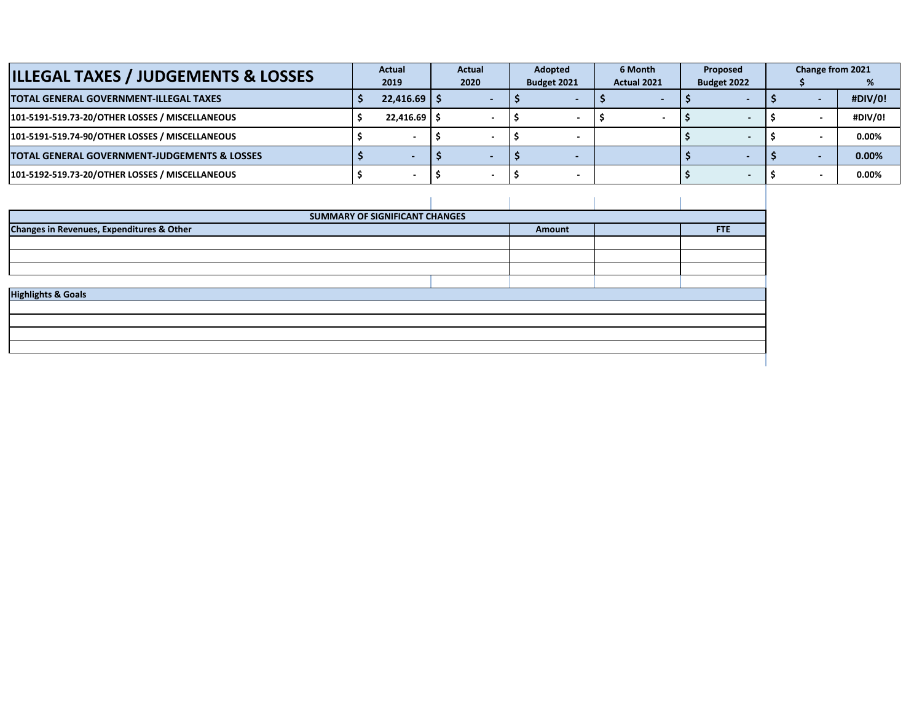| <b>ILLEGAL TAXES / JUDGEMENTS &amp; LOSSES</b>  | Actual        | Actual | Adopted     | 6 Month     | Proposed    | Change from 2021 |          |
|-------------------------------------------------|---------------|--------|-------------|-------------|-------------|------------------|----------|
|                                                 | 2019          | 2020   | Budget 2021 | Actual 2021 | Budget 2022 |                  |          |
| TOTAL GENERAL GOVERNMENT-ILLEGAL TAXES          | $22.416.69$ S |        |             |             |             |                  | #DIV/0!  |
| 101-5191-519.73-20/OTHER LOSSES / MISCELLANEOUS | $22.416.69$ S |        |             |             |             |                  | #DIV/0!  |
| 101-5191-519.74-90/OTHER LOSSES / MISCELLANEOUS |               |        |             |             |             |                  | $0.00\%$ |
| TOTAL GENERAL GOVERNMENT-JUDGEMENTS & LOSSES    |               |        |             |             |             |                  | 0.00%    |
| 101-5192-519.73-20/OTHER LOSSES / MISCELLANEOUS |               |        |             |             |             |                  | 0.00%    |

| SUMMARY OF SIGNIFICANT CHANGES            |        |     |
|-------------------------------------------|--------|-----|
| Changes in Revenues, Expenditures & Other | Amount | FTE |
|                                           |        |     |
|                                           |        |     |
|                                           |        |     |
|                                           |        |     |
| <b>Highlights &amp; Goals</b>             |        |     |
|                                           |        |     |
|                                           |        |     |
|                                           |        |     |
|                                           |        |     |
|                                           |        |     |
|                                           |        |     |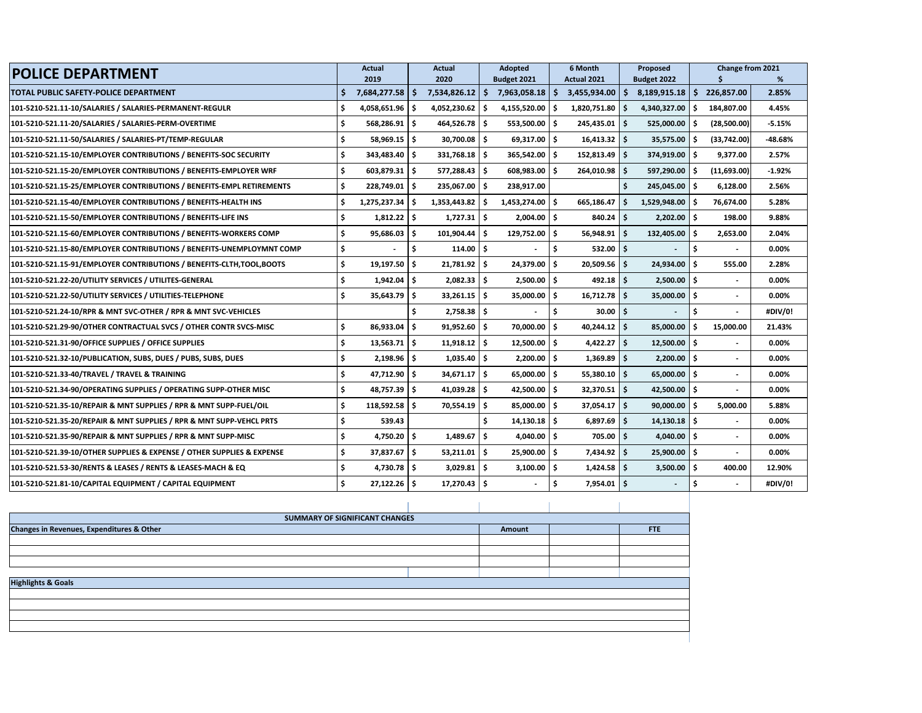| <b>POLICE DEPARTMENT</b>                                               | <b>Actual</b>                 | Actual            | Adopted              | 6 Month                  | Proposed                   |                          | Change from 2021 |  |
|------------------------------------------------------------------------|-------------------------------|-------------------|----------------------|--------------------------|----------------------------|--------------------------|------------------|--|
|                                                                        | 2019                          | 2020              | Budget 2021          | Actual 2021              | Budget 2022                |                          | %                |  |
| TOTAL PUBLIC SAFETY-POLICE DEPARTMENT                                  | $7,684,277.58$ \$<br>Ŝ.       | 7,534,826.12      | S.<br>7,963,058.18   | - Ś<br>$3,455,934.00$ \$ | 8,189,915.18               | Ŝ<br>226,857.00          | 2.85%            |  |
| 101-5210-521.11-10/SALARIES / SALARIES-PERMANENT-REGULR                | Ś<br>$4,058,651.96$ \$        | 4,052,230.62      | Ŝ.<br>4,155,520.00   | 1,820,751.80<br>-\$      | 4,340,327.00<br>-S         | 184,807.00<br>.S         | 4.45%            |  |
| 101-5210-521.11-20/SALARIES / SALARIES-PERM-OVERTIME                   | Ŝ.<br>$568,286.91$ \$         | 464,526.78 \$     | 553,500.00 \$        | $245,435.01$ \$          | 525,000.00                 | (28,500.00)              | $-5.15%$         |  |
| 101-5210-521.11-50/SALARIES / SALARIES-PT/TEMP-REGULAR                 | Ŝ.<br>$58,969.15$ \$          | 30,700.08 \$      | $69,317.00$ \$       | $16,413.32$ \$           | $35,575.00$ \$             | (33,742.00)              | -48.68%          |  |
| 101-5210-521.15-10/EMPLOYER CONTRIBUTIONS / BENEFITS-SOC SECURITY      | Ŝ.<br>343,483.40 \$           | 331,768.18        | 365,542.00<br>Ŝ.     | -Ś<br>152,813.49         | 374,919.00<br>۱Ś           | 9,377.00                 | 2.57%            |  |
| 101-5210-521.15-20/EMPLOYER CONTRIBUTIONS / BENEFITS-EMPLOYER WRF      | Ŝ.<br>$603,879.31$ \$         | 577,288.43 \$     | 608.983.00           | -Ś<br>264,010.98 \$      | 597,290.00                 | (11,693.00)              | $-1.92%$         |  |
| 101-5210-521.15-25/EMPLOYER CONTRIBUTIONS / BENEFITS-EMPL RETIREMENTS  | Ŝ.<br>$228,749.01$ $\sqrt{5}$ | 235,067.00 \$     | 238,917.00           |                          | $245,045.00$ $\frac{1}{5}$ | 6,128.00                 | 2.56%            |  |
| 101-5210-521.15-40/EMPLOYER CONTRIBUTIONS / BENEFITS-HEALTH INS        | Ŝ.<br>$1,275,237.34$ \$       | 1,353,443.82      | Ŝ.<br>1,453,274.00   | ۱ś<br>665,186.47         | 1,529,948.00<br>S          | 76,674.00                | 5.28%            |  |
| 101-5210-521.15-50/EMPLOYER CONTRIBUTIONS / BENEFITS-LIFE INS          | Ŝ.<br>$1,812.22$ \$           | $1,727.31$ \$     | 2,004.00             | l \$<br>840.24           | Ŝ<br>2,202.00              | l s<br>198.00            | 9.88%            |  |
| 101-5210-521.15-60/EMPLOYER CONTRIBUTIONS / BENEFITS-WORKERS COMP      | Š.<br>$95,686.03$ \$          | 101,904.44        | Ŝ<br>129,752.00 \$   | 56,948.91                | ۱Ś<br>132,405.00 \$        | 2,653.00                 | 2.04%            |  |
| 101-5210-521.15-80/EMPLOYER CONTRIBUTIONS / BENEFITS-UNEMPLOYMNT COMP  | Ś.                            | ١s<br>$114.00$ \$ |                      | \$<br>532.00             | ۱Ś                         | Ŝ                        | 0.00%            |  |
| 101-5210-521.15-91/EMPLOYER CONTRIBUTIONS / BENEFITS-CLTH,TOOL,BOOTS   | Ŝ.<br>$19,197.50$ $\pm$       | 21,781.92         | ۱\$<br>24,379.00     | Ŝ<br>20,509.56           | ۱Ś<br>24,934.00            | 555.00<br>- 4            | 2.28%            |  |
| 101-5210-521.22-20/UTILITY SERVICES / UTILITES-GENERAL                 | Ś<br>$1,942.04$ \$            | $2,082.33$ \$     | $2,500.00$ \$        | $492.18$   \$            | $2,500.00$ \$              | $\overline{\phantom{a}}$ | 0.00%            |  |
| 101-5210-521.22-50/UTILITY SERVICES / UTILITIES-TELEPHONE              | Ŝ.<br>$35,643.79$ \$          | $33,261.15$ \$    | 35,000.00            | ۱s<br>16,712.78          | ۱Ś<br>$35,000,00$ S        |                          | $0.00\%$         |  |
| 101-5210-521.24-10/RPR & MNT SVC-OTHER / RPR & MNT SVC-VEHICLES        |                               | $2.758.38$ S      |                      | Ŝ.<br>30.00              | ۱Ś.                        | Ŝ                        | #DIV/0!          |  |
| 101-5210-521.29-90/OTHER CONTRACTUAL SVCS / OTHER CONTR SVCS-MISC      | Ŝ.<br>$86,933.04$ \$          | $91,952.60$ \$    | 70,000.00 \$         | $40,244.12$ \$           | $85,000.00$ \$             | 15,000.00                | 21.43%           |  |
| 101-5210-521.31-90/OFFICE SUPPLIES / OFFICE SUPPLIES                   | Ŝ.<br>$13,563.71$ \$          | $11,918.12$ \$    | 12,500.00            | ۱s<br>4,422.27           | $12,500.00$ \$<br>۱Ś       | $\overline{\phantom{a}}$ | $0.00\%$         |  |
| 101-5210-521.32-10/PUBLICATION, SUBS, DUES / PUBS, SUBS, DUES          | $2,198.96$ \$                 | 1.035.40          | ۱Ś<br>2.200.00       | -Ś<br>1.369.89           | - Ś<br>2,200.00            | l S                      | $0.00\%$         |  |
| 101-5210-521.33-40/TRAVEL / TRAVEL & TRAINING                          | Ŝ.<br>47,712.90 \$            | $34,671.17$ \$    | 65,000.00 \$         | $55,380.10$ \$           | $65,000.00$ \$             | $\overline{a}$           | 0.00%            |  |
| 101-5210-521.34-90/OPERATING SUPPLIES / OPERATING SUPP-OTHER MISC      | Ŝ.<br>48,757.39 \$            | 41,039.28 \$      | 42,500.00 \$         | 32,370.51                | ۱Ś.<br>$42,500.00$ \$      | $\blacksquare$           | $0.00\%$         |  |
| 101-5210-521.35-10/REPAIR & MNT SUPPLIES / RPR & MNT SUPP-FUEL/OIL     | Ś<br>$118,592.58$ \$          | 70,554.19 \$      | 85,000.00            | -Ś<br>$37,054.17$ \$     | 90,000.00                  | 5,000.00                 | 5.88%            |  |
| 101-5210-521.35-20/REPAIR & MNT SUPPLIES / RPR & MNT SUPP-VEHCL PRTS   | Ŝ.<br>539.43                  |                   | Ŝ<br>$14,130.18$ \$  | $6,897.69$ \$            | $14,130.18$ \$             |                          | 0.00%            |  |
| 101-5210-521.35-90/REPAIR & MNT SUPPLIES / RPR & MNT SUPP-MISC         | Ŝ.<br>4,750.20                | ١ś<br>1,489.67    | \$.<br>$4,040.00$ \$ | 705.00                   | Ŝ<br>$4,040.00$ \$         | $\overline{\phantom{a}}$ | 0.00%            |  |
| 101-5210-521.39-10/OTHER SUPPLIES & EXPENSE / OTHER SUPPLIES & EXPENSE | \$.<br>$37,837.67$ $\pm$      | 53,211.01         | Ŝ<br>25,900.00       | - Ś<br>7,434.92          | ۱Ś<br>25,900.00            | - Ś                      | $0.00\%$         |  |
| 101-5210-521.53-30/RENTS & LEASES / RENTS & LEASES-MACH & EQ           | \$<br>$4,730.78$ \$           | $3,029.81$ \$     | 3,100.00             | l \$<br>$1,424.58$ \$    | 3,500.00                   | 400.00<br>١ś             | 12.90%           |  |
| 101-5210-521.81-10/CAPITAL EQUIPMENT / CAPITAL EQUIPMENT               | Ś.<br>$27,122.26$ \$          | 17,270.43 \$      |                      | Ŝ.<br>$7,954.01$ \$      |                            | Ŝ                        | #DIV/0!          |  |

| SUMMARY OF SIGNIFICANT CHANGES                                    |  |  |  |  |  |  |  |  |  |  |  |
|-------------------------------------------------------------------|--|--|--|--|--|--|--|--|--|--|--|
| Changes in Revenues, Expenditures & Other<br><b>FTE</b><br>Amount |  |  |  |  |  |  |  |  |  |  |  |
|                                                                   |  |  |  |  |  |  |  |  |  |  |  |
|                                                                   |  |  |  |  |  |  |  |  |  |  |  |
|                                                                   |  |  |  |  |  |  |  |  |  |  |  |
|                                                                   |  |  |  |  |  |  |  |  |  |  |  |
| <b>Highlights &amp; Goals</b>                                     |  |  |  |  |  |  |  |  |  |  |  |
|                                                                   |  |  |  |  |  |  |  |  |  |  |  |
|                                                                   |  |  |  |  |  |  |  |  |  |  |  |
|                                                                   |  |  |  |  |  |  |  |  |  |  |  |
|                                                                   |  |  |  |  |  |  |  |  |  |  |  |
|                                                                   |  |  |  |  |  |  |  |  |  |  |  |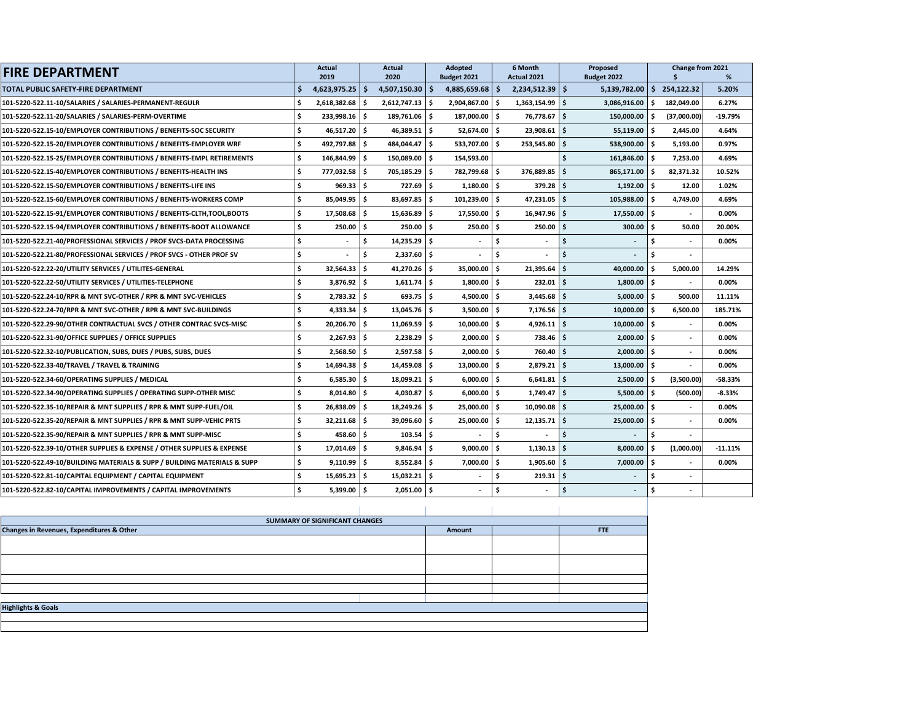| <b>FIRE DEPARTMENT</b>                                                   |    | <b>Actual</b>             |      | <b>Actual</b>        |    | Adopted<br>6 Month<br>Proposed   |     |                             | Change from 2021 |                             |      |                    |            |
|--------------------------------------------------------------------------|----|---------------------------|------|----------------------|----|----------------------------------|-----|-----------------------------|------------------|-----------------------------|------|--------------------|------------|
| TOTAL PUBLIC SAFETY-FIRE DEPARTMENT                                      |    | 2019<br>$4,623,975.25$ \$ |      | 2020<br>4.507.150.30 | Ŝ. | Budget 2021<br>$4,885,659.68$ \$ |     | Actual 2021<br>2,234,512.39 | l \$             | Budget 2022<br>5,139,782.00 |      | \$<br>\$254,122.32 | %<br>5.20% |
| 101-5220-522.11-10/SALARIES / SALARIES-PERMANENT-REGULR                  |    | $2,618,382.68$ \$         |      | $2,612,747.13$ \$    |    | 2,904,867.00 \$                  |     | 1,363,154.99                | Ŝ.               | 3,086,916.00                |      | \$182,049.00       | 6.27%      |
| 101-5220-522.11-20/SALARIES / SALARIES-PERM-OVERTIME                     | Ś  | 233,998.16 \$             |      | 189,761.06 \$        |    | 187,000.00 \$                    |     | 76,778.67                   | \$.              | 150,000.00                  | \$   | (37,000.00)        | $-19.79%$  |
|                                                                          |    |                           |      |                      |    |                                  |     |                             |                  |                             |      |                    |            |
| 101-5220-522.15-10/EMPLOYER CONTRIBUTIONS / BENEFITS-SOC SECURITY        | Ś  | $46,517.20$ \$            |      | 46,389.51            | Ŝ. | 52,674.00 \$                     |     | 23,908.61                   | Ś.               | 55,119.00                   | ١ś   | 2,445.00           | 4.64%      |
| 101-5220-522.15-20/EMPLOYER CONTRIBUTIONS / BENEFITS-EMPLOYER WRF        |    | 492,797.88 \$             |      | 484,044.47           | \$ | 533,707.00 \$                    |     | 253,545.80                  | Ś                | 538,900.00                  | \$   | 5,193.00           | 0.97%      |
| 101-5220-522.15-25/EMPLOYER CONTRIBUTIONS / BENEFITS-EMPL RETIREMENTS    | ŝ  | 146,844.99 \$             |      | 150,089.00           | \$ | 154,593.00                       |     |                             |                  | 161,846.00                  | \$   | 7,253.00           | 4.69%      |
| 101-5220-522.15-40/EMPLOYER CONTRIBUTIONS / BENEFITS-HEALTH INS          | Ŝ. | 777,032.58 \$             |      | 705,185.29           | s. | 782,799.68 \$                    |     | 376,889.85                  | \$               | 865,171.00                  | -\$  | 82,371.32          | 10.52%     |
| 101-5220-522.15-50/EMPLOYER CONTRIBUTIONS / BENEFITS-LIFE INS            | Ŝ  | $969.33$ \$               |      | 727.69               | s. | $1,180.00$ \$                    |     | 379.28                      | -\$              | 1,192.00                    | s.   | 12.00              | 1.02%      |
| 101-5220-522.15-60/EMPLOYER CONTRIBUTIONS / BENEFITS-WORKERS COMP        | Ś  | 85,049.95                 | ۱\$  | 83,697.85            | \$ | 101,239.00 \$                    |     | 47,231.05                   | Ś                | 105,988.00                  | \$   | 4,749.00           | 4.69%      |
| 101-5220-522.15-91/EMPLOYER CONTRIBUTIONS / BENEFITS-CLTH,TOOL,BOOTS     | Ś  | $17,508.68$ \$            |      | 15,636.89            | Ŝ. | 17,550.00                        | Ŝ.  | 16.947.96                   | Ś                | 17,550.00                   | Ŝ.   |                    | 0.00%      |
| 101-5220-522.15-94/EMPLOYER CONTRIBUTIONS / BENEFITS-BOOT ALLOWANCE      | Š. | $250.00$ \$               |      | 250.00               | Ŝ. | 250.00                           | ۱Ś. | 250.00                      | Ś                | 300.00                      | \$   | 50.00              | 20.00%     |
| 101-5220-522.21-40/PROFESSIONAL SERVICES / PROF SVCS-DATA PROCESSING     | Ś  |                           | \$   | 14,235.29            | Ŝ. |                                  | \$  | $\overline{\phantom{a}}$    | Ś.               |                             | Ŝ.   |                    | 0.00%      |
| 101-5220-522.21-80/PROFESSIONAL SERVICES / PROF SVCS - OTHER PROF SV     | Ś  |                           | Ś    | 2,337.60             | Ŝ. |                                  | \$  |                             |                  |                             | \$   |                    |            |
| 101-5220-522.22-20/UTILITY SERVICES / UTILITES-GENERAL                   | Ś  | 32,564.33                 | - \$ | 41,270.26            | \$ | 35,000.00                        | \$  | 21,395.64                   | Ś                | 40,000.00                   | Ś    | 5,000.00           | 14.29%     |
| 101-5220-522.22-50/UTILITY SERVICES / UTILITIES-TELEPHONE                | Ś  | 3.876.92 \$               |      | 1,611.74             | Ŝ. | 1,800.00                         | ١ś  | 232.01                      | \$               | 1,800.00                    | Ŝ.   |                    | 0.00%      |
| 101-5220-522.24-10/RPR & MNT SVC-OTHER / RPR & MNT SVC-VEHICLES          | Ś  | $2,783.32$ \$             |      | 693.75               | Ŝ. | $4,500.00$ \$                    |     | 3,445.68                    | Ś                | 5,000.00                    | Ŝ.   | 500.00             | 11.11%     |
| 101-5220-522.24-70/RPR & MNT SVC-OTHER / RPR & MNT SVC-BUILDINGS         | Ś  | $4,333.34$ \$             |      | 13,045.76            | \$ | $3,500.00$ \$                    |     | 7,176.56                    | \$               | 10,000.00                   | \$   | 6,500.00           | 185.71%    |
| 101-5220-522.29-90/OTHER CONTRACTUAL SVCS / OTHER CONTRAC SVCS-MISC      | Ś  | 20,206.70 \$              |      | 11.069.59            | Ŝ. | 10,000.00                        | Ŝ.  | 4,926.11                    | Ŝ.               | 10.000.00                   | Ŝ.   |                    | 0.00%      |
| 101-5220-522.31-90/OFFICE SUPPLIES / OFFICE SUPPLIES                     | Ś  | $2,267.93$ \$             |      | 2,238.29             | Ŝ. | $2,000.00$ \$                    |     | 738.46                      | \$               | 2,000.00                    | Ŝ.   |                    | 0.00%      |
| 101-5220-522.32-10/PUBLICATION, SUBS, DUES / PUBS, SUBS, DUES            | Ś  | $2,568.50$ \$             |      | 2.597.58             | Ŝ. | $2,000.00$ \$                    |     | 760.40                      | \$               | 2.000.00                    | - \$ |                    | 0.00%      |
| 101-5220-522.33-40/TRAVEL / TRAVEL & TRAINING                            | \$ | $14,694.38$ \$            |      | 14,459.08            | Ŝ. | $13,000.00$ \$                   |     | 2,879.21                    | <b>ائ</b>        | 13,000.00                   | Ŝ.   |                    | 0.00%      |
| 101-5220-522.34-60/OPERATING SUPPLIES / MEDICAL                          | Ś  | 6,585.30                  | ۱\$  | 18,099.21            | \$ | $6,000.00$ \$                    |     | 6,641.81                    | Ś                | 2,500.00                    | \$   | (3,500.00)         | $-58.33%$  |
| 101-5220-522.34-90/OPERATING SUPPLIES / OPERATING SUPP-OTHER MISC        |    | $8,014.80$ \$             |      | 4,030.87             | Ŝ. | $6,000.00$ \$                    |     | 1,749.47                    | Ŝ.               | 5,500.00                    | Ŝ.   | (500.00)           | $-8.33%$   |
| 101-5220-522.35-10/REPAIR & MNT SUPPLIES / RPR & MNT SUPP-FUEL/OIL       | Ŝ  | $26,838.09$ \$            |      | $18,249.26$ \$       |    | 25,000.00 \$                     |     | 10,090.08                   | \$               | 25,000.00                   | Ŝ.   |                    | 0.00%      |
| 101-5220-522.35-20/REPAIR & MNT SUPPLIES / RPR & MNT SUPP-VEHIC PRTS     | Ś  | 32,211.68                 | I\$  | 39,096.60            | \$ | 25,000.00                        | ١s  | 12,135.71                   | Ŝ.               | 25,000.00                   | \$   |                    | 0.00%      |
| 101-5220-522.35-90/REPAIR & MNT SUPPLIES / RPR & MNT SUPP-MISC           | Š. | $458.60$ S                |      | 103.54               | Ŝ. |                                  | \$  |                             | \$               | $\blacksquare$              | \$   |                    |            |
| 101-5220-522.39-10/OTHER SUPPLIES & EXPENSE / OTHER SUPPLIES & EXPENSE   | Ś  | 17,014.69 \$              |      | 9,846.94             | Ŝ. | 9,000.00                         | \$  | 1,130.13                    | Ś                | 8,000.00                    | \$   | (1,000.00)         | $-11.11%$  |
| 101-5220-522.49-10/BUILDING MATERIALS & SUPP / BUILDING MATERIALS & SUPP | Ś  | $9.110.99$ \$             |      | 8.552.84             | Ŝ. | 7,000.00 \$                      |     | 1.905.60                    | Ś                | 7.000.00                    | Ŝ.   |                    | 0.00%      |
| 101-5220-522.81-10/CAPITAL EQUIPMENT / CAPITAL EQUIPMENT                 | Ŝ  | $15,695.23$ \$            |      | 15,032.21            | Ŝ. |                                  | \$  | 219.31                      | -\$              |                             | \$   |                    |            |
| 101-5220-522.82-10/CAPITAL IMPROVEMENTS / CAPITAL IMPROVEMENTS           | Ś  | $5,399.00$ \$             |      | $2,051.00$ \$        |    |                                  | \$  |                             | Ś                |                             | \$   |                    |            |

| SUMMARY OF SIGNIFICANT CHANGES            |        |            |  |  |  |  |  |  |  |  |  |  |  |
|-------------------------------------------|--------|------------|--|--|--|--|--|--|--|--|--|--|--|
| Changes in Revenues, Expenditures & Other | Amount | <b>FTE</b> |  |  |  |  |  |  |  |  |  |  |  |
|                                           |        |            |  |  |  |  |  |  |  |  |  |  |  |
|                                           |        |            |  |  |  |  |  |  |  |  |  |  |  |
|                                           |        |            |  |  |  |  |  |  |  |  |  |  |  |
|                                           |        |            |  |  |  |  |  |  |  |  |  |  |  |
|                                           |        |            |  |  |  |  |  |  |  |  |  |  |  |
|                                           |        |            |  |  |  |  |  |  |  |  |  |  |  |
|                                           |        |            |  |  |  |  |  |  |  |  |  |  |  |
| <b>Highlights &amp; Goals</b>             |        |            |  |  |  |  |  |  |  |  |  |  |  |
|                                           |        |            |  |  |  |  |  |  |  |  |  |  |  |
|                                           |        |            |  |  |  |  |  |  |  |  |  |  |  |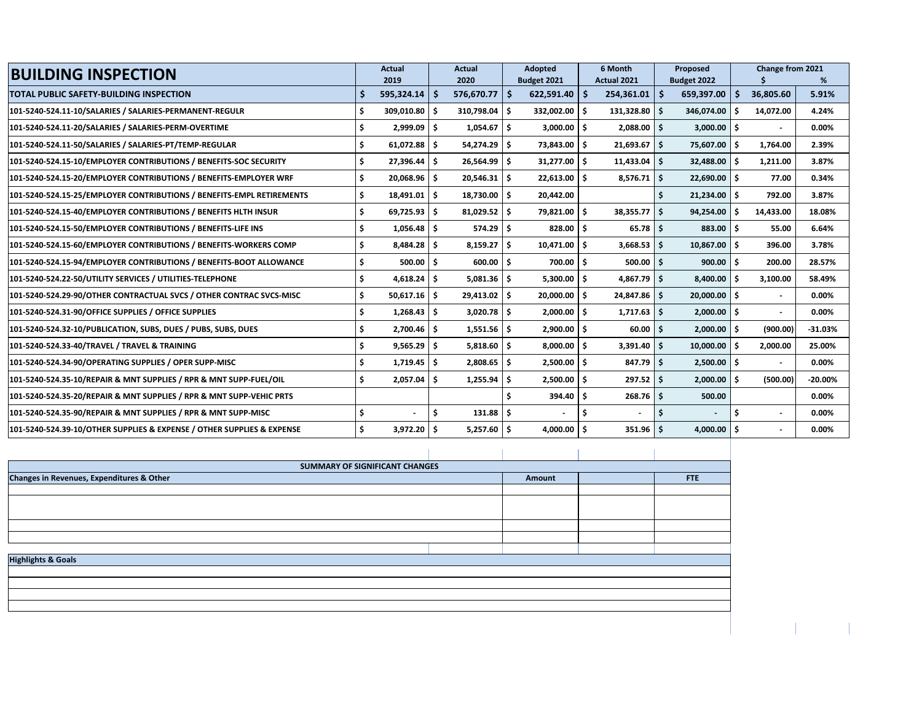| <b>BUILDING INSPECTION</b>                                             |     | Actual<br>2019 | <b>Actual</b><br>2020 |                 |  | <b>Adopted</b><br>Budget 2021 | 6 Month<br>Actual 2021 |    | Proposed<br>Budget 2022 |     | Change from 2021         | %         |
|------------------------------------------------------------------------|-----|----------------|-----------------------|-----------------|--|-------------------------------|------------------------|----|-------------------------|-----|--------------------------|-----------|
| TOTAL PUBLIC SAFETY-BUILDING INSPECTION                                |     | 595,324.14     | -S                    | $576,670.77$ \$ |  | 622,591.40                    | -Ś<br>254,361.01       | ۱s | 659,397.00              | S   | 36,805.60                | 5.91%     |
| 101-5240-524.11-10/SALARIES / SALARIES-PERMANENT-REGULR                | \$  | 309,010.80 \$  |                       | 310,798.04 \$   |  | 332,002.00                    | Ŝ.<br>$131,328.80$ \$  |    | 346,074.00              | - Ś | 14,072.00                | 4.24%     |
| 101-5240-524.11-20/SALARIES / SALARIES-PERM-OVERTIME                   |     | $2,999.09$ \$  |                       | $1,054.67$ \$   |  | 3,000.00                      | $2,088.00$ \$<br>Ŝ.    |    | 3,000.00                | Ŝ.  |                          | 0.00%     |
| 101-5240-524.11-50/SALARIES / SALARIES-PT/TEMP-REGULAR                 | \$  | $61,072.88$ \$ |                       | 54,274.29 \$    |  | 73,843.00                     | Ŝ.<br>$21,693.67$ \$   |    | 75,607.00               | \$. | 1,764.00                 | 2.39%     |
| 101-5240-524.15-10/EMPLOYER CONTRIBUTIONS / BENEFITS-SOC SECURITY      | Ś.  | $27,396.44$ \$ |                       | 26,564.99 \$    |  | 31,277.00                     | Ŝ.<br>$11,433.04$ \$   |    | 32,488.00               | Ŝ.  | 1,211.00                 | 3.87%     |
| 101-5240-524.15-20/EMPLOYER CONTRIBUTIONS / BENEFITS-EMPLOYER WRF      |     | 20,068.96 \$   |                       | $20,546.31$ \$  |  | 22,613.00                     | $8,576.71$ \$<br>.s    |    | $22,690.00$ \$          |     | 77.00                    | 0.34%     |
| 101-5240-524.15-25/EMPLOYER CONTRIBUTIONS / BENEFITS-EMPL RETIREMENTS  |     | $18,491.01$ \$ |                       | 18,730.00 \$    |  | 20,442.00                     |                        |    | 21,234.00               | Ŝ.  | 792.00                   | 3.87%     |
| 101-5240-524.15-40/EMPLOYER CONTRIBUTIONS / BENEFITS HLTH INSUR        | Ś.  | $69,725.93$ \$ |                       | $81,029.52$ \$  |  | 79,821.00                     | Ŝ.<br>$38,355.77$ \$   |    | 94,254.00               | Ŝ.  | 14,433.00                | 18.08%    |
| 101-5240-524.15-50/EMPLOYER CONTRIBUTIONS / BENEFITS-LIFE INS          |     | $1,056.48$ \$  |                       | $574.29$   \$   |  | 828.00                        | Ŝ.<br>$65.78$ S        |    | 883.00                  | S   | 55.00                    | 6.64%     |
| 101-5240-524.15-60/EMPLOYER CONTRIBUTIONS / BENEFITS-WORKERS COMP      |     | $8,484.28$ \$  |                       | $8,159.27$ \$   |  | 10,471.00                     | Ś.<br>$3,668.53$ \$    |    | 10,867.00               | \$. | 396.00                   | 3.78%     |
| 101-5240-524.15-94/EMPLOYER CONTRIBUTIONS / BENEFITS-BOOT ALLOWANCE    | Ś   | $500.00$   \$  |                       | $600.00$ \$     |  | 700.00                        | Ŝ.<br>$500.00$   \$    |    | 900.00                  | \$. | 200.00                   | 28.57%    |
| 101-5240-524.22-50/UTILITY SERVICES / UTILITIES-TELEPHONE              |     | $4,618.24$ \$  |                       | $5,081.36$ \$   |  | 5,300.00                      | $4,867.79$ \$<br>.s    |    | 8,400.00                | S   | 3,100.00                 | 58.49%    |
| 101-5240-524.29-90/OTHER CONTRACTUAL SVCS / OTHER CONTRAC SVCS-MISC    | \$. | $50,617.16$ \$ |                       | 29,413.02 \$    |  | 20,000.00                     | Ŝ.<br>24,847.86 \$     |    | 20,000.00               | ۱s  | $\overline{\phantom{a}}$ | $0.00\%$  |
| 101-5240-524.31-90/OFFICE SUPPLIES / OFFICE SUPPLIES                   | Ś   | $1,268.43$ \$  |                       | $3,020.78$ \$   |  | 2,000.00                      | Ŝ.<br>$1,717.63$ \$    |    | $2,000.00$ \$           |     | $\blacksquare$           | 0.00%     |
| 101-5240-524.32-10/PUBLICATION, SUBS, DUES / PUBS, SUBS, DUES          | S   | $2,700.46$ \$  |                       | $1,551.56$ \$   |  | 2,900.00                      | \$.<br>$60.00$ \$      |    | 2,000.00                | - Ś | (900.00)                 | $-31.03%$ |
| 101-5240-524.33-40/TRAVEL / TRAVEL & TRAINING                          | S   | $9,565.29$ \$  |                       | $5,818.60$ \$   |  | 8,000.00                      | Ŝ.<br>$3,391.40$ \$    |    | 10,000.00               | Ŝ.  | 2,000.00                 | 25.00%    |
| 101-5240-524.34-90/OPERATING SUPPLIES / OPER SUPP-MISC                 | Ś.  | $1,719.45$ \$  |                       | $2,808.65$ \$   |  | 2,500.00                      | Ŝ.<br>$847.79$ \$      |    | $2,500.00$ \$           |     |                          | 0.00%     |
| 101-5240-524.35-10/REPAIR & MNT SUPPLIES / RPR & MNT SUPP-FUEL/OIL     | Ŝ   | $2,057.04$ \$  |                       | $1,255.94$ \$   |  | 2,500.00                      | \$.<br>$297.52$   \$   |    | 2,000.00                | Ŝ.  | (500.00)                 | $-20.00%$ |
| 101-5240-524.35-20/REPAIR & MNT SUPPLIES / RPR & MNT SUPP-VEHIC PRTS   |     |                |                       |                 |  | 394.40                        | Ŝ.<br>$268.76$ \$      |    | 500.00                  |     |                          | 0.00%     |
| 101-5240-524.35-90/REPAIR & MNT SUPPLIES / RPR & MNT SUPP-MISC         | Ś   |                | Ŝ.                    | $131.88$ \$     |  | $\blacksquare$                | Ś                      | \$ |                         | Ś   |                          | 0.00%     |
| 101-5240-524.39-10/OTHER SUPPLIES & EXPENSE / OTHER SUPPLIES & EXPENSE |     | 3,972.20       |                       | $5,257.60$ \$   |  | 4,000.00                      | $351.96$ S<br>.s       |    | 4,000.00                | ١s  |                          | 0.00%     |

| SUMMARY OF SIGNIFICANT CHANGES            |  |  |  |  |  |  |  |  |  |
|-------------------------------------------|--|--|--|--|--|--|--|--|--|
| Changes in Revenues, Expenditures & Other |  |  |  |  |  |  |  |  |  |
|                                           |  |  |  |  |  |  |  |  |  |
|                                           |  |  |  |  |  |  |  |  |  |
|                                           |  |  |  |  |  |  |  |  |  |
|                                           |  |  |  |  |  |  |  |  |  |
|                                           |  |  |  |  |  |  |  |  |  |
|                                           |  |  |  |  |  |  |  |  |  |
| <b>Highlights &amp; Goals</b>             |  |  |  |  |  |  |  |  |  |
|                                           |  |  |  |  |  |  |  |  |  |
|                                           |  |  |  |  |  |  |  |  |  |
|                                           |  |  |  |  |  |  |  |  |  |
|                                           |  |  |  |  |  |  |  |  |  |
|                                           |  |  |  |  |  |  |  |  |  |
|                                           |  |  |  |  |  |  |  |  |  |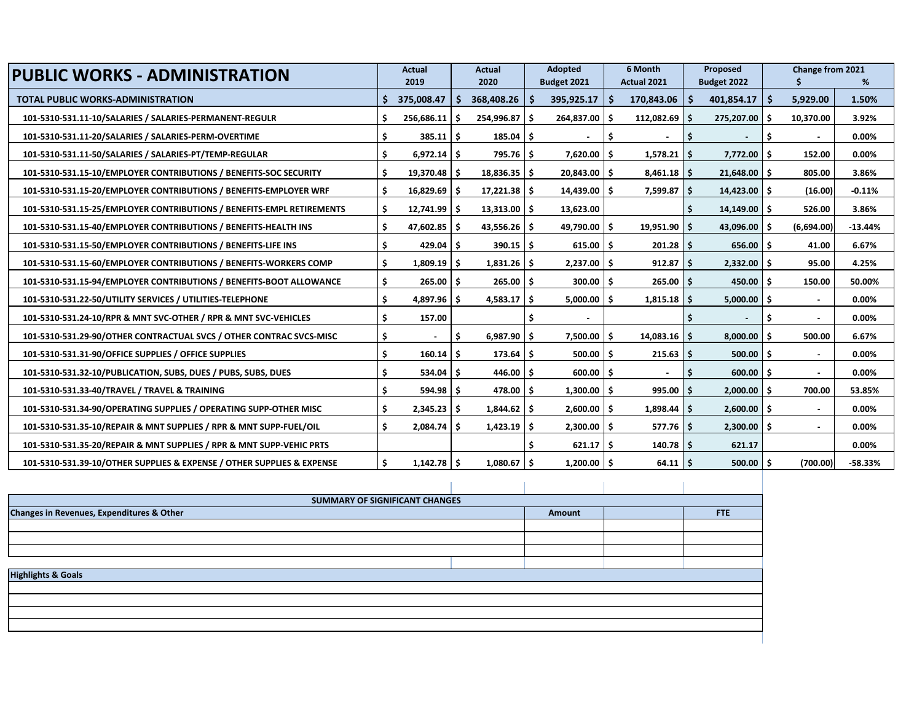| <b>PUBLIC WORKS - ADMINISTRATION</b>                                   |    | Actual         |     | <b>Actual</b>          | <b>Adopted</b> |                 |     | 6 Month           | Proposed              |     | Change from 2021         |           |
|------------------------------------------------------------------------|----|----------------|-----|------------------------|----------------|-----------------|-----|-------------------|-----------------------|-----|--------------------------|-----------|
|                                                                        |    | 2019           |     | 2020                   |                | Budget 2021     |     | Actual 2021       | Budget 2022           |     |                          | %         |
| <b>TOTAL PUBLIC WORKS-ADMINISTRATION</b>                               |    | 375,008.47     |     | 368,408.26             | S              | 395,925.17      | -S  | $170,843.06$   \$ | 401,854.17            | Ŝ.  | 5,929.00                 | 1.50%     |
| 101-5310-531.11-10/SALARIES / SALARIES-PERMANENT-REGULR                | Ś  | 256,686.11     |     | $254,996.87$ $\mid$ \$ |                | 264,837.00      | .s  | $112,082.69$ \$   | 275,207.00            | Ŝ   | 10,370.00                | 3.92%     |
| 101-5310-531.11-20/SALARIES / SALARIES-PERM-OVERTIME                   | \$ | 385.11         | l S | $185.04$ \$            |                |                 | .\$ |                   | ۱\$<br>$\blacksquare$ | \$. |                          | 0.00%     |
| 101-5310-531.11-50/SALARIES / SALARIES-PT/TEMP-REGULAR                 | Ś  | $6,972.14$ \$  |     | $795.76$ \$            |                | 7,620.00        | -S  | $1,578.21$ \$     | 7,772.00              | Ŝ.  | 152.00                   | 0.00%     |
| 101-5310-531.15-10/EMPLOYER CONTRIBUTIONS / BENEFITS-SOC SECURITY      | Ś  | 19,370.48 \$   |     | $18,836.35$ \$         |                | 20,843.00       | -S  | $8,461.18$ \$     | $21,648.00$ \$        |     | 805.00                   | 3.86%     |
| 101-5310-531.15-20/EMPLOYER CONTRIBUTIONS / BENEFITS-EMPLOYER WRF      | Ś  | $16,829.69$ \$ |     | $17,221.38$ \$         |                | $14,439.00$ \$  |     | $7,599.87$ \$     | $14,423.00$ \$        |     | (16.00)                  | $-0.11%$  |
| 101-5310-531.15-25/EMPLOYER CONTRIBUTIONS / BENEFITS-EMPL RETIREMENTS  | Ś  | $12,741.99$ \$ |     | $13,313.00$   \$       |                | 13,623.00       |     |                   | $14,149.00$ \$        |     | 526.00                   | 3.86%     |
| 101-5310-531.15-40/EMPLOYER CONTRIBUTIONS / BENEFITS-HEALTH INS        | Ś  | 47,602.85 \$   |     | $43,556.26$ \$         |                | 49,790.00       | -S  | $19,951.90$ \$    | 43,096.00 \$          |     | (6,694.00)               | $-13.44%$ |
| 101-5310-531.15-50/EMPLOYER CONTRIBUTIONS / BENEFITS-LIFE INS          | \$ | $429.04$ \$    |     | $390.15$ \$            |                | $615.00$ \$     |     | $201.28$ \$       | $656.00$ \$           |     | 41.00                    | 6.67%     |
| 101-5310-531.15-60/EMPLOYER CONTRIBUTIONS / BENEFITS-WORKERS COMP      | Ś  | $1,809.19$ \$  |     | $1,831.26$ \$          |                | $2,237.00$ \$   |     | $912.87$ \$       | 2,332.00              | Ŝ.  | 95.00                    | 4.25%     |
| 101-5310-531.15-94/EMPLOYER CONTRIBUTIONS / BENEFITS-BOOT ALLOWANCE    | Ś  | $265.00$ \$    |     | $265.00$ $\mid$ \$     |                | 300.00          | -\$ | $265.00$   \$     | 450.00                | Ŝ   | 150.00                   | 50.00%    |
| 101-5310-531.22-50/UTILITY SERVICES / UTILITIES-TELEPHONE              | \$ | $4,897.96$ \$  |     | 4,583.17               | - Ś            | 5,000.00        | -Ś. | $1,815.18$ \$     | 5,000.00              | Ŝ.  | $\overline{\phantom{a}}$ | 0.00%     |
| 101-5310-531.24-10/RPR & MNT SVC-OTHER / RPR & MNT SVC-VEHICLES        | Ś  | 157.00         |     |                        |                |                 |     |                   |                       | S   | $\blacksquare$           | 0.00%     |
| 101-5310-531.29-90/OTHER CONTRACTUAL SVCS / OTHER CONTRAC SVCS-MISC    | \$ |                | S   | $6,987.90$ \$          |                | 7,500.00        | \$. | $14,083.16$ \$    | 8,000.00              |     | 500.00                   | 6.67%     |
| 101-5310-531.31-90/OFFICE SUPPLIES / OFFICE SUPPLIES                   | \$ | $160.14$ \$    |     | $173.64$ \$            |                | 500.00          | -Ś. | $215.63$ \$       | 500.00                | Ŝ.  | $\overline{\phantom{a}}$ | 0.00%     |
| 101-5310-531.32-10/PUBLICATION, SUBS, DUES / PUBS, SUBS, DUES          | Ś  | $534.04$ \$    |     | $446.00$ \$            |                | 600.00          | -S  |                   | 600.00<br>۱S          | Ŝ.  | $\sim$                   | 0.00%     |
| 101-5310-531.33-40/TRAVEL / TRAVEL & TRAINING                          | \$ | $594.98$ \$    |     | $478.00$ \$            |                | 1,300.00        | -\$ | $995.00$ \$       | 2,000.00              | -S  | 700.00                   | 53.85%    |
| 101-5310-531.34-90/OPERATING SUPPLIES / OPERATING SUPP-OTHER MISC      | Ŝ. | $2,345.23$ \$  |     | $1,844.62$ \$          |                | $2,600.00$   \$ |     | $1,898.44$ \$     | $2,600.00$ \$         |     | $\overline{\phantom{a}}$ | 0.00%     |
| 101-5310-531.35-10/REPAIR & MNT SUPPLIES / RPR & MNT SUPP-FUEL/OIL     | Ś  | $2,084.74$ \$  |     | $1,423.19$ \$          |                | $2,300.00$ \$   |     | $577.76$ \$       | $2,300.00$ \$         |     | $\overline{\phantom{a}}$ | 0.00%     |
| 101-5310-531.35-20/REPAIR & MNT SUPPLIES / RPR & MNT SUPP-VEHIC PRTS   |    |                |     |                        |                | 621.17          | -\$ | $140.78$ \$       | 621.17                |     |                          | 0.00%     |
| 101-5310-531.39-10/OTHER SUPPLIES & EXPENSE / OTHER SUPPLIES & EXPENSE | \$ | $1,142.78$ \$  |     | $1,080.67$ \$          |                | $1,200.00$ \$   |     | $64.11$ \$        | $500.00$ \$           |     | (700.00)                 | $-58.33%$ |

| 101-3310-331.39-10/OTHER SUPPLIES & EXPENSE / OTHER SUPPLIES & EXPENSE | ∍      | $1,142.70$ $\sqrt{ }$ |     | $1,000.07$ > | $1,200.00 \rightarrow$ | <b>04.LLP</b> | $500.00 \mid 5$ | (700.) |  |  |  |  |  |
|------------------------------------------------------------------------|--------|-----------------------|-----|--------------|------------------------|---------------|-----------------|--------|--|--|--|--|--|
|                                                                        |        |                       |     |              |                        |               |                 |        |  |  |  |  |  |
|                                                                        |        |                       |     |              |                        |               |                 |        |  |  |  |  |  |
|                                                                        |        |                       |     |              |                        |               |                 |        |  |  |  |  |  |
| SUMMARY OF SIGNIFICANT CHANGES                                         |        |                       |     |              |                        |               |                 |        |  |  |  |  |  |
| Changes in Revenues, Expenditures & Other                              | Amount |                       | FTE |              |                        |               |                 |        |  |  |  |  |  |
|                                                                        |        |                       |     |              |                        |               |                 |        |  |  |  |  |  |
|                                                                        |        |                       |     |              |                        |               |                 |        |  |  |  |  |  |
|                                                                        |        |                       |     |              |                        |               |                 |        |  |  |  |  |  |
|                                                                        |        |                       |     |              |                        |               |                 |        |  |  |  |  |  |
|                                                                        |        |                       |     |              |                        |               |                 |        |  |  |  |  |  |
| <b>Highlights &amp; Goals</b>                                          |        |                       |     |              |                        |               |                 |        |  |  |  |  |  |
|                                                                        |        |                       |     |              |                        |               |                 |        |  |  |  |  |  |
|                                                                        |        |                       |     |              |                        |               |                 |        |  |  |  |  |  |
|                                                                        |        |                       |     |              |                        |               |                 |        |  |  |  |  |  |
|                                                                        |        |                       |     |              |                        |               |                 |        |  |  |  |  |  |
|                                                                        |        |                       |     |              |                        |               |                 |        |  |  |  |  |  |
|                                                                        |        |                       |     |              |                        |               |                 |        |  |  |  |  |  |
|                                                                        |        |                       |     |              |                        |               |                 |        |  |  |  |  |  |
|                                                                        |        |                       |     |              |                        |               |                 |        |  |  |  |  |  |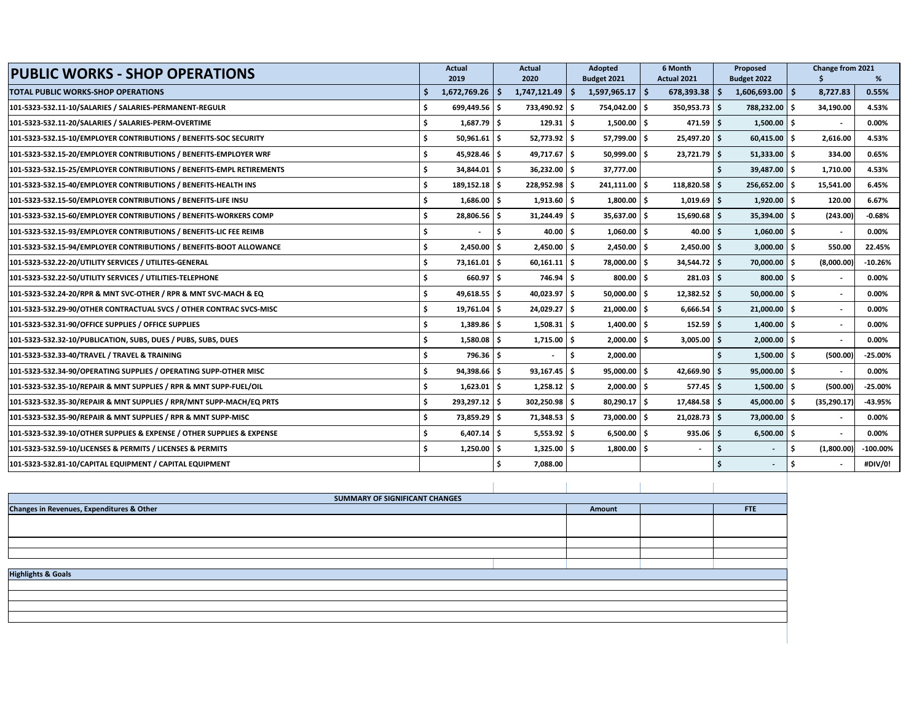| <b>PUBLIC WORKS - SHOP OPERATIONS</b>                                  |     | Actual            |      | Actual            |    | Adopted           |    | 6 Month         |  | Proposed                 |      | Change from 2021 |            |
|------------------------------------------------------------------------|-----|-------------------|------|-------------------|----|-------------------|----|-----------------|--|--------------------------|------|------------------|------------|
|                                                                        |     | 2019              |      | 2020              |    | Budget 2021       |    | Actual 2021     |  | Budget 2022              |      |                  | %          |
| <b>TOTAL PUBLIC WORKS-SHOP OPERATIONS</b>                              |     | $1,672,769.26$ \$ |      | 1,747,121.49      | \$ | $1,597,965.17$ \$ |    | $678,393.38$ \$ |  | $1,606,693.00$ \$        |      | 8,727.83         | 0.55%      |
| 101-5323-532.11-10/SALARIES / SALARIES-PERMANENT-REGULR                |     | 699,449.56 \$     |      | 733,490.92 \$     |    | 754,042.00 \$     |    | $350,953.73$ \$ |  | 788,232.00               | ۱\$. | 34,190.00        | 4.53%      |
| 101-5323-532.11-20/SALARIES / SALARIES-PERM-OVERTIME                   |     | $1,687.79$ \$     |      | $129.31 \quad$ \$ |    | $1,500.00$ \$     |    | $471.59$ \$     |  | $1,500.00$ \$            |      |                  | $0.00\%$   |
| 101-5323-532.15-10/EMPLOYER CONTRIBUTIONS / BENEFITS-SOC SECURITY      | \$  | $50,961.61$ \$    |      | $52,773.92$ \$    |    | 57,799.00 \$      |    | 25,497.20 \$    |  | 60,415.00                | l \$ | 2,616.00         | 4.53%      |
| 101-5323-532.15-20/EMPLOYER CONTRIBUTIONS / BENEFITS-EMPLOYER WRF      | Ś.  | 45,928.46 \$      |      | 49,717.67 \$      |    | 50,999.00 \$      |    | $23,721.79$ \$  |  | $51,333.00$ \$           |      | 334.00           | 0.65%      |
| 101-5323-532.15-25/EMPLOYER CONTRIBUTIONS / BENEFITS-EMPL RETIREMENTS  | Ś.  | 34,844.01 \$      |      | $36,232.00$ \$    |    | 37,777.00         |    |                 |  | $39,487.00$ \$           |      | 1,710.00         | 4.53%      |
| 101-5323-532.15-40/EMPLOYER CONTRIBUTIONS / BENEFITS-HEALTH INS        | Ś.  | 189,152.18 \$     |      | 228,952.98 \$     |    | 241,111.00        | Ŝ  | 118,820.58 \$   |  | 256,652.00               |      | 15,541.00        | 6.45%      |
| 101-5323-532.15-50/EMPLOYER CONTRIBUTIONS / BENEFITS-LIFE INSU         |     | $1,686.00$ \$     |      | $1,913.60$ \$     |    | $1,800.00$ \$     |    | $1,019.69$ \$   |  | $1,920.00$ \$            |      | 120.00           | 6.67%      |
| 101-5323-532.15-60/EMPLOYER CONTRIBUTIONS / BENEFITS-WORKERS COMP      | Ś.  | 28,806.56 \$      |      | 31,244.49         | -S | 35,637.00 \$      |    | 15,690.68 \$    |  | 35,394.00                | Ŝ    | (243.00)         | $-0.68%$   |
| 101-5323-532.15-93/EMPLOYER CONTRIBUTIONS / BENEFITS-LIC FEE REIMB     | Ś.  |                   | Ŝ.   | 40.00             | Ŝ. | $1,060.00$ \$     |    | $40.00$ \$      |  | 1,060.00                 | Ŝ.   |                  | 0.00%      |
| 101-5323-532.15-94/EMPLOYER CONTRIBUTIONS / BENEFITS-BOOT ALLOWANCE    | \$  | $2,450.00$ \$     |      | $2,450.00$ \$     |    | $2,450.00$ \$     |    | $2,450.00$ \$   |  | $3,000.00$ \$            |      | 550.00           | 22.45%     |
| 101-5323-532.22-20/UTILITY SERVICES / UTILITES-GENERAL                 | Ś.  | 73,161.01 \$      |      | $60,161.11$ \$    |    | 78,000.00 \$      |    | 34,544.72 \$    |  | 70,000.00                | Ŝ    | (8,000.00)       | $-10.26%$  |
| 101-5323-532.22-50/UTILITY SERVICES / UTILITIES-TELEPHONE              |     | 660.97 \$         |      | $746.94$ \$       |    | 800.00 \$         |    | $281.03$ \$     |  | 800.00 \$                |      |                  | 0.00%      |
| 101-5323-532.24-20/RPR & MNT SVC-OTHER / RPR & MNT SVC-MACH & EQ       |     | $49,618.55$ \$    |      | 40,023.97 \$      |    | 50,000.00 \$      |    | $12,382.52$ \$  |  | $50,000.00$ \$           |      |                  | 0.00%      |
| 101-5323-532.29-90/OTHER CONTRACTUAL SVCS / OTHER CONTRAC SVCS-MISC    | \$. | 19,761.04 \$      |      | 24,029.27 \$      |    | 21,000.00 \$      |    | $6,666.54$ \$   |  | 21,000.00                | \$.  |                  | $0.00\%$   |
| 101-5323-532.31-90/OFFICE SUPPLIES / OFFICE SUPPLIES                   | \$  | 1,389.86 \$       |      | $1,508.31$ \$     |    | $1.400.00$ S      |    | $152.59$ \$     |  | 1.400.00                 | Ŝ    |                  | 0.00%      |
| 101-5323-532.32-10/PUBLICATION, SUBS, DUES / PUBS, SUBS, DUES          | Ś.  | $1,580.08$ \$     |      | $1,715.00$ \$     |    | $2,000.00$ \$     |    | $3,005.00$ \$   |  | $2,000.00$ \$            |      |                  | $0.00\%$   |
| 101-5323-532.33-40/TRAVEL / TRAVEL & TRAINING                          | Ś.  | $796.36$ \$       |      |                   | Ś. | 2,000.00          |    |                 |  | $1,500.00$ \$            |      | (500.00)         | $-25.00\%$ |
| 101-5323-532.34-90/OPERATING SUPPLIES / OPERATING SUPP-OTHER MISC      |     | 94,398.66 \$      |      | $93,167.45$ \$    |    | 95,000.00         | Ŝ. | 42,669.90 \$    |  | $95,000.00$ \$           |      |                  | 0.00%      |
| 101-5323-532.35-10/REPAIR & MNT SUPPLIES / RPR & MNT SUPP-FUEL/OIL     |     | $1,623.01$ \$     |      | $1,258.12$ \$     |    | $2,000.00$ \$     |    | $577.45$ \$     |  | $1,500.00$ \$            |      | (500.00)         | $-25.00%$  |
| 101-5323-532.35-30/REPAIR & MNT SUPPLIES / RPR/MNT SUPP-MACH/EQ PRTS   | Ś.  | 293,297.12 \$     |      | 302,250.98 \$     |    | 80,290.17 \$      |    | 17,484.58 \$    |  | 45,000.00                |      | (35, 290.17)     | -43.95%    |
| 101-5323-532.35-90/REPAIR & MNT SUPPLIES / RPR & MNT SUPP-MISC         | \$  | 73,859.29         | l \$ | $71,348.53$ \$    |    | 73,000.00 \$      |    | $21,028.73$ \$  |  | 73,000.00                | Ŝ.   |                  | $0.00\%$   |
| 101-5323-532.39-10/OTHER SUPPLIES & EXPENSE / OTHER SUPPLIES & EXPENSE | Ś.  | $6,407.14$ \$     |      | $5,553.92$ \$     |    | $6,500.00$ \$     |    | $935.06$ S      |  | $6,500.00$ \$            |      |                  | 0.00%      |
| 101-5323-532.59-10/LICENSES & PERMITS / LICENSES & PERMITS             | Ś.  | $1,250.00$ \$     |      | $1,325.00$ \$     |    | $1,800.00$ \$     |    | $\blacksquare$  |  | $\overline{\phantom{a}}$ |      | (1,800.00)       | $-100.00%$ |
| 101-5323-532.81-10/CAPITAL EQUIPMENT / CAPITAL EQUIPMENT               |     |                   |      | 7,088.00          |    |                   |    |                 |  | $\overline{\phantom{a}}$ |      |                  | #DIV/0!    |
|                                                                        |     |                   |      |                   |    |                   |    |                 |  |                          |      |                  |            |

| SUMMARY OF SIGNIFICANT CHANGES            |        |     |
|-------------------------------------------|--------|-----|
| Changes in Revenues, Expenditures & Other | Amount | FTE |
|                                           |        |     |
|                                           |        |     |
|                                           |        |     |
|                                           |        |     |
|                                           |        |     |
| <b>Highlights &amp; Goals</b>             |        |     |
|                                           |        |     |
|                                           |        |     |
|                                           |        |     |
|                                           |        |     |
|                                           |        |     |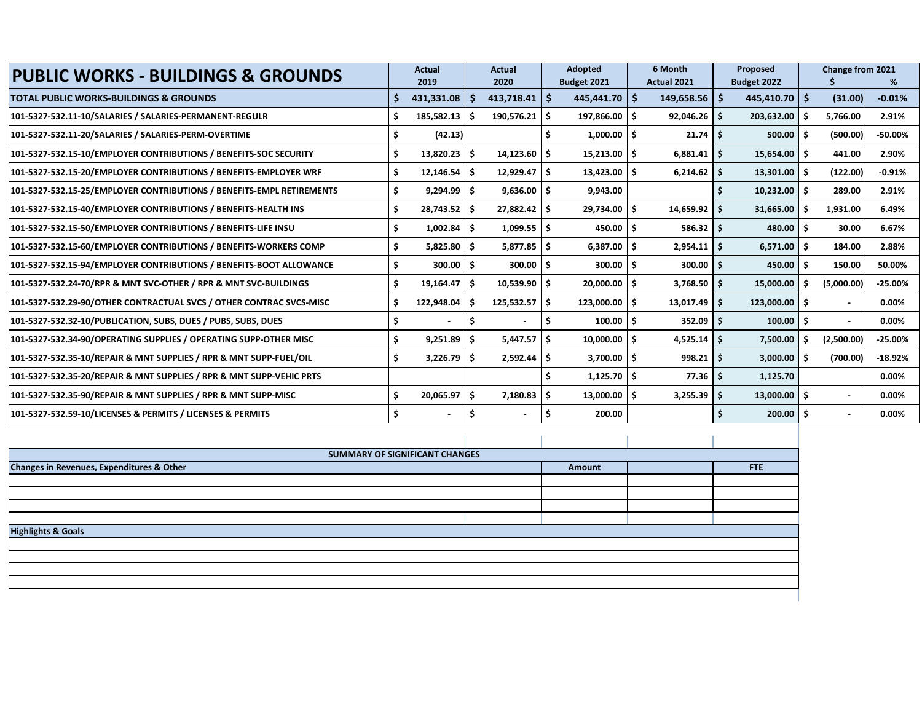| <b>PUBLIC WORKS - BUILDINGS &amp; GROUNDS</b>                         | <b>Actual</b>  | <b>Actual</b><br><b>Adopted</b> |                       | 6 Month |                       | Proposed |                   |  | <b>Change from 2021</b> |     |                          |            |
|-----------------------------------------------------------------------|----------------|---------------------------------|-----------------------|---------|-----------------------|----------|-------------------|--|-------------------------|-----|--------------------------|------------|
|                                                                       | 2019           |                                 | 2020                  |         | Budget 2021           |          | Actual 2021       |  | Budget 2022             |     |                          | %          |
| TOTAL PUBLIC WORKS-BUILDINGS & GROUNDS                                | 431,331.08     | -S                              | $413,718.41$   \$     |         | 445,441.70            | Ŝ        | $149,658.56$   \$ |  | 445,410.70              | Ŝ.  | (31.00)                  | $-0.01%$   |
| 101-5327-532.11-10/SALARIES / SALARIES-PERMANENT-REGULR               | 185,582.13     | S                               | $190,576.21$ \$       |         | $197,866.00$ \$       |          | $92,046.26$ \$    |  | 203,632.00              | .S  | 5,766.00                 | 2.91%      |
| 101-5327-532.11-20/SALARIES / SALARIES-PERM-OVERTIME                  | (42.13)        |                                 |                       |         | $1,000.00$ \$         |          | $21.74$ \$        |  | 500.00                  | -Ś  | (500.00)                 | $-50.00\%$ |
| 101-5327-532.15-10/EMPLOYER CONTRIBUTIONS / BENEFITS-SOC SECURITY     | 13,820.23      | \$.                             | 14,123.60             |         | $15,213.00$   \$      |          | $6,881.41$ \$     |  | 15,654.00               | -S  | 441.00                   | 2.90%      |
| 101-5327-532.15-20/EMPLOYER CONTRIBUTIONS / BENEFITS-EMPLOYER WRF     | 12,146.54      | -\$                             | 12,929.47             | ۱s      | $13,423.00$   \$      |          | $6,214.62$ \$     |  | 13,301.00               | -\$ | (122.00)                 | $-0.91%$   |
| 101-5327-532.15-25/EMPLOYER CONTRIBUTIONS / BENEFITS-EMPL RETIREMENTS | 9,294.99       | -\$                             | $9,636.00$   \$       |         | 9,943.00              |          |                   |  | 10,232.00               | -\$ | 289.00                   | 2.91%      |
| 101-5327-532.15-40/EMPLOYER CONTRIBUTIONS / BENEFITS-HEALTH INS       | 28,743.52      | -\$                             | $27,882.42$ \$        |         | $29,734.00$ $\mid$ \$ |          | $14,659.92$   \$  |  | 31,665.00               | -S  | 1,931.00                 | 6.49%      |
| 101-5327-532.15-50/EMPLOYER CONTRIBUTIONS / BENEFITS-LIFE INSU        | 1,002.84       | S                               | $1,099.55$ \$         |         | $450.00$ \$           |          | $586.32$ \$       |  | 480.00                  | .S  | 30.00                    | 6.67%      |
| 101-5327-532.15-60/EMPLOYER CONTRIBUTIONS / BENEFITS-WORKERS COMP     | 5,825.80       | -S                              | $5,877.85$ $\sqrt{5}$ |         | $6,387.00$ $\mid$ \$  |          | $2,954.11$ \$     |  | 6,571.00                | .S  | 184.00                   | 2.88%      |
| 101-5327-532.15-94/EMPLOYER CONTRIBUTIONS / BENEFITS-BOOT ALLOWANCE   | 300.00         | -S                              | $300.00$ \$           |         | $300.00$ \$           |          | $300.00$ S        |  | 450.00                  | .S  | 150.00                   | 50.00%     |
| 101-5327-532.24-70/RPR & MNT SVC-OTHER / RPR & MNT SVC-BUILDINGS      | 19,164.47      | S                               | 10,539.90             | -S      | $20,000.00$ \$        |          | $3,768.50$ \$     |  | 15,000.00               | .S  | (5,000.00)               | $-25.00\%$ |
| 101-5327-532.29-90/OTHER CONTRACTUAL SVCS / OTHER CONTRAC SVCS-MISC   | 122,948.04     |                                 | 125,532.57            |         | $123,000.00$ \$       |          | $13,017.49$ \$    |  | 123,000.00              | -S  | $\overline{\phantom{a}}$ | 0.00%      |
| 101-5327-532.32-10/PUBLICATION, SUBS, DUES / PUBS, SUBS, DUES         |                |                                 |                       |         | $100.00$ \$           |          | $352.09$ \$       |  | 100.00                  | .\$ | $\overline{\phantom{a}}$ | 0.00%      |
| 101-5327-532.34-90/OPERATING SUPPLIES / OPERATING SUPP-OTHER MISC     | 9,251.89       | .S                              | 5,447.57              |         | $10,000.00$   \$      |          | $4,525.14$   \$   |  | 7,500.00                | .S  | (2,500.00)               | $-25.00\%$ |
| 101-5327-532.35-10/REPAIR & MNT SUPPLIES / RPR & MNT SUPP-FUEL/OIL    | 3,226.79       | Ŝ                               | $2,592.44$   \$       |         | $3,700.00$   \$       |          | $998.21$ \$       |  | 3,000.00                | Ŝ.  | (700.00)                 | $-18.92%$  |
| 101-5327-532.35-20/REPAIR & MNT SUPPLIES / RPR & MNT SUPP-VEHIC PRTS  |                |                                 |                       |         | $1,125.70$ \$         |          | $77.36$ S         |  | 1,125.70                |     |                          | 0.00%      |
| 101-5327-532.35-90/REPAIR & MNT SUPPLIES / RPR & MNT SUPP-MISC        | 20,065.97      | Ŝ.                              | $7,180.83$ \$         |         | $13,000.00$ \$        |          | $3,255.39$ \$     |  | $13,000.00$   \$        |     |                          | 0.00%      |
| 101-5327-532.59-10/LICENSES & PERMITS / LICENSES & PERMITS            | $\blacksquare$ |                                 |                       |         | 200.00                |          |                   |  | 200.00                  | .S  |                          | 0.00%      |

| SUMMARY OF SIGNIFICANT CHANGES            |        |  |            |  |  |  |  |  |  |  |  |  |  |
|-------------------------------------------|--------|--|------------|--|--|--|--|--|--|--|--|--|--|
| Changes in Revenues, Expenditures & Other | Amount |  | <b>FTE</b> |  |  |  |  |  |  |  |  |  |  |
|                                           |        |  |            |  |  |  |  |  |  |  |  |  |  |
|                                           |        |  |            |  |  |  |  |  |  |  |  |  |  |
|                                           |        |  |            |  |  |  |  |  |  |  |  |  |  |
|                                           |        |  |            |  |  |  |  |  |  |  |  |  |  |
| <b>Highlights &amp; Goals</b>             |        |  |            |  |  |  |  |  |  |  |  |  |  |
|                                           |        |  |            |  |  |  |  |  |  |  |  |  |  |
|                                           |        |  |            |  |  |  |  |  |  |  |  |  |  |
|                                           |        |  |            |  |  |  |  |  |  |  |  |  |  |
|                                           |        |  |            |  |  |  |  |  |  |  |  |  |  |
|                                           |        |  |            |  |  |  |  |  |  |  |  |  |  |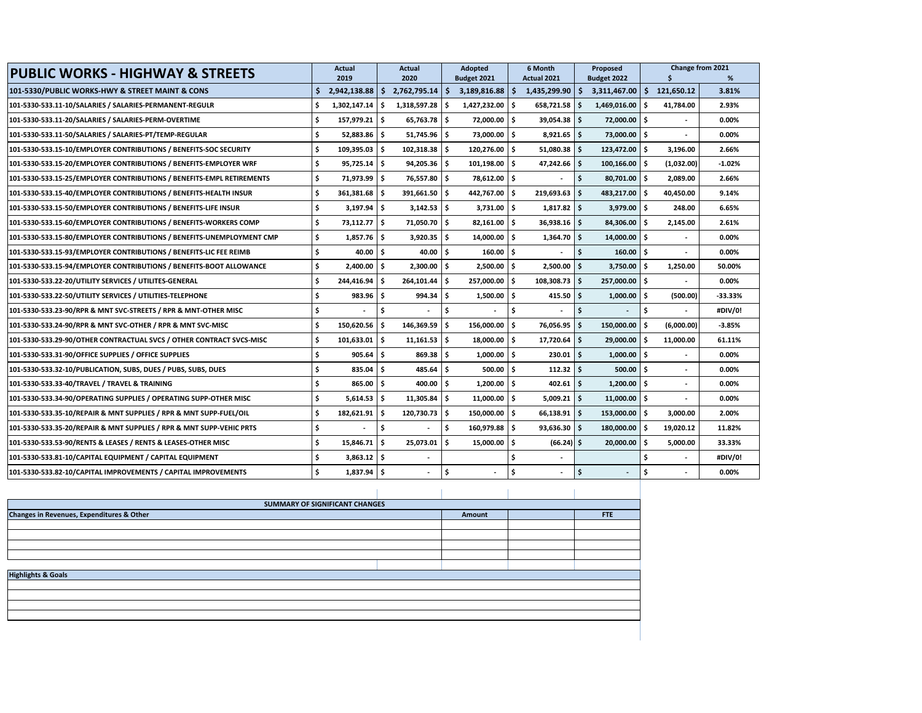| <b>PUBLIC WORKS - HIGHWAY &amp; STREETS</b>                           |     | Actual<br>2019             |      | Actual<br>2020 |     | <b>Adopted</b>         |     | Budget 2021                    |     | 6 Month<br><b>Actual 2021</b> |    | Proposed<br>Budget 2022 |           | Change from 2021 | % |
|-----------------------------------------------------------------------|-----|----------------------------|------|----------------|-----|------------------------|-----|--------------------------------|-----|-------------------------------|----|-------------------------|-----------|------------------|---|
| 101-5330/PUBLIC WORKS-HWY & STREET MAINT & CONS                       | S   | 2,942,138.88               | l S  | 2,762,795.14   | ۱Ś  | $3,189,816.88$ \$      |     | $1,435,299.90$ \$ 3,311,467.00 |     |                               | Ŝ. | 121,650.12              | 3.81%     |                  |   |
| 101-5330-533.11-10/SALARIES / SALARIES-PERMANENT-REGULR               | .\$ | 1,302,147.14               | ١\$  | 1,318,597.28   | -\$ | 1,427,232.00 \$        |     | $658,721.58$ \$                |     | 1,469,016.00                  | Ś  | 41,784.00               | 2.93%     |                  |   |
| 101-5330-533.11-20/SALARIES / SALARIES-PERM-OVERTIME                  | \$  | 157.979.21   \$            |      | 65.763.78      | \$. | 72,000.00 \$           |     | $39.054.38$ \$                 |     | 72,000.00                     | Ŝ. |                         | 0.00%     |                  |   |
| 101-5330-533.11-50/SALARIES / SALARIES-PT/TEMP-REGULAR                | \$. | $52,883.86$ \$             |      | $51,745.96$ \$ |     | 73,000.00 \$           |     | $8,921.65$ \$                  |     | 73,000.00                     | Ŝ. |                         | 0.00%     |                  |   |
| 101-5330-533.15-10/EMPLOYER CONTRIBUTIONS / BENEFITS-SOC SECURITY     | \$  | 109,395.03 \$              |      | 102,318.38     | Ŝ.  | 120,276.00 \$          |     | $51,080.38$ \$                 |     | 123,472.00                    | Ŝ. | 3,196.00                | 2.66%     |                  |   |
| 101-5330-533.15-20/EMPLOYER CONTRIBUTIONS / BENEFITS-EMPLOYER WRF     | \$  | $95,725.14$ $\frac{1}{5}$  |      | 94,205.36      | -\$ | $101,198.00$ $\mid$ \$ |     | 47,242.66 \$                   |     | 100,166.00                    | Ŝ  | (1,032.00)              | $-1.02%$  |                  |   |
| 101-5330-533.15-25/EMPLOYER CONTRIBUTIONS / BENEFITS-EMPL RETIREMENTS | \$  | 71,973.99 \$               |      | 76,557.80      | \$. | 78,612.00 \$           |     |                                | \$  | 80,701.00                     | Ŝ. | 2,089.00                | 2.66%     |                  |   |
| 101-5330-533.15-40/EMPLOYER CONTRIBUTIONS / BENEFITS-HEALTH INSUR     | Ś   | $361,381.68$ $\frac{1}{5}$ |      | 391,661.50     | Ŝ.  | 442,767.00 \$          |     | 219,693.63                     | IS. | 483,217.00                    | Ŝ  | 40.450.00               | 9.14%     |                  |   |
| 101-5330-533.15-50/EMPLOYER CONTRIBUTIONS / BENEFITS-LIFE INSUR       | \$  | $3,197.94$ \$              |      | $3,142.53$ \$  |     | $3,731.00$ \$          |     | $1,817.82$ \$                  |     | 3,979.00                      | Ŝ. | 248.00                  | 6.65%     |                  |   |
| 101-5330-533.15-60/EMPLOYER CONTRIBUTIONS / BENEFITS-WORKERS COMP     | Ŝ.  | 73,112.77                  | ١s   | 71,050.70      | Ŝ.  | $82,161.00$ \$         |     | $36.938.16$ \$                 |     | 84,306.00                     | Ŝ  | 2,145.00                | 2.61%     |                  |   |
| 101-5330-533.15-80/EMPLOYER CONTRIBUTIONS / BENEFITS-UNEMPLOYMENT CMP | Ś.  | $1,857.76$ \$              |      | 3,920.35       | \$. | $14,000.00$ \$         |     | $1,364.70$ \$                  |     | 14,000.00                     | Ŝ. |                         | 0.00%     |                  |   |
| 101-5330-533.15-93/EMPLOYER CONTRIBUTIONS / BENEFITS-LIC FEE REIMB    | Ŝ.  | $40.00$ S                  |      | 40.00          | Ŝ.  | $160.00$ \$            |     | ٠                              | Ŝ.  | 160.00                        | Ŝ. |                         | 0.00%     |                  |   |
| 101-5330-533.15-94/EMPLOYER CONTRIBUTIONS / BENEFITS-BOOT ALLOWANCE   | \$  | 2,400.00                   | l \$ | 2,300.00       | \$. | $2,500.00$ \$          |     | 2,500.00                       | I\$ | 3,750.00                      | Ŝ  | 1,250.00                | 50.00%    |                  |   |
| 101-5330-533.22-20/UTILITY SERVICES / UTILITES-GENERAL                | Ś   | 244,416.94 \$              |      | 264,101.44     | . Ś | 257.000.00 S           |     | $108.308.73$ \$                |     | 257.000.00                    | Ŝ  |                         | 0.00%     |                  |   |
| 101-5330-533.22-50/UTILITY SERVICES / UTILITIES-TELEPHONE             | Ŝ.  | $983.96$ \$                |      | 994.34         | -\$ | $1,500.00$ \$          |     | $415.50$ \$                    |     | 1,000.00                      | Ŝ  | (500.00)                | $-33.33%$ |                  |   |
| 101-5330-533.23-90/RPR & MNT SVC-STREETS / RPR & MNT-OTHER MISC       | Ś   | ÷.                         | ۱ś   |                | \$  |                        | \$. | ÷.                             | Ś.  |                               | Ŝ. | $\sim$                  | #DIV/0!   |                  |   |
| 101-5330-533.24-90/RPR & MNT SVC-OTHER / RPR & MNT SVC-MISC           | Ś   | 150,620.56 \$              |      | 146,369.59     | \$. | 156,000.00             | Ŝ.  | 76,056.95                      | l\$ | 150,000.00                    | Ś  | (6,000.00)              | $-3.85%$  |                  |   |
| 101-5330-533.29-90/OTHER CONTRACTUAL SVCS / OTHER CONTRACT SVCS-MISC  | Ŝ.  | 101,633.01                 | ١ś   | 11,161.53      | \$. | $18,000.00$ \$         |     | $17,720.64$ \$                 |     | 29,000.00                     | Ŝ  | 11,000.00               | 61.11%    |                  |   |
| 101-5330-533.31-90/OFFICE SUPPLIES / OFFICE SUPPLIES                  | \$  | $905.64$ \$                |      | 869.38         | -\$ | $1,000.00$ \$          |     | 230.01                         | l S | 1,000.00                      | \$ |                         | 0.00%     |                  |   |
| 101-5330-533.32-10/PUBLICATION, SUBS, DUES / PUBS, SUBS, DUES         | Ŝ.  | $835.04$ S                 |      | 485.64         | Ś.  | $500.00$ \$            |     | $112.32$ \$                    |     | 500.00                        | Ŝ. |                         | 0.00%     |                  |   |
| 101-5330-533.33-40/TRAVEL / TRAVEL & TRAINING                         | \$  | 865.00                     | l \$ | 400.00         | \$. | 1,200.00               | ۱\$ | $402.61$ \$                    |     | 1,200.00                      | \$ |                         | 0.00%     |                  |   |
| 101-5330-533.34-90/OPERATING SUPPLIES / OPERATING SUPP-OTHER MISC     | Ś   | $5,614.53$ \$              |      | 11,305.84      | Ŝ.  | $11,000.00$ \$         |     | $5,009.21$ \$                  |     | 11,000.00                     | Ŝ. |                         | 0.00%     |                  |   |
| 101-5330-533.35-10/REPAIR & MNT SUPPLIES / RPR & MNT SUPP-FUEL/OIL    | Ś   | 182,621.91 \$              |      | 120,730.73     | Ŝ.  | 150,000.00 \$          |     | $66,138.91$ \$                 |     | 153,000.00                    | Ŝ  | 3.000.00                | 2.00%     |                  |   |
| 101-5330-533.35-20/REPAIR & MNT SUPPLIES / RPR & MNT SUPP-VEHIC PRTS  | \$  |                            | ۱\$  |                | \$. | 160,979.88 \$          |     | $93,636.30$ \$                 |     | 180,000.00                    | Ŝ. | 19,020.12               | 11.82%    |                  |   |
| 101-5330-533.53-90/RENTS & LEASES / RENTS & LEASES-OTHER MISC         | Ś.  | 15.846.71                  | ۱s   | 25,073.01      | Ŝ   | 15,000.00 \$           |     | $(66.24)$ \$                   |     | 20,000.00                     | Ŝ  | 5,000.00                | 33.33%    |                  |   |
| 101-5330-533.81-10/CAPITAL EQUIPMENT / CAPITAL EQUIPMENT              | \$  | $3,863.12$ \$              |      |                |     |                        | Ś   |                                |     |                               | Ś  |                         | #DIV/0!   |                  |   |
| 101-5330-533.82-10/CAPITAL IMPROVEMENTS / CAPITAL IMPROVEMENTS        | Ś   | $1,837.94$ \$              |      |                | \$  |                        | \$. | $\overline{\phantom{a}}$       | \$  |                               | Ś  |                         | 0.00%     |                  |   |

| SUMMARY OF SIGNIFICANT CHANGES            |        |  |  |  |  |  |  |  |  |  |  |  |  |
|-------------------------------------------|--------|--|--|--|--|--|--|--|--|--|--|--|--|
| Changes in Revenues, Expenditures & Other | Amount |  |  |  |  |  |  |  |  |  |  |  |  |
|                                           |        |  |  |  |  |  |  |  |  |  |  |  |  |
|                                           |        |  |  |  |  |  |  |  |  |  |  |  |  |
|                                           |        |  |  |  |  |  |  |  |  |  |  |  |  |
|                                           |        |  |  |  |  |  |  |  |  |  |  |  |  |
|                                           |        |  |  |  |  |  |  |  |  |  |  |  |  |
| <b>Highlights &amp; Goals</b>             |        |  |  |  |  |  |  |  |  |  |  |  |  |
|                                           |        |  |  |  |  |  |  |  |  |  |  |  |  |
|                                           |        |  |  |  |  |  |  |  |  |  |  |  |  |
|                                           |        |  |  |  |  |  |  |  |  |  |  |  |  |
|                                           |        |  |  |  |  |  |  |  |  |  |  |  |  |
|                                           |        |  |  |  |  |  |  |  |  |  |  |  |  |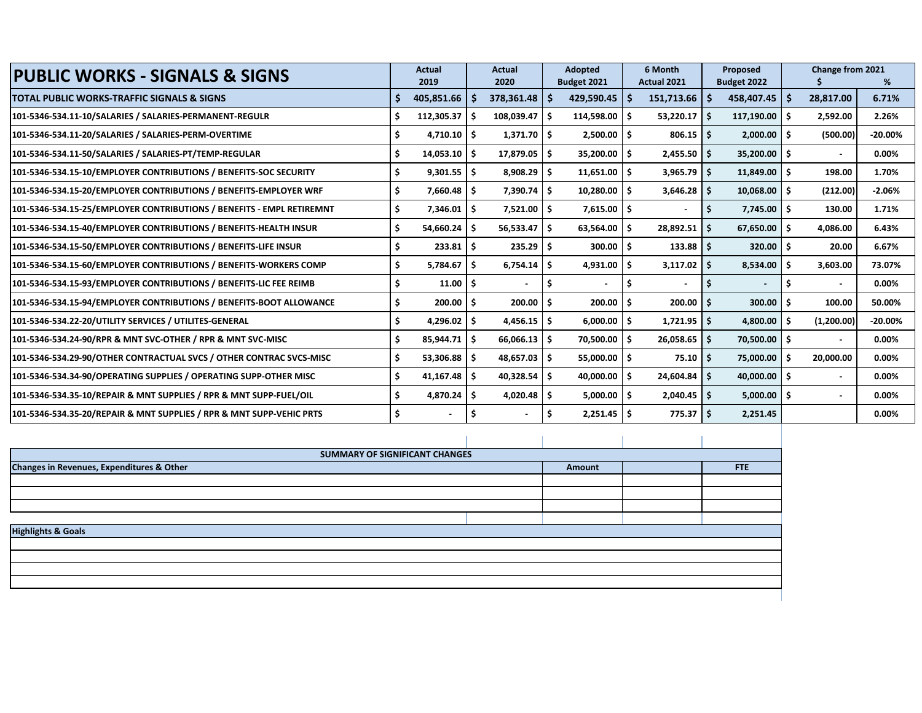| <b>PUBLIC WORKS - SIGNALS &amp; SIGNS</b>                             | <b>Actual</b>  |      | <b>Actual</b>             | <b>Adopted</b>           |     | 6 Month        |      | Proposed        |     | Change from 2021 |            |
|-----------------------------------------------------------------------|----------------|------|---------------------------|--------------------------|-----|----------------|------|-----------------|-----|------------------|------------|
|                                                                       | 2019           |      | 2020                      | Budget 2021              |     | Actual 2021    |      | Budget 2022     |     |                  | %          |
| TOTAL PUBLIC WORKS-TRAFFIC SIGNALS & SIGNS                            | 405,851.66     | Ŝ.   | $378,361.48$   \$         | 429,590.45               | -S  | 151,713.66     | l \$ | $458,407.45$ \$ |     | 28,817.00        | 6.71%      |
| 101-5346-534.11-10/SALARIES / SALARIES-PERMANENT-REGULR               | 112,305.37     | - S  | $108,039.47$ \$           | 114,598.00               | -S  | 53,220.17      | ۱s   | $117,190.00$ \$ |     | 2,592.00         | 2.26%      |
| 101-5346-534.11-20/SALARIES / SALARIES-PERM-OVERTIME                  | $4,710.10$ \$  |      | $1,371.70$ $\mid$ \$      | 2,500.00                 | -S  | $806.15$ \ \$  |      | $2,000.00$ \$   |     | (500.00)         | $-20.00\%$ |
| 101-5346-534.11-50/SALARIES / SALARIES-PT/TEMP-REGULAR                | $14,053.10$ \$ |      | $17,879.05$ \$            | 35,200.00                | \$. | $2,455.50$ \$  |      | $35,200.00$ \$  |     |                  | 0.00%      |
| 101-5346-534.15-10/EMPLOYER CONTRIBUTIONS / BENEFITS-SOC SECURITY     | $9,301.55$ \$  |      | $8,908.29$ \$             | 11,651.00                | \$. | $3,965.79$ \$  |      | $11,849.00$ \$  |     | 198.00           | 1.70%      |
| 101-5346-534.15-20/EMPLOYER CONTRIBUTIONS / BENEFITS-EMPLOYER WRF     | 7,660.48       | ا \$ | $7,390.74$ $\mid$ \$      | 10,280.00                | Ś.  | 3,646.28       | - Ś  | $10,068.00$ \$  |     | (212.00)         | $-2.06%$   |
| 101-5346-534.15-25/EMPLOYER CONTRIBUTIONS / BENEFITS - EMPL RETIREMNT | 7,346.01       | -\$  | $7,521.00$ $\mid$ \$      | 7,615.00                 | -S  |                |      | $7,745.00$ \$   |     | 130.00           | 1.71%      |
| 101-5346-534.15-40/EMPLOYER CONTRIBUTIONS / BENEFITS-HEALTH INSUR     | 54,660.24      | - S  | $56,533.47$ $\frac{1}{5}$ | 63,564.00                | S   | 28,892.51      | - S  | $67,650.00$ \$  |     | 4.086.00         | 6.43%      |
| 101-5346-534.15-50/EMPLOYER CONTRIBUTIONS / BENEFITS-LIFE INSUR       | 233.81         | ۱s   | $235.29$   \$             | 300.00                   | .S  | 133.88         | - S  | $320.00$ \$     |     | 20.00            | 6.67%      |
| 101-5346-534.15-60/EMPLOYER CONTRIBUTIONS / BENEFITS-WORKERS COMP     | 5,784.67       | -\$  | $6,754.14$ $\sqrt{5}$     | 4,931.00                 | . Ś | 3,117.02       | - Ś  | $8,534.00$ \$   |     | 3,603.00         | 73.07%     |
| 101-5346-534.15-93/EMPLOYER CONTRIBUTIONS / BENEFITS-LIC FEE REIMB    | 11.00          | ا \$ | $\overline{\phantom{a}}$  | $\overline{\phantom{0}}$ |     |                |      | $\blacksquare$  | .s  |                  | 0.00%      |
| 101-5346-534.15-94/EMPLOYER CONTRIBUTIONS / BENEFITS-BOOT ALLOWANCE   | 200.00         | - Ś  | $200.00$ \$               | 200.00                   | . Ś | 200.00         | - Ś  | 300.00          | .s  | 100.00           | 50.00%     |
| 101-5346-534.22-20/UTILITY SERVICES / UTILITES-GENERAL                | \$<br>4,296.02 | -\$  | $4,456.15$ \$             | 6,000.00                 | Ŝ.  | $1,721.95$ \$  |      | 4,800.00        | . Ś | (1,200.00)       | $-20.00%$  |
| 101-5346-534.24-90/RPR & MNT SVC-OTHER / RPR & MNT SVC-MISC           | 85,944.71      | ۱Ś   | $66,066.13$   \$          | 70,500.00                | S   | $26,058.65$ \$ |      | 70,500.00 \$    |     |                  | 0.00%      |
| 101-5346-534.29-90/OTHER CONTRACTUAL SVCS / OTHER CONTRAC SVCS-MISC   | 53,306.88      | ۱s   | $48,657.03$ \$            | 55,000.00                | -S  | 75.10          | ۱s   | 75,000.00       |     | 20,000.00        | 0.00%      |
| 101-5346-534.34-90/OPERATING SUPPLIES / OPERATING SUPP-OTHER MISC     | $41,167.48$ \$ |      | $40,328.54$ \$            | 40,000.00                | Ŝ.  | 24,604.84      | - S  | $40,000.00$ \$  |     |                  | 0.00%      |
| 101-5346-534.35-10/REPAIR & MNT SUPPLIES / RPR & MNT SUPP-FUEL/OIL    | $4,870.24$ \$  |      | $4,020.48$ \$             | 5,000.00                 | Ś.  | $2,040.45$ \$  |      | $5,000.00$ \$   |     |                  | 0.00%      |
| 101-5346-534.35-20/REPAIR & MNT SUPPLIES / RPR & MNT SUPP-VEHIC PRTS  |                |      |                           | 2,251.45                 | -S  | 775.37         | l \$ | 2,251.45        |     |                  | 0.00%      |

|                                           | <b>SUMMARY OF SIGNIFICANT CHANGES</b> |        |     |
|-------------------------------------------|---------------------------------------|--------|-----|
| Changes in Revenues, Expenditures & Other |                                       | Amount | FTE |
|                                           |                                       |        |     |
|                                           |                                       |        |     |
|                                           |                                       |        |     |
|                                           |                                       |        |     |
| <b>Highlights &amp; Goals</b>             |                                       |        |     |
|                                           |                                       |        |     |
|                                           |                                       |        |     |
|                                           |                                       |        |     |
|                                           |                                       |        |     |
|                                           |                                       |        |     |
|                                           |                                       |        |     |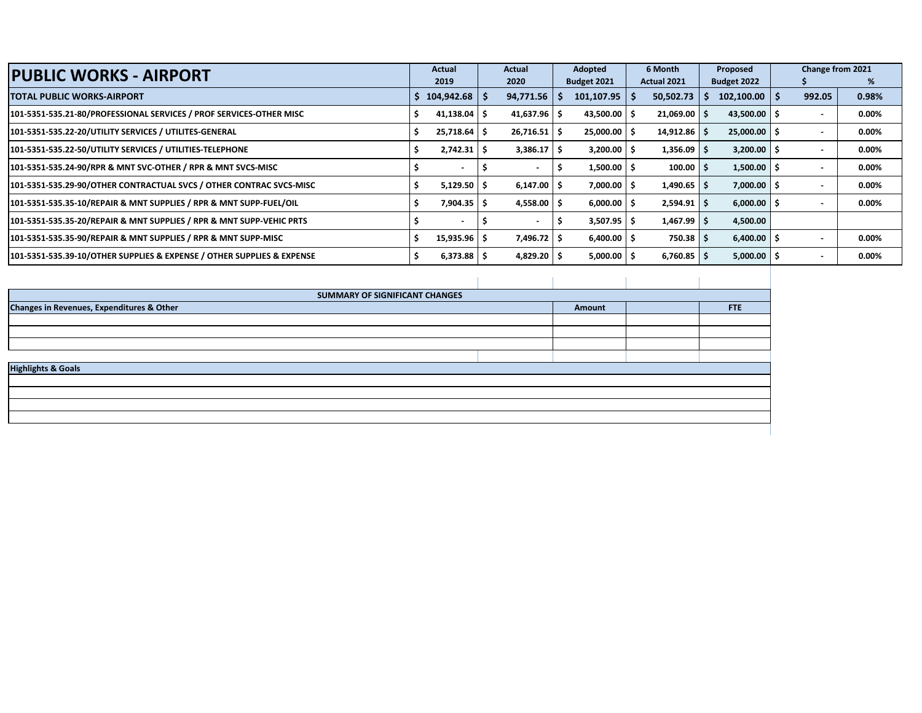| <b>PUBLIC WORKS - AIRPORT</b>                                          | Actual                   | Actual    | Adopted     | 6 Month          | Proposed              | Change from 2021 |          |
|------------------------------------------------------------------------|--------------------------|-----------|-------------|------------------|-----------------------|------------------|----------|
|                                                                        | 2019                     | 2020      | Budget 2021 | Actual 2021      | Budget 2022           |                  |          |
| TOTAL PUBLIC WORKS-AIRPORT                                             | 104,942.68               | 94,771.56 | 101,107.95  | 50,502.73        | $102,100.00$   \$     | 992.05           | 0.98%    |
| 101-5351-535.21-80/PROFESSIONAL SERVICES / PROF SERVICES-OTHER MISC    | $41,138.04$ \$           | 41,637.96 | 43,500.00   | $21,069.00$ \ \$ | $43,500.00$ \$        |                  | 0.00%    |
| 101-5351-535.22-20/UTILITY SERVICES / UTILITES-GENERAL                 | $25,718.64$   \$         | 26,716.51 | 25,000.00   | $14,912.86$ \ \$ | $25,000.00$   \$      |                  | $0.00\%$ |
| 101-5351-535.22-50/UTILITY SERVICES / UTILITIES-TELEPHONE              | $2,742.31$   \$          | 3,386.17  | 3,200.00    | $1,356.09$ \$    | $3,200.00$   \$       |                  | 0.00%    |
| 101-5351-535.24-90/RPR & MNT SVC-OTHER / RPR & MNT SVCS-MISC           |                          |           | 1,500.00    | 100.00           | $1,500.00$   \$       |                  | 0.00%    |
| 101-5351-535.29-90/OTHER CONTRACTUAL SVCS / OTHER CONTRAC SVCS-MISC    | $5,129.50$ $\sqrt{5}$    | 6,147.00  | 7,000.00    | $1,490.65$ \$    | 7,000.00              |                  | 0.00%    |
| 101-5351-535.35-10/REPAIR & MNT SUPPLIES / RPR & MNT SUPP-FUEL/OIL     | $7,904.35$ $\sqrt{5}$    | 4,558.00  | 6,000.00    | $2,594.91$ \$    | $6,000.00$ $\mid$ \$  |                  | 0.00%    |
| 101-5351-535.35-20/REPAIR & MNT SUPPLIES / RPR & MNT SUPP-VEHIC PRTS   |                          |           | 3,507.95    | $1,467.99$ \ \$  | 4,500.00              |                  |          |
| 101-5351-535.35-90/REPAIR & MNT SUPPLIES / RPR & MNT SUPP-MISC         | $15,935.96$ \$           | 7,496.72  | 6,400.00    | $750.38$ S       | $6,400.00$ $\mid$ \$  |                  | 0.00%    |
| 101-5351-535.39-10/OTHER SUPPLIES & EXPENSE / OTHER SUPPLIES & EXPENSE | $6,373.88$ $\frac{1}{5}$ | 4,829.20  | 5,000.00    | $6,760.85$ \$    | $5,000.00$ $\sqrt{5}$ |                  | 0.00%    |

| SUMMARY OF SIGNIFICANT CHANGES            |        |     |
|-------------------------------------------|--------|-----|
| Changes in Revenues, Expenditures & Other | Amount | FTE |
|                                           |        |     |
|                                           |        |     |
|                                           |        |     |
|                                           |        |     |
| <b>Highlights &amp; Goals</b>             |        |     |
|                                           |        |     |
|                                           |        |     |
|                                           |        |     |
|                                           |        |     |
|                                           |        |     |
|                                           |        |     |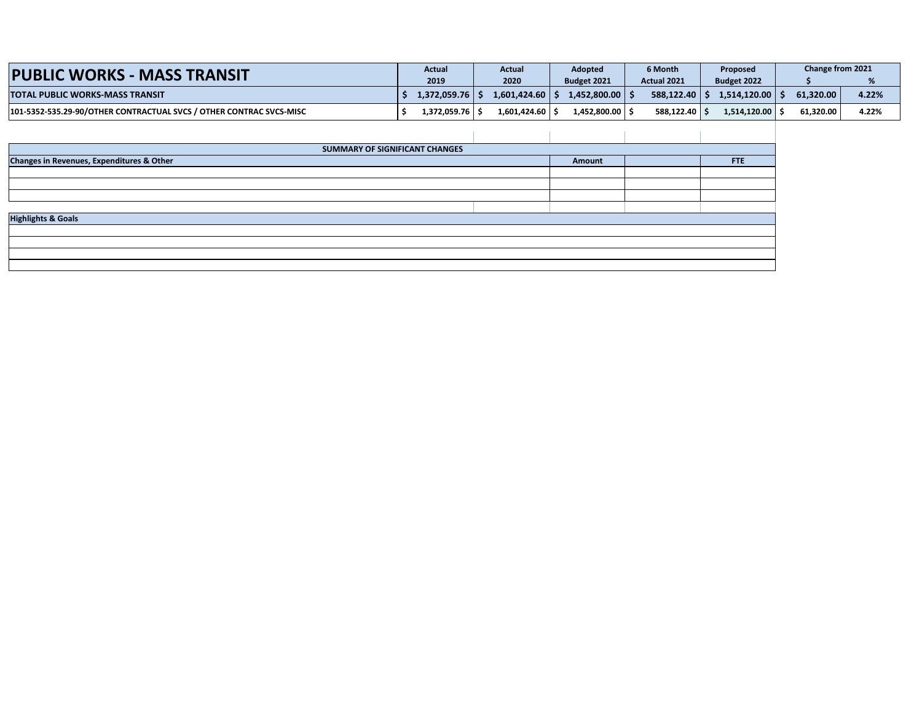| <b>PUBLIC WORKS - MASS TRANSIT</b>                                  | Actual              | Actual       | <b>Adopted</b>     | 6 Month            | Proposed           | Change from 2021 |       |
|---------------------------------------------------------------------|---------------------|--------------|--------------------|--------------------|--------------------|------------------|-------|
|                                                                     | 2019                | 2020         | <b>Budget 2021</b> | <b>Actual 2021</b> | Budget 2022        |                  |       |
| <b>TOTAL PUBLIC WORKS-MASS TRANSIT</b>                              | $1,372,059.76$   \$ | 1.601.424.60 | $1.452.800.00$ S   | 588.122.40 S       | 1.514.120.00       | 61.320.00        | 4.22% |
| 101-5352-535.29-90/OTHER CONTRACTUAL SVCS / OTHER CONTRAC SVCS-MISC | 1.372.059.76丨Ś      | 1.601.424.60 | 1.452.800.00丨Ś     | 588.122.40 S       | $1.514.120.00$   9 | 61.320.00        | 4.22% |

| SUMMARY OF SIGNIFICANT CHANGES            |        |     |
|-------------------------------------------|--------|-----|
| Changes in Revenues, Expenditures & Other | Amount | FTE |
|                                           |        |     |
|                                           |        |     |
|                                           |        |     |
|                                           |        |     |
| <b>Highlights &amp; Goals</b>             |        |     |
|                                           |        |     |
|                                           |        |     |
|                                           |        |     |
|                                           |        |     |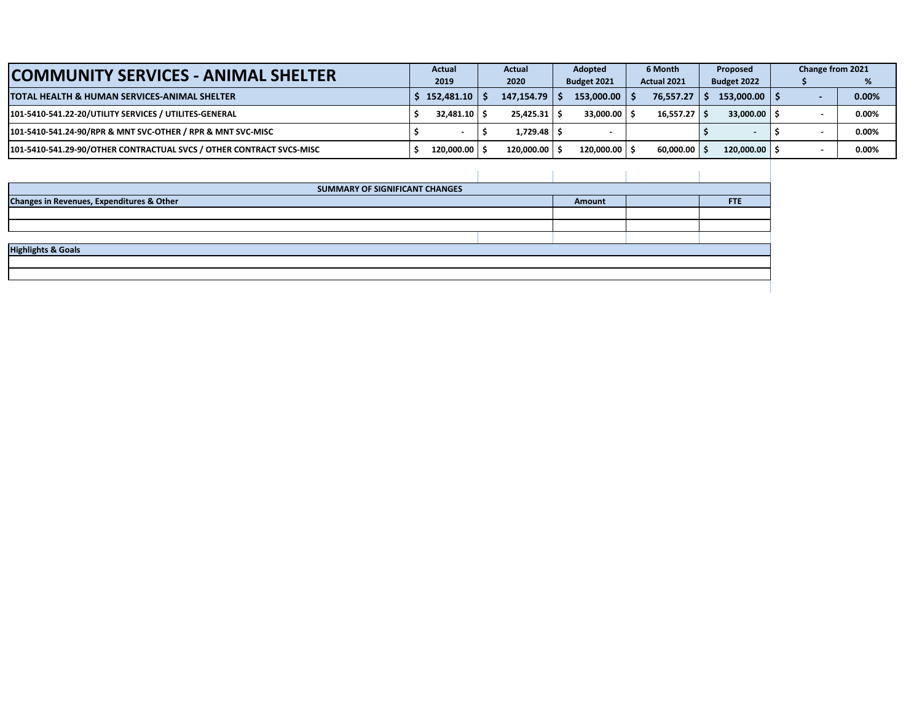| <b>COMMUNITY SERVICES - ANIMAL SHELTER</b>                           | <b>Actual</b>     | <b>Actual</b> | Adopted |                | 6 Month |                | Proposed |                   |  |  | Change from 2021 |
|----------------------------------------------------------------------|-------------------|---------------|---------|----------------|---------|----------------|----------|-------------------|--|--|------------------|
|                                                                      | 2019              | 2020          |         | Budget 2021    |         | Actual 2021    |          | Budget 2022       |  |  | %                |
| ITOTAL HEALTH & HUMAN SERVICES-ANIMAL SHELTER                        | 152.481.10        | 147,154.79    |         | $153,000,00$ S |         | 76.557.27      |          | $153,000.00$   \$ |  |  | 0.00%            |
| 101-5410-541.22-20/UTILITY SERVICES / UTILITES-GENERAL               | $32.481.10$ $\pm$ | 25.425.31     |         | 33.000.00      |         | $16,557.27$ \$ |          | $33,000.00$ S     |  |  | 0.00%            |
| 101-5410-541.24-90/RPR & MNT SVC-OTHER / RPR & MNT SVC-MISC          |                   | 1.729.48 S    |         |                |         |                |          |                   |  |  | 0.00%            |
| 101-5410-541.29-90/OTHER CONTRACTUAL SVCS / OTHER CONTRACT SVCS-MISC | 120,000,00        | 120.000.00    |         | 120.000.00     |         | $60.000.00$ S  |          | $120.000.00$ S    |  |  | 0.00%            |

| SUMMARY OF SIGNIFICANT CHANGES            |  |        |            |
|-------------------------------------------|--|--------|------------|
| Changes in Revenues, Expenditures & Other |  | Amount | <b>FTE</b> |
|                                           |  |        |            |
|                                           |  |        |            |
|                                           |  |        |            |
| <b>Highlights &amp; Goals</b>             |  |        |            |
|                                           |  |        |            |
|                                           |  |        |            |
|                                           |  |        |            |
|                                           |  |        |            |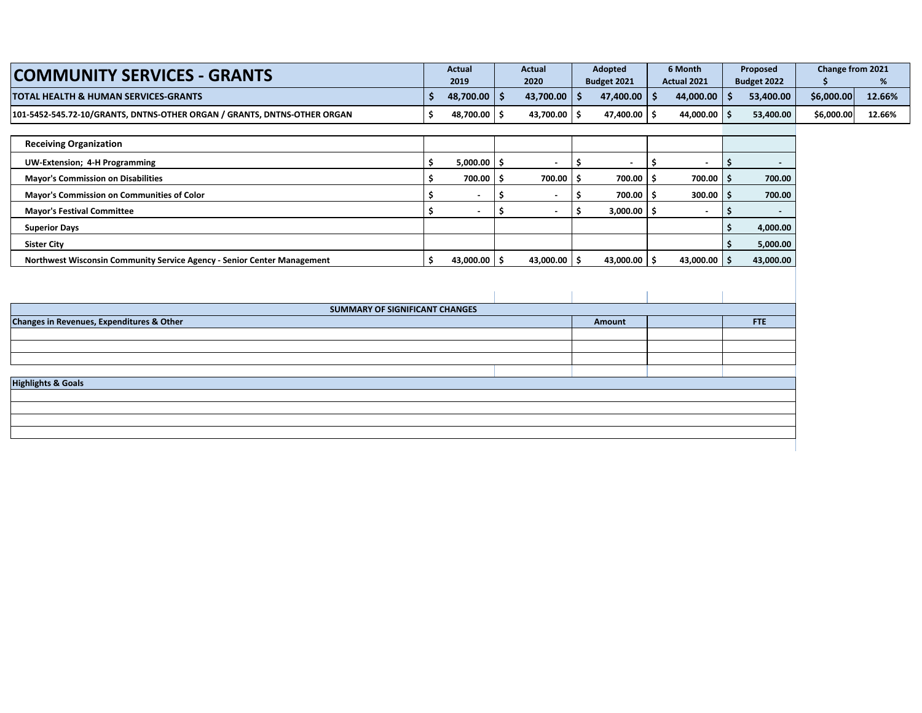| <b>COMMUNITY SERVICES - GRANTS</b>                                       |    | <b>Actual</b><br>2019    | <b>Actual</b><br>2020 |     | Adopted<br>Budget 2021 |     | 6 Month<br>Actual 2021 |                    | Proposed<br>Budget 2022 | Change from 2021<br>Ŝ | %      |
|--------------------------------------------------------------------------|----|--------------------------|-----------------------|-----|------------------------|-----|------------------------|--------------------|-------------------------|-----------------------|--------|
| <b>TOTAL HEALTH &amp; HUMAN SERVICES-GRANTS</b>                          | Ś  | 48,700.00 \$             | 43,700.00             | \$  | 47,400.00 \$           |     | 44,000.00              | $\mathsf{\hat{S}}$ | 53,400.00               | \$6,000.00            | 12.66% |
| 101-5452-545.72-10/GRANTS, DNTNS-OTHER ORGAN / GRANTS, DNTNS-OTHER ORGAN | \$ | 48,700.00 \$             | 43,700.00 \$          |     | 47,400.00 \$           |     | 44,000.00 \$           |                    | 53,400.00               | \$6,000.00            | 12.66% |
|                                                                          |    |                          |                       |     |                        |     |                        |                    |                         |                       |        |
| <b>Receiving Organization</b>                                            |    |                          |                       |     |                        |     |                        |                    |                         |                       |        |
| <b>UW-Extension; 4-H Programming</b>                                     | \$ | $5,000.00$ $\frac{1}{5}$ | $\sim$                | Ŝ.  | $\blacksquare$         | \$. | $\blacksquare$         | \$.                | -                       |                       |        |
| <b>Mayor's Commission on Disabilities</b>                                | Ś  | $700.00$ \$              | 700.00                | Ŝ.  | 700.00 \$              |     | 700.00                 | Ŝ.                 | 700.00                  |                       |        |
| Mayor's Commission on Communities of Color                               | \$ |                          | \$<br>$\sim$          | \$. | 700.00 \$              |     | 300.00                 | Ŝ.                 | 700.00                  |                       |        |
| <b>Mayor's Festival Committee</b>                                        | \$ | $\sim$                   | \$<br>$\sim$          | \$  | $3,000.00$ \$          |     |                        |                    |                         |                       |        |
| <b>Superior Days</b>                                                     |    |                          |                       |     |                        |     |                        |                    | 4,000.00                |                       |        |
| <b>Sister City</b>                                                       |    |                          |                       |     |                        |     |                        |                    | 5,000.00                |                       |        |
| Northwest Wisconsin Community Service Agency - Senior Center Management  | \$ | 43,000.00 \$             | 43,000.00 $\vert$ \$  |     | 43,000.00 \$           |     | 43,000.00              | -S                 | 43,000.00               |                       |        |
|                                                                          |    |                          |                       |     |                        |     |                        |                    |                         |                       |        |
|                                                                          |    |                          |                       |     |                        |     |                        |                    |                         |                       |        |
| SUMMARY OF SIGNIFICANT CHANGES                                           |    |                          |                       |     |                        |     |                        |                    |                         |                       |        |
| Changes in Revenues, Expenditures & Other                                |    |                          |                       |     | Amount                 |     |                        |                    | FTE                     |                       |        |
|                                                                          |    |                          |                       |     |                        |     |                        |                    |                         |                       |        |
|                                                                          |    |                          |                       |     |                        |     |                        |                    |                         |                       |        |
|                                                                          |    |                          |                       |     |                        |     |                        |                    |                         |                       |        |
| <b>Highlights &amp; Goals</b>                                            |    |                          |                       |     |                        |     |                        |                    |                         |                       |        |
|                                                                          |    |                          |                       |     |                        |     |                        |                    |                         |                       |        |
|                                                                          |    |                          |                       |     |                        |     |                        |                    |                         |                       |        |
|                                                                          |    |                          |                       |     |                        |     |                        |                    |                         |                       |        |
|                                                                          |    |                          |                       |     |                        |     |                        |                    |                         |                       |        |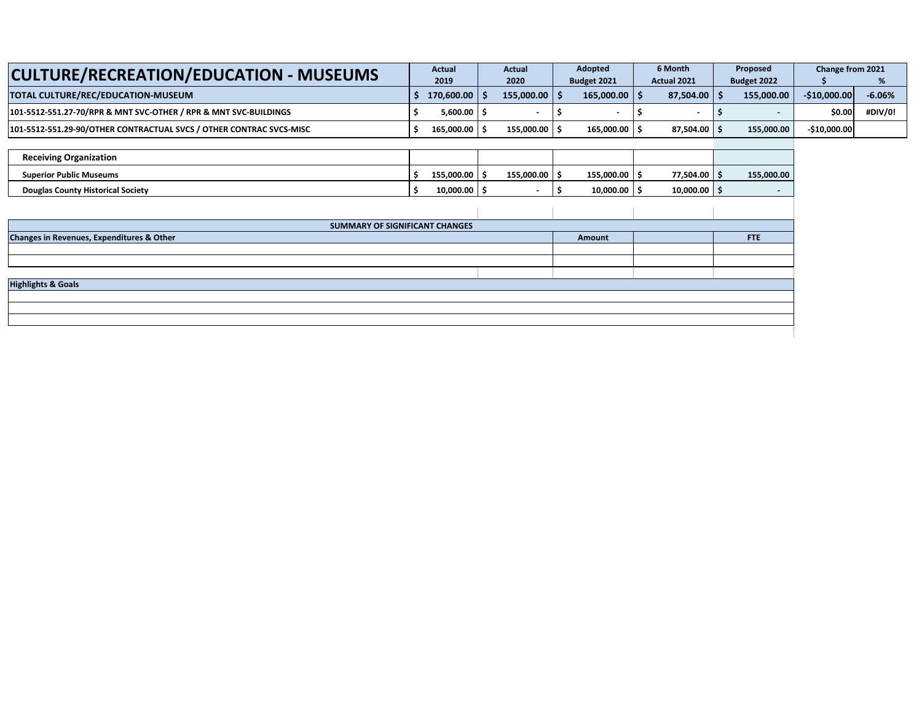| <b>CULTURE/RECREATION/EDUCATION - MUSEUMS</b>                       | <b>Actual</b>  | Actual         | Adopted                   | 6 Month            | Proposed    | Change from 2021 |          |
|---------------------------------------------------------------------|----------------|----------------|---------------------------|--------------------|-------------|------------------|----------|
|                                                                     | 2019           | 2020           | <b>Budget 2021</b>        | <b>Actual 2021</b> | Budget 2022 |                  |          |
| TOTAL CULTURE/REC/EDUCATION-MUSEUM                                  | $170.600.00$ S | $155.000.00$ S | $165.000.00$   $\sqrt{ }$ | $87.504.00$ S      | 155.000.00  | $-510,000,00$    | $-6.06%$ |
| 101-5512-551.27-70/RPR & MNT SVC-OTHER / RPR & MNT SVC-BUILDINGS    | $5.600.00$ S   |                |                           |                    |             | \$0.00           | #DIV/0   |
| 101-5512-551.29-90/OTHER CONTRACTUAL SVCS / OTHER CONTRAC SVCS-MISC | 165.000.00 S   | 155.000.00   : | 165,000.00                | $87,504.00$ \$     | 155,000.00  | $-$ \$10,000.00  |          |

| <b>Receiving Organization</b>            |            |            |            |                           |            |
|------------------------------------------|------------|------------|------------|---------------------------|------------|
| <b>Superior Public Museums</b>           | 155.000.00 | 155.000.00 | 155,000.00 | 77,504.00 $\vert$ $\vert$ | 155,000.00 |
| <b>Douglas County Historical Society</b> | 10.000.00  |            | 10.000.00  | $10.000.00$ s             |            |

| SUMMARY OF SIGNIFICANT CHANGES            |        |  |            |  |  |  |  |  |  |  |
|-------------------------------------------|--------|--|------------|--|--|--|--|--|--|--|
| Changes in Revenues, Expenditures & Other | Amount |  | <b>FTE</b> |  |  |  |  |  |  |  |
|                                           |        |  |            |  |  |  |  |  |  |  |
|                                           |        |  |            |  |  |  |  |  |  |  |
|                                           |        |  |            |  |  |  |  |  |  |  |
| <b>Highlights &amp; Goals</b>             |        |  |            |  |  |  |  |  |  |  |
|                                           |        |  |            |  |  |  |  |  |  |  |
|                                           |        |  |            |  |  |  |  |  |  |  |
|                                           |        |  |            |  |  |  |  |  |  |  |
|                                           |        |  |            |  |  |  |  |  |  |  |
|                                           |        |  |            |  |  |  |  |  |  |  |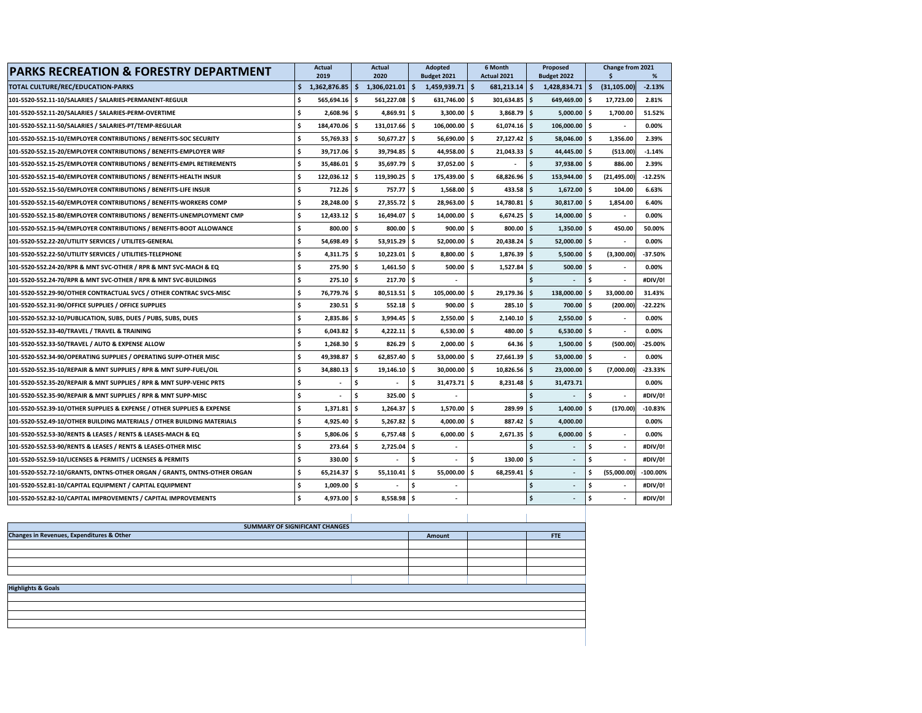| <b>PARKS RECREATION &amp; FORESTRY DEPARTMENT</b>                        |     | <b>Actual</b><br>2019    |      | <b>Actual</b><br>2020    |      | Adopted<br>Budget 2021   |     | 6 Month<br>Actual 2021 |      | Proposed<br>Budget 2022  |      | Change from 2021<br>\$ | %           |
|--------------------------------------------------------------------------|-----|--------------------------|------|--------------------------|------|--------------------------|-----|------------------------|------|--------------------------|------|------------------------|-------------|
| TOTAL CULTURE/REC/EDUCATION-PARKS                                        | Ś   | $1,362,876.85$ \$        |      | $1,306,021.01$ \$        |      | 1,459,939.71             | Ŝ.  | $681,213.14$ \$        |      | 1,428,834.71             | Ŝ.   | (31, 105.00)           | $-2.13%$    |
| 101-5520-552.11-10/SALARIES / SALARIES-PERMANENT-REGULR                  | \$. | $565,694.16$ \$          |      | 561,227.08 \$            |      | 631,746.00               | \$. | $301,634.85$ \$        |      | 649,469.00 \$            |      | 17,723.00              | 2.81%       |
| 101-5520-552.11-20/SALARIES / SALARIES-PERM-OVERTIME                     | \$  | $2,608.96$ \$            |      | 4,869.91                 | Ŝ.   | 3,300.00                 | \$  | 3,868.79               | ۱\$  | 5,000.00                 | \$.  | 1,700.00               | 51.52%      |
| 101-5520-552.11-50/SALARIES / SALARIES-PT/TEMP-REGULAR                   | \$  | 184,470.06 \$            |      | 131,017.66               | \$.  | 106,000.00               | \$  | 61,074.16              | ۱\$  | 106,000.00               | \$   |                        | 0.00%       |
| 101-5520-552.15-10/EMPLOYER CONTRIBUTIONS / BENEFITS-SOC SECURITY        | Ś   | 55,769.33 \$             |      | 50,677.27                | \$   | 56,690.00                | \$. | 27,127.42              | l \$ | 58,046.00                | \$   | 1,356.00               | 2.39%       |
| 101-5520-552.15-20/EMPLOYER CONTRIBUTIONS / BENEFITS-EMPLOYER WRF        | Ś   | 39.717.06 \$             |      | 39,794.85 \$             |      | 44.958.00                | Ŝ.  | 21.043.33              | ۱\$  | 44,445.00                | Ŝ.   | (513.00)               | $-1.14%$    |
| 101-5520-552.15-25/EMPLOYER CONTRIBUTIONS / BENEFITS-EMPL RETIREMENTS    | \$. | 35,486.01 \$             |      | $35,697.79$ \$           |      | 37,052.00 \$             |     |                        | Ŝ.   | 37,938.00 \$             |      | 886.00                 | 2.39%       |
| 101-5520-552.15-40/EMPLOYER CONTRIBUTIONS / BENEFITS-HEALTH INSUR        | ¢,  | $122,036.12$ \$          |      | $119,390.25$ \$          |      | 175,439.00               | \$. | 68,826.96              | ۱Ś   | 153,944.00               | \$   | (21, 495.00)           | $-12.25%$   |
| 101-5520-552.15-50/EMPLOYER CONTRIBUTIONS / BENEFITS-LIFE INSUR          | \$  | $712.26$ \$              |      | 757.77                   | l \$ | 1,568.00                 | \$. | 433.58                 | ۱s   | 1,672.00                 | \$   | 104.00                 | 6.63%       |
| 101-5520-552.15-60/EMPLOYER CONTRIBUTIONS / BENEFITS-WORKERS COMP        | Ś   | 28,248.00 \$             |      | 27,355.72                | Ŝ.   | 28,963.00                | \$  | 14,780.81 \$           |      | 30,817.00                | \$   | 1,854.00               | 6.40%       |
| 101-5520-552.15-80/EMPLOYER CONTRIBUTIONS / BENEFITS-UNEMPLOYMENT CMP    | \$  | $12,433.12$ \$           |      | 16,494.07                | Ŝ.   | 14,000.00                | \$  | 6,674.25               | l \$ | 14,000.00                | \$   |                        | 0.00%       |
| 101-5520-552.15-94/EMPLOYER CONTRIBUTIONS / BENEFITS-BOOT ALLOWANCE      | \$. | 800.00 \$                |      | 800.00                   | ۱\$. | 900.00                   | \$. | 800.00                 | ۱Ś.  | 1,350.00                 | l s  | 450.00                 | 50.00%      |
| 101-5520-552.22-20/UTILITY SERVICES / UTILITES-GENERAL                   | Ŝ.  | 54,698.49 \$             |      | 53,915.29                | ١s   | 52,000.00                | \$. | 20,438.24              | l \$ | 52,000.00                | Ŝ.   |                        | 0.00%       |
| 101-5520-552.22-50/UTILITY SERVICES / UTILITIES-TELEPHONE                | Ś   | $4,311.75$ \$            |      | 10,223.01                | \$.  | 8,800.00                 | \$  | 1,876.39               | l \$ | 5,500.00                 | \$   | (3,300.00)             | $-37.50%$   |
| 101-5520-552.24-20/RPR & MNT SVC-OTHER / RPR & MNT SVC-MACH & EQ         | Ś   | 275.90                   | - \$ | 1,461.50                 | Ŝ.   | 500.00                   | \$. | 1,527.84               | ۱Ś   | 500.00                   | \$   |                        | 0.00%       |
| 101-5520-552.24-70/RPR & MNT SVC-OTHER / RPR & MNT SVC-BUILDINGS         | \$  | $275.10$ \$              |      | 217.70                   | l \$ |                          |     |                        |      |                          | Ś.   |                        | #DIV/0!     |
| 101-5520-552.29-90/OTHER CONTRACTUAL SVCS / OTHER CONTRAC SVCS-MISC      | \$  | 76,779.76 \$             |      | $80,513.51$ \$           |      | 105,000.00               | \$  | 29,179.36              | ۱\$  | 138,000.00               | \$   | 33,000.00              | 31.43%      |
| 101-5520-552.31-90/OFFICE SUPPLIES / OFFICE SUPPLIES                     | \$  | $230.51$ \$              |      | $552.18$ \$              |      | 900.00                   | Ŝ.  | 285.10                 | ۱s   | 700.00                   | \$   | (200.00)               | $-22.22%$   |
| 101-5520-552.32-10/PUBLICATION, SUBS, DUES / PUBS, SUBS, DUES            | \$  | 2,835.86                 | ۱Ś.  | 3,994.45                 | \$.  | 2,550.00                 | \$. | 2,140.10               | ۱s   | 2.550.00                 | \$   |                        | 0.00%       |
| 101-5520-552.33-40/TRAVEL / TRAVEL & TRAINING                            | Ś   | 6,043.82                 | Ŝ.   | 4,222.11 \$              |      | 6,530.00                 | \$  | 480.00                 | l \$ | 6,530.00                 | \$.  |                        | 0.00%       |
| 101-5520-552.33-50/TRAVEL / AUTO & EXPENSE ALLOW                         | \$  | $1,268.30\quad$ \$       |      | 826.29                   | Ŝ.   | $2,000.00$ \$            |     | 64.36                  | l \$ | 1,500.00                 | l s  | (500.00                | $-25.00%$   |
| 101-5520-552.34-90/OPERATING SUPPLIES / OPERATING SUPP-OTHER MISC        | \$  | 49,398.87 \$             |      | 62,857.40 \$             |      | 53,000.00                | \$. | 27,661.39              | ۱\$  | 53,000.00                | l \$ |                        | 0.00%       |
| 101-5520-552.35-10/REPAIR & MNT SUPPLIES / RPR & MNT SUPP-FUEL/OIL       | \$  | 34,880.13 \$             |      | 19,146.10                | \$   | 30,000.00                | \$. | 10,826.56              | ۱\$  | 23,000.00                | Ś    | (7,000.00)             | $-23.33%$   |
| 101-5520-552.35-20/REPAIR & MNT SUPPLIES / RPR & MNT SUPP-VEHIC PRTS     | Ś   | $\overline{\phantom{a}}$ | Ŝ.   | $\overline{\phantom{a}}$ | Ŝ.   | 31.473.71                | \$. | 8.231.48               | l \$ | 31,473.71                |      |                        | 0.00%       |
| 101-5520-552.35-90/REPAIR & MNT SUPPLIES / RPR & MNT SUPP-MISC           |     | $\overline{\phantom{a}}$ | \$.  | 325.00                   | \$.  |                          |     |                        |      | $\overline{\phantom{a}}$ | \$   |                        | #DIV/0!     |
| 101-5520-552.39-10/OTHER SUPPLIES & EXPENSE / OTHER SUPPLIES & EXPENSE   | Ś   | 1,371.81                 | ۱\$  | 1,264.37                 | Ŝ.   | $1,570.00$ \$            |     | 289.99                 | ۱s   | 1,400.00                 | \$.  | (170.00)               | $-10.83%$   |
| 101-5520-552.49-10/OTHER BUILDING MATERIALS / OTHER BUILDING MATERIALS   | \$  | $4,925.40$ \$            |      | $5,267.82$ \$            |      | 4,000.00                 | ۱\$ | 887.42                 | ۱Ś.  | 4,000.00                 |      |                        | 0.00%       |
| 101-5520-552.53-30/RENTS & LEASES / RENTS & LEASES-MACH & EQ             | Ś   | 5,806.06 \$              |      | 6,757.48                 | Ŝ.   | 6,000.00                 | \$  | 2,671.35               | l \$ | 6,000.00                 | \$   |                        | 0.00%       |
| 101-5520-552.53-90/RENTS & LEASES / RENTS & LEASES-OTHER MISC            | Ś   | 273.64                   | Ŝ.   | 2,725.04                 | \$.  | $\overline{\phantom{a}}$ |     |                        | \$.  | $\overline{\phantom{a}}$ | \$   |                        | #DIV/0!     |
| 101-5520-552.59-10/LICENSES & PERMITS / LICENSES & PERMITS               | \$  | 330.00 \$                |      |                          | Ŝ.   |                          | \$  | 130.00                 | l \$ | $\overline{\phantom{a}}$ | \$   |                        | #DIV/0!     |
| 101-5520-552.72-10/GRANTS, DNTNS-OTHER ORGAN / GRANTS, DNTNS-OTHER ORGAN | \$  | 65,214.37 \$             |      | $55,110.41$ \$           |      | 55.000.00                | \$. | 68,259.41              | l \$ |                          | \$   | (55,000.00             | $-100.00\%$ |
| 101-5520-552.81-10/CAPITAL EQUIPMENT / CAPITAL EQUIPMENT                 | \$  | $1,009.00$ \$            |      |                          | \$   |                          |     |                        | \$.  |                          | \$   |                        | #DIV/0!     |
| 101-5520-552.82-10/CAPITAL IMPROVEMENTS / CAPITAL IMPROVEMENTS           | \$  | 4,973.00 \$              |      | 8,558.98                 | \$   |                          |     |                        | \$   | $\overline{\phantom{a}}$ | \$   |                        | #DIV/0!     |
|                                                                          |     |                          |      |                          |      |                          |     |                        |      |                          |      |                        |             |

| SUMMARY OF SIGNIFICANT CHANGES                                    |  |  |  |  |  |  |  |  |  |
|-------------------------------------------------------------------|--|--|--|--|--|--|--|--|--|
| Changes in Revenues, Expenditures & Other<br><b>FTE</b><br>Amount |  |  |  |  |  |  |  |  |  |
|                                                                   |  |  |  |  |  |  |  |  |  |
|                                                                   |  |  |  |  |  |  |  |  |  |
|                                                                   |  |  |  |  |  |  |  |  |  |
|                                                                   |  |  |  |  |  |  |  |  |  |
|                                                                   |  |  |  |  |  |  |  |  |  |
| <b>Highlights &amp; Goals</b>                                     |  |  |  |  |  |  |  |  |  |
|                                                                   |  |  |  |  |  |  |  |  |  |
|                                                                   |  |  |  |  |  |  |  |  |  |
|                                                                   |  |  |  |  |  |  |  |  |  |
|                                                                   |  |  |  |  |  |  |  |  |  |
|                                                                   |  |  |  |  |  |  |  |  |  |
|                                                                   |  |  |  |  |  |  |  |  |  |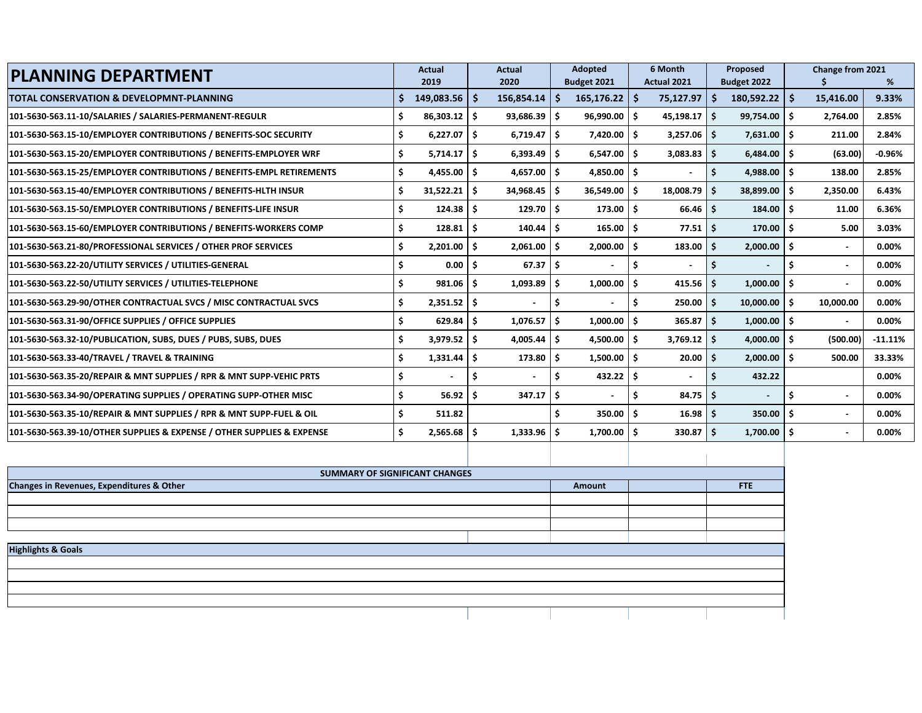| <b>PLANNING DEPARTMENT</b>                                             |     | <b>Actual</b>     |     | <b>Actual</b>  |            | <b>Adopted</b>     |     | 6 Month        |                     | Proposed                 |     | Change from 2021         |           |
|------------------------------------------------------------------------|-----|-------------------|-----|----------------|------------|--------------------|-----|----------------|---------------------|--------------------------|-----|--------------------------|-----------|
|                                                                        |     | 2019              |     | 2020           |            | Budget 2021        |     | Actual 2021    |                     | Budget 2022              |     |                          | %         |
| <b>TOTAL CONSERVATION &amp; DEVELOPMNT-PLANNING</b>                    |     | $149,083.56$   \$ |     | 156,854.14     | $\vert$ \$ | $165, 176.22$   \$ |     | 75,127.97      | $\ddot{\bm{\zeta}}$ | $180,592.22$ \$          |     | 15,416.00                | 9.33%     |
| 101-5630-563.11-10/SALARIES / SALARIES-PERMANENT-REGULR                | \$  | $86,303.12$ \$    |     | 93,686.39      | l \$       | $96,990.00$   \$   |     | 45,198.17      | -\$                 | $99,754.00$ \$           |     | 2,764.00                 | 2.85%     |
| 101-5630-563.15-10/EMPLOYER CONTRIBUTIONS / BENEFITS-SOC SECURITY      | \$  | 6,227.07          | - Ś | 6,719.47       | l \$       | 7,420.00           | l S | 3,257.06       | -\$                 | 7,631.00                 | \$. | 211.00                   | 2.84%     |
| 101-5630-563.15-20/EMPLOYER CONTRIBUTIONS / BENEFITS-EMPLOYER WRF      | \$  | 5,714.17          | Ś.  | 6,393.49       | l \$       | 6,547.00           | ۱Ś  | 3,083.83       | Ŝ.                  | $6,484.00$ \$            |     | (63.00)                  | $-0.96%$  |
| 101-5630-563.15-25/EMPLOYER CONTRIBUTIONS / BENEFITS-EMPL RETIREMENTS  | \$  | 4,455.00          | - Ś | 4,657.00       | ۱s         | $4,850.00$   \$    |     |                |                     | 4,988.00                 | Ŝ.  | 138.00                   | 2.85%     |
| 101-5630-563.15-40/EMPLOYER CONTRIBUTIONS / BENEFITS-HLTH INSUR        | \$  | $31,522.21$ \$    |     | $34,968.45$ \$ |            | $36,549.00$ \$     |     | 18,008.79      | Ŝ.                  | 38,899.00                | Ŝ.  | 2,350.00                 | 6.43%     |
| 101-5630-563.15-50/EMPLOYER CONTRIBUTIONS / BENEFITS-LIFE INSUR        | \$  | $124.38$ \$       |     | 129.70         | l S        | $173.00$ \$        |     | 66.46          | -Ś                  | $184.00$ \$              |     | 11.00                    | 6.36%     |
| 101-5630-563.15-60/EMPLOYER CONTRIBUTIONS / BENEFITS-WORKERS COMP      | Ś   | $128.81$   \$     |     | 140.44         | ۱Ś         | 165.00             | - Ś | 77.51          | -Ś                  | 170.00                   | Ŝ   | 5.00                     | 3.03%     |
| 101-5630-563.21-80/PROFESSIONAL SERVICES / OTHER PROF SERVICES         | Ś   | 2,201.00          | Ś.  | 2,061.00       | - Ś        | 2.000.00           | - Ś | 183.00         | Ŝ.                  | 2,000.00                 | \$. | $\overline{\phantom{a}}$ | 0.00%     |
| 101-5630-563.22-20/UTILITY SERVICES / UTILITIES-GENERAL                | S   | 0.00              |     | 67.37          | ۱Ś         |                    |     | $\blacksquare$ |                     |                          |     |                          | 0.00%     |
| 101-5630-563.22-50/UTILITY SERVICES / UTILITIES-TELEPHONE              | Ś   | $981.06$ \$       |     | 1,093.89       | ا \$       | 1,000.00           | - S | 415.56         | -\$                 | 1,000.00                 | \$. |                          | 0.00%     |
| 101-5630-563.29-90/OTHER CONTRACTUAL SVCS / MISC CONTRACTUAL SVCS      | \$  | $2,351.52$ \$     |     |                | - \$       |                    | Ś   | 250.00         | -\$                 | 10,000.00                | Ŝ.  | 10,000.00                | 0.00%     |
| 101-5630-563.31-90/OFFICE SUPPLIES / OFFICE SUPPLIES                   | Ś   | $629.84$ \$       |     | 1,076.57       | -\$        | 1,000.00           | -Ś  | 365.87         | -\$                 | $1,000.00$ \$            |     | $\overline{\phantom{a}}$ | 0.00%     |
| 101-5630-563.32-10/PUBLICATION, SUBS, DUES / PUBS, SUBS, DUES          | Ś   | 3,979.52          | Ś.  | 4,005.44       | Ŝ.         | 4,500.00           | - Ś | 3,769.12       | Ŝ.                  | 4,000.00                 | Ś.  | (500.00)                 | $-11.11%$ |
| 101-5630-563.33-40/TRAVEL / TRAVEL & TRAINING                          | Ś   | 1,331.44          |     | 173.80         | ۱Ś         | 1,500.00           | - Ś | 20.00          | Ŝ.                  | 2,000.00                 | \$. | 500.00                   | 33.33%    |
| 101-5630-563.35-20/REPAIR & MNT SUPPLIES / RPR & MNT SUPP-VEHIC PRTS   | \$. |                   |     |                | Ś          | 432.22             | - Ś | $\blacksquare$ | Ś                   | 432.22                   |     |                          | 0.00%     |
| 101-5630-563.34-90/OPERATING SUPPLIES / OPERATING SUPP-OTHER MISC      | Ś   | $56.92$   \$      |     | 347.17         | - Ś        |                    | \$. | 84.75          | -S                  | $\overline{\phantom{0}}$ | Ś   |                          | 0.00%     |
| 101-5630-563.35-10/REPAIR & MNT SUPPLIES / RPR & MNT SUPP-FUEL & OIL   | Ś   | 511.82            |     |                |            | $350.00$ S         |     | 16.98          | Ŝ.                  | 350.00                   | \$. | $\blacksquare$           | 0.00%     |
| 101-5630-563.39-10/OTHER SUPPLIES & EXPENSE / OTHER SUPPLIES & EXPENSE | Ś.  | 2,565.68          | s.  | 1,333.96       | Ŝ.         | 1,700.00           | - Ś | 330.87         | Ŝ.                  | 1,700.00                 | \$. |                          | $0.00\%$  |
|                                                                        |     |                   |     |                |            |                    |     |                |                     |                          |     |                          |           |

| SUMMARY OF SIGNIFICANT CHANGES            |        |     |
|-------------------------------------------|--------|-----|
| Changes in Revenues, Expenditures & Other | Amount | FTE |
|                                           |        |     |
|                                           |        |     |
|                                           |        |     |
|                                           |        |     |
| <b>Highlights &amp; Goals</b>             |        |     |
|                                           |        |     |
|                                           |        |     |
|                                           |        |     |
|                                           |        |     |
|                                           |        |     |
|                                           |        |     |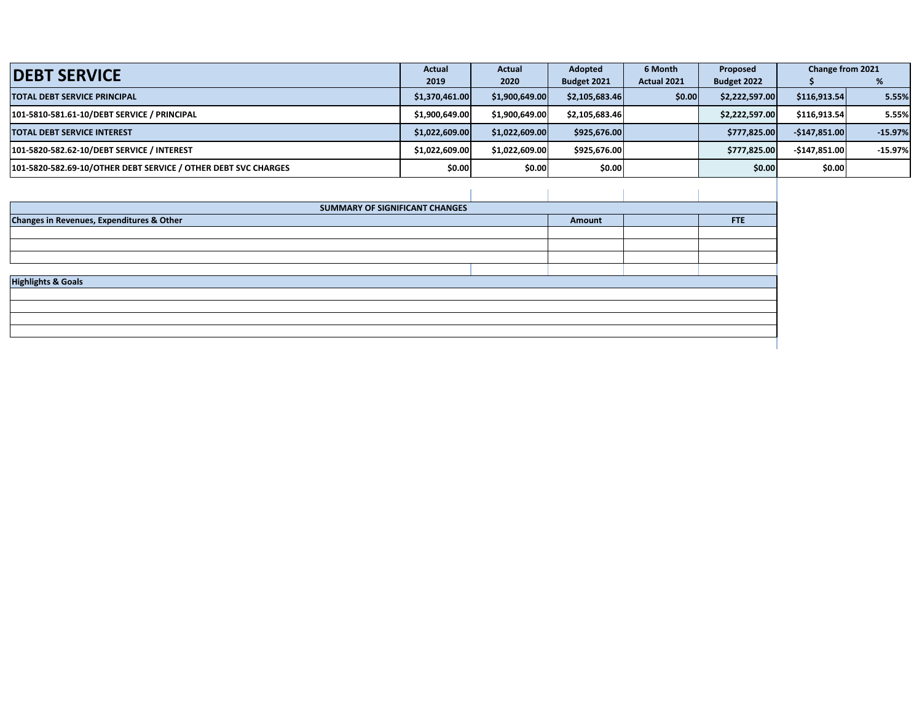| <b>DEBT SERVICE</b>                                            | <b>Actual</b>  | <b>Actual</b>  | Adopted        | 6 Month     | Proposed       | Change from 2021 |           |
|----------------------------------------------------------------|----------------|----------------|----------------|-------------|----------------|------------------|-----------|
|                                                                | 2019           | 2020           | Budget 2021    | Actual 2021 | Budget 2022    |                  |           |
| <b>TOTAL DEBT SERVICE PRINCIPAL</b>                            | \$1,370,461.00 | \$1,900,649.00 | \$2,105,683.46 | \$0.00      | \$2,222,597.00 | \$116,913.54     | 5.55%     |
| 101-5810-581.61-10/DEBT SERVICE / PRINCIPAL                    | \$1,900,649.00 | \$1,900,649,00 | \$2,105,683.46 |             | \$2,222,597.00 | \$116,913.54     | 5.55%     |
| <b>TOTAL DEBT SERVICE INTEREST</b>                             | \$1,022,609.00 | \$1,022,609.00 | \$925,676.00   |             | \$777.825.00   | $-$147,851.00$   | $-15.97%$ |
| 101-5820-582.62-10/DEBT SERVICE / INTEREST                     | \$1,022,609.00 | \$1,022,609.00 | \$925,676.00   |             | \$777.825.00   | $-5147.851.00$   | $-15.97%$ |
| 101-5820-582.69-10/OTHER DEBT SERVICE / OTHER DEBT SVC CHARGES | \$0.00         | \$0.00         | \$0.00         |             | \$0.00         | \$0.00           |           |

| SUMMARY OF SIGNIFICANT CHANGES            |        |     |
|-------------------------------------------|--------|-----|
| Changes in Revenues, Expenditures & Other | Amount | FTE |
|                                           |        |     |
|                                           |        |     |
|                                           |        |     |
| <b>Highlights &amp; Goals</b>             |        |     |
|                                           |        |     |
|                                           |        |     |
|                                           |        |     |
|                                           |        |     |